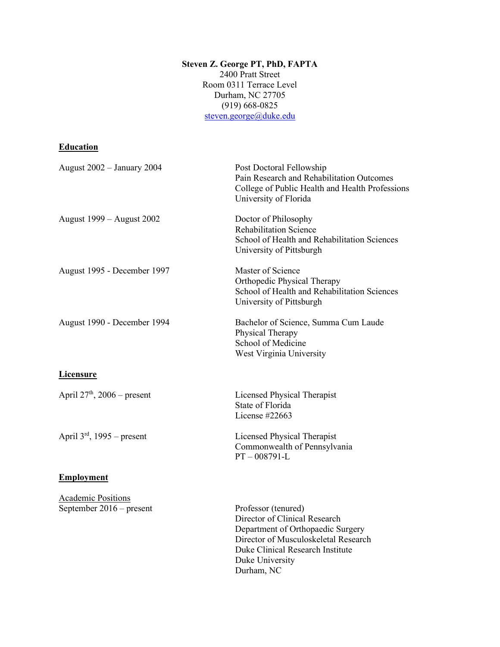#### **Steven Z. George PT, PhD, FAPTA** 2400 Pratt Street Room 0311 Terrace Level Durham, NC 27705 (919) 668-0825 [steven.george@duke.edu](mailto:szgeorge@phhp.ufl.edu)

## **Education**

| <b>August 2002 - January 2004</b>                       | Post Doctoral Fellowship<br>Pain Research and Rehabilitation Outcomes<br>College of Public Health and Health Professions<br>University of Florida                                                      |
|---------------------------------------------------------|--------------------------------------------------------------------------------------------------------------------------------------------------------------------------------------------------------|
| August 1999 – August 2002                               | Doctor of Philosophy<br><b>Rehabilitation Science</b><br>School of Health and Rehabilitation Sciences<br>University of Pittsburgh                                                                      |
| August 1995 - December 1997                             | Master of Science<br>Orthopedic Physical Therapy<br>School of Health and Rehabilitation Sciences<br>University of Pittsburgh                                                                           |
| August 1990 - December 1994                             | Bachelor of Science, Summa Cum Laude<br>Physical Therapy<br>School of Medicine<br>West Virginia University                                                                                             |
| <b>Licensure</b>                                        |                                                                                                                                                                                                        |
| April $27th$ , 2006 – present                           | Licensed Physical Therapist<br>State of Florida<br>License #22663                                                                                                                                      |
| April $3rd$ , 1995 – present                            | Licensed Physical Therapist<br>Commonwealth of Pennsylvania<br>$PT - 008791 - L$                                                                                                                       |
| <b>Employment</b>                                       |                                                                                                                                                                                                        |
| <b>Academic Positions</b><br>September $2016$ – present | Professor (tenured)<br>Director of Clinical Research<br>Department of Orthopaedic Surgery<br>Director of Musculoskeletal Research<br>Duke Clinical Research Institute<br>Duke University<br>Durham, NC |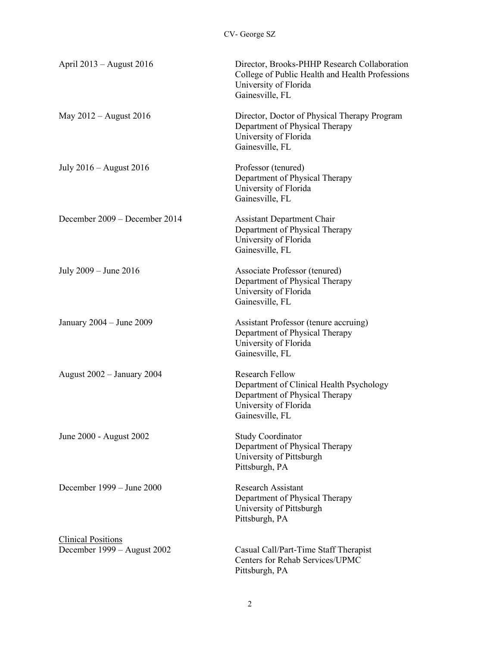| April 2013 – August 2016                                 | Director, Brooks-PHHP Research Collaboration<br>College of Public Health and Health Professions<br>University of Florida<br>Gainesville, FL      |
|----------------------------------------------------------|--------------------------------------------------------------------------------------------------------------------------------------------------|
| May $2012$ – August 2016                                 | Director, Doctor of Physical Therapy Program<br>Department of Physical Therapy<br>University of Florida<br>Gainesville, FL                       |
| July 2016 – August 2016                                  | Professor (tenured)<br>Department of Physical Therapy<br>University of Florida<br>Gainesville, FL                                                |
| December 2009 – December 2014                            | <b>Assistant Department Chair</b><br>Department of Physical Therapy<br>University of Florida<br>Gainesville, FL                                  |
| July $2009 -$ June $2016$                                | Associate Professor (tenured)<br>Department of Physical Therapy<br>University of Florida<br>Gainesville, FL                                      |
| January $2004 -$ June $2009$                             | Assistant Professor (tenure accruing)<br>Department of Physical Therapy<br>University of Florida<br>Gainesville, FL                              |
| August 2002 - January 2004                               | <b>Research Fellow</b><br>Department of Clinical Health Psychology<br>Department of Physical Therapy<br>University of Florida<br>Gainesville, FL |
| June 2000 - August 2002                                  | <b>Study Coordinator</b><br>Department of Physical Therapy<br>University of Pittsburgh<br>Pittsburgh, PA                                         |
| December $1999 - June 2000$                              | <b>Research Assistant</b><br>Department of Physical Therapy<br>University of Pittsburgh<br>Pittsburgh, PA                                        |
| <b>Clinical Positions</b><br>December 1999 – August 2002 | Casual Call/Part-Time Staff Therapist<br>Centers for Rehab Services/UPMC<br>Pittsburgh, PA                                                       |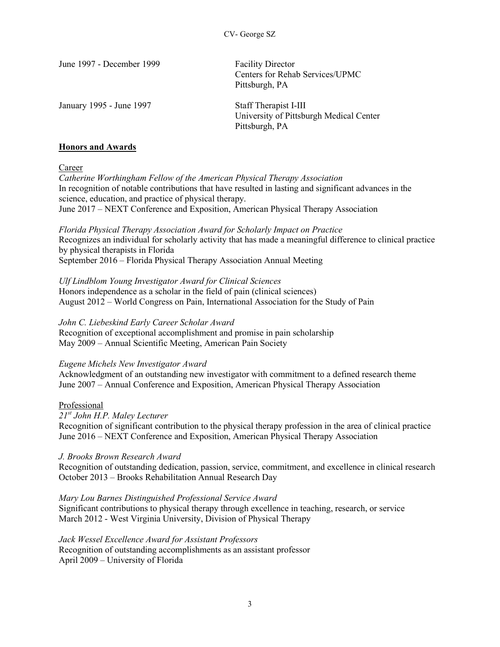| June 1997 - December 1999 | <b>Facility Director</b><br>Centers for Rehab Services/UPMC<br>Pittsburgh, PA      |
|---------------------------|------------------------------------------------------------------------------------|
| January 1995 - June 1997  | Staff Therapist I-III<br>University of Pittsburgh Medical Center<br>Pittsburgh, PA |

#### **Honors and Awards**

Career

*Catherine Worthingham Fellow of the American Physical Therapy Association*  In recognition of notable contributions that have resulted in lasting and significant advances in the science, education, and practice of physical therapy. June 2017 – NEXT Conference and Exposition, American Physical Therapy Association

*Florida Physical Therapy Association Award for Scholarly Impact on Practice* Recognizes an individual for scholarly activity that has made a meaningful difference to clinical practice by physical therapists in Florida September 2016 – Florida Physical Therapy Association Annual Meeting

*Ulf Lindblom Young Investigator Award for Clinical Sciences*  Honors independence as a scholar in the field of pain (clinical sciences) August 2012 – World Congress on Pain, International Association for the Study of Pain

*John C. Liebeskind Early Career Scholar Award*  Recognition of exceptional accomplishment and promise in pain scholarship May 2009 – Annual Scientific Meeting, American Pain Society

#### *Eugene Michels New Investigator Award*

Acknowledgment of an outstanding new investigator with commitment to a defined research theme June 2007 – Annual Conference and Exposition, American Physical Therapy Association

#### Professional

*21st John H.P. Maley Lecturer*

Recognition of significant contribution to the physical therapy profession in the area of clinical practice June 2016 – NEXT Conference and Exposition, American Physical Therapy Association

*J. Brooks Brown Research Award* 

Recognition of outstanding dedication, passion, service, commitment, and excellence in clinical research October 2013 – Brooks Rehabilitation Annual Research Day

*Mary Lou Barnes Distinguished Professional Service Award* 

Significant contributions to physical therapy through excellence in teaching, research, or service March 2012 - West Virginia University, Division of Physical Therapy

*Jack Wessel Excellence Award for Assistant Professors*  Recognition of outstanding accomplishments as an assistant professor April 2009 – University of Florida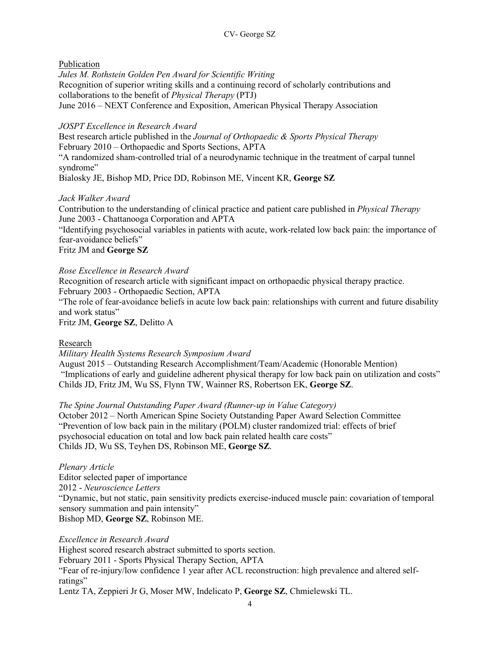## Publication

*Jules M. Rothstein Golden Pen Award for Scientific Writing*  Recognition of superior writing skills and a continuing record of scholarly contributions and collaborations to the benefit of *Physical Therapy* (PTJ) June 2016 – NEXT Conference and Exposition, American Physical Therapy Association

## *JOSPT Excellence in Research Award*

Best research article published in the *Journal of Orthopaedic & Sports Physical Therapy* February 2010 – Orthopaedic and Sports Sections, APTA "A randomized sham-controlled trial of a neurodynamic technique in the treatment of carpal tunnel syndrome" Bialosky JE, Bishop MD, Price DD, Robinson ME, Vincent KR, **George SZ**

## *Jack Walker Award*

Contribution to the understanding of clinical practice and patient care published in *Physical Therapy* June 2003 - Chattanooga Corporation and APTA

"Identifying psychosocial variables in patients with acute, work-related low back pain: the importance of fear-avoidance beliefs"

## Fritz JM and **George SZ**

## *Rose Excellence in Research Award*

Recognition of research article with significant impact on orthopaedic physical therapy practice. February 2003 - Orthopaedic Section, APTA

"The role of fear-avoidance beliefs in acute low back pain: relationships with current and future disability and work status"

Fritz JM, **George SZ**, Delitto A

## Research

#### *Military Health Systems Research Symposium Award*

August 2015 – Outstanding Research Accomplishment/Team/Academic (Honorable Mention) "Implications of early and guideline adherent physical therapy for low back pain on utilization and costs" Childs JD, Fritz JM, Wu SS, Flynn TW, Wainner RS, Robertson EK, **George SZ**.

#### *The Spine Journal Outstanding Paper Award (Runner-up in Value Category)*

October 2012 – North American Spine Society Outstanding Paper Award Selection Committee "Prevention of low back pain in the military (POLM) cluster randomized trial: effects of brief psychosocial education on total and low back pain related health care costs" Childs JD, Wu SS, Teyhen DS, Robinson ME, **George SZ**.

*Plenary Article*  Editor selected paper of importance 2012 - *Neuroscience Letters* "Dynamic, but not static, pain sensitivity predicts exercise-induced muscle pain: covariation of temporal sensory summation and pain intensity" Bishop MD, **George SZ**, Robinson ME.

*Excellence in Research Award* Highest scored research abstract submitted to sports section. February 2011 - Sports Physical Therapy Section, APTA "Fear of re-injury/low confidence 1 year after ACL reconstruction: high prevalence and altered selfratings" Lentz TA, Zeppieri Jr G, Moser MW, Indelicato P, **George SZ**, Chmielewski TL.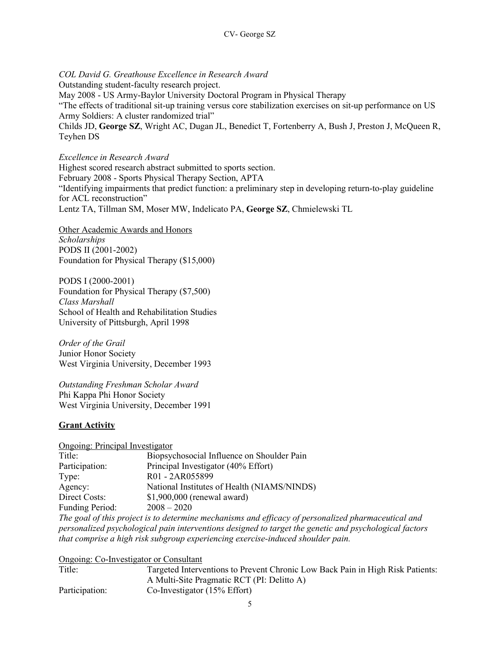*COL David G. Greathouse Excellence in Research Award* Outstanding student-faculty research project. May 2008 - US Army-Baylor University Doctoral Program in Physical Therapy "The effects of traditional sit-up training versus core stabilization exercises on sit-up performance on US Army Soldiers: A cluster randomized trial" Childs JD, **George SZ**, Wright AC, Dugan JL, Benedict T, Fortenberry A, Bush J, Preston J, McQueen R, Teyhen DS

#### *Excellence in Research Award*

Highest scored research abstract submitted to sports section. February 2008 - Sports Physical Therapy Section, APTA "Identifying impairments that predict function: a preliminary step in developing return-to-play guideline for ACL reconstruction" Lentz TA, Tillman SM, Moser MW, Indelicato PA, **George SZ**, Chmielewski TL

Other Academic Awards and Honors *Scholarships*  PODS II (2001-2002) Foundation for Physical Therapy (\$15,000)

PODS I (2000-2001) Foundation for Physical Therapy (\$7,500) *Class Marshall*  School of Health and Rehabilitation Studies University of Pittsburgh, April 1998

*Order of the Grail*  Junior Honor Society West Virginia University, December 1993

*Outstanding Freshman Scholar Award*  Phi Kappa Phi Honor Society West Virginia University, December 1991

#### **Grant Activity**

Ongoing: Principal Investigator

| Title:          | Biopsychosocial Influence on Shoulder Pain  |
|-----------------|---------------------------------------------|
| Participation:  | Principal Investigator (40% Effort)         |
| Type:           | R01 - 2AR055899                             |
| Agency:         | National Institutes of Health (NIAMS/NINDS) |
| Direct Costs:   | $$1,900,000$ (renewal award)                |
| Funding Period: | $2008 - 2020$                               |

*The goal of this project is to determine mechanisms and efficacy of personalized pharmaceutical and personalized psychological pain interventions designed to target the genetic and psychological factors that comprise a high risk subgroup experiencing exercise-induced shoulder pain.*

Ongoing: Co-Investigator or Consultant

| Title:         | Targeted Interventions to Prevent Chronic Low Back Pain in High Risk Patients: |
|----------------|--------------------------------------------------------------------------------|
|                | A Multi-Site Pragmatic RCT (PI: Delitto A)                                     |
| Participation: | Co-Investigator $(15\% \text{ Effort})$                                        |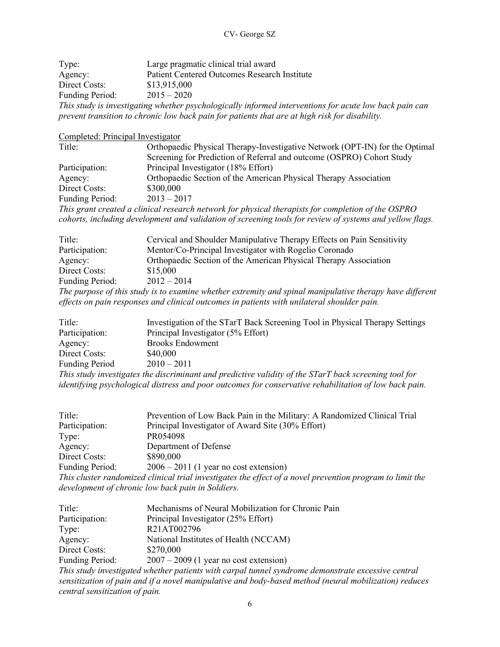| Type:                  | Large pragmatic clinical trial award                                                                   |
|------------------------|--------------------------------------------------------------------------------------------------------|
| Agency:                | Patient Centered Outcomes Research Institute                                                           |
| Direct Costs:          | \$13,915,000                                                                                           |
| <b>Funding Period:</b> | $2015 - 2020$                                                                                          |
|                        | This study is investigating whether psychologically informed interventions for acute low back pain can |
|                        | prevent transition to chronic low back pain for patients that are at high risk for disability.         |

Completed: Principal Investigator Title: Orthopaedic Physical Therapy-Investigative Network (OPT-IN) for the Optimal Screening for Prediction of Referral and outcome (OSPRO) Cohort Study Participation: Principal Investigator (18% Effort) Agency: Orthopaedic Section of the American Physical Therapy Association Direct Costs: \$300,000<br>Funding Period: 2013 – 2017

Funding Period:

*This grant created a clinical research network for physical therapists for completion of the OSPRO cohorts, including development and validation of screening tools for review of systems and yellow flags.* 

| Title:                                                                                                   | Cervical and Shoulder Manipulative Therapy Effects on Pain Sensitivity |  |
|----------------------------------------------------------------------------------------------------------|------------------------------------------------------------------------|--|
| Participation:                                                                                           | Mentor/Co-Principal Investigator with Rogelio Coronado                 |  |
| Agency:                                                                                                  | Orthopaedic Section of the American Physical Therapy Association       |  |
| Direct Costs:                                                                                            | \$15,000                                                               |  |
| <b>Funding Period:</b>                                                                                   | $2012 - 2014$                                                          |  |
| The purpose of this study is to examine whether extremity and spinal manipulative therapy have different |                                                                        |  |
| effects on pain responses and clinical outcomes in patients with unilateral shoulder pain.               |                                                                        |  |

| Title:                                                                                                | Investigation of the STarT Back Screening Tool in Physical Therapy Settings |  |
|-------------------------------------------------------------------------------------------------------|-----------------------------------------------------------------------------|--|
| Participation:                                                                                        | Principal Investigator (5% Effort)                                          |  |
| Agency:                                                                                               | <b>Brooks Endowment</b>                                                     |  |
| Direct Costs:                                                                                         | \$40,000                                                                    |  |
| <b>Funding Period</b>                                                                                 | $2010 - 2011$                                                               |  |
| This study investigates the discriminant and predictive validity of the STarT back screening tool for |                                                                             |  |

*identifying psychological distress and poor outcomes for conservative rehabilitation of low back pain.* 

| Title:                                                                                                    | Prevention of Low Back Pain in the Military: A Randomized Clinical Trial |  |
|-----------------------------------------------------------------------------------------------------------|--------------------------------------------------------------------------|--|
| Participation:                                                                                            | Principal Investigator of Award Site (30% Effort)                        |  |
| Type:                                                                                                     | PR054098                                                                 |  |
| Agency:                                                                                                   | Department of Defense                                                    |  |
| Direct Costs:                                                                                             | \$890,000                                                                |  |
| <b>Funding Period:</b>                                                                                    | $2006 - 2011$ (1 year no cost extension)                                 |  |
| This cluster randomized clinical trial investigates the effect of a novel prevention program to limit the |                                                                          |  |
|                                                                                                           | development of chronic low back pain in Soldiers.                        |  |

| Title:                         | Mechanisms of Neural Mobilization for Chronic Pain                                                    |
|--------------------------------|-------------------------------------------------------------------------------------------------------|
| Participation:                 | Principal Investigator (25% Effort)                                                                   |
| Type:                          | R21AT002796                                                                                           |
| Agency:                        | National Institutes of Health (NCCAM)                                                                 |
| Direct Costs:                  | \$270,000                                                                                             |
| Funding Period:                | $2007 - 2009$ (1 year no cost extension)                                                              |
|                                | This study investigated whether patients with carpal tunnel syndrome demonstrate excessive central    |
|                                | sensitization of pain and if a novel manipulative and body-based method (neural mobilization) reduces |
| central sensitization of pain. |                                                                                                       |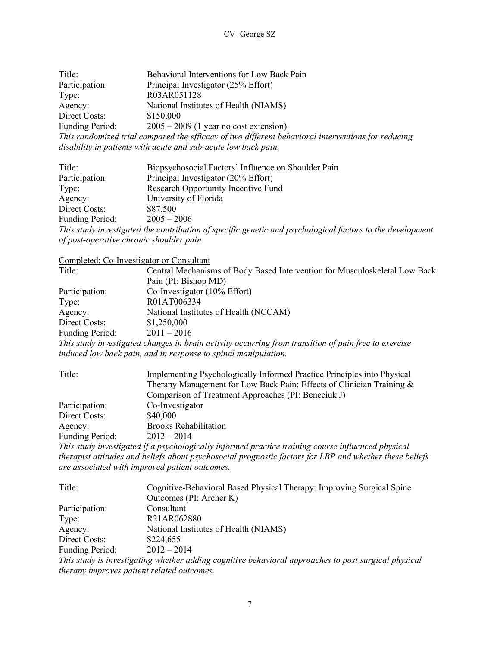| Title:                                                                                             | Behavioral Interventions for Low Back Pain |  |
|----------------------------------------------------------------------------------------------------|--------------------------------------------|--|
| Participation:                                                                                     | Principal Investigator (25% Effort)        |  |
| Type:                                                                                              | R03AR051128                                |  |
| Agency:                                                                                            | National Institutes of Health (NIAMS)      |  |
| Direct Costs:                                                                                      | \$150,000                                  |  |
| <b>Funding Period:</b>                                                                             | $2005 - 2009$ (1 year no cost extension)   |  |
| This randomized trial compared the efficacy of two different behavioral interventions for reducing |                                            |  |
| disability in patients with acute and sub-acute low back pain.                                     |                                            |  |

| Title:                                   | Biopsychosocial Factors' Influence on Shoulder Pain                                                       |
|------------------------------------------|-----------------------------------------------------------------------------------------------------------|
| Participation:                           | Principal Investigator (20% Effort)                                                                       |
| Type:                                    | Research Opportunity Incentive Fund                                                                       |
| Agency:                                  | University of Florida                                                                                     |
| Direct Costs:                            | \$87,500                                                                                                  |
| Funding Period:                          | $2005 - 2006$                                                                                             |
|                                          | This study investigated the contribution of specific genetic and psychological factors to the development |
| of post-operative chronic shoulder pain. |                                                                                                           |

|                        | Completed: Co-Investigator or Consultant                                                             |
|------------------------|------------------------------------------------------------------------------------------------------|
| Title:                 | Central Mechanisms of Body Based Intervention for Musculoskeletal Low Back                           |
|                        | Pain (PI: Bishop MD)                                                                                 |
| Participation:         | Co-Investigator $(10\% \text{ Effort})$                                                              |
| Type:                  | R01AT006334                                                                                          |
| Agency:                | National Institutes of Health (NCCAM)                                                                |
| Direct Costs:          | \$1,250,000                                                                                          |
| <b>Funding Period:</b> | $2011 - 2016$                                                                                        |
|                        | This study investigated changes in brain activity occurring from transition of pain free to exercise |

*induced low back pain, and in response to spinal manipulation.* 

| Title:                 | Implementing Psychologically Informed Practice Principles into Physical<br>Therapy Management for Low Back Pain: Effects of Clinician Training & |
|------------------------|--------------------------------------------------------------------------------------------------------------------------------------------------|
|                        | Comparison of Treatment Approaches (PI: Beneciuk J)                                                                                              |
| Participation:         | Co-Investigator                                                                                                                                  |
| Direct Costs:          | \$40,000                                                                                                                                         |
| Agency:                | <b>Brooks Rehabilitation</b>                                                                                                                     |
| <b>Funding Period:</b> | $2012 - 2014$                                                                                                                                    |
|                        | This study investigated if a payakelectically informed practice training course influenced physical                                              |

*This study investigated if a psychologically informed practice training course influenced physical therapist attitudes and beliefs about psychosocial prognostic factors for LBP and whether these beliefs are associated with improved patient outcomes.* 

| Title:          | Cognitive-Behavioral Based Physical Therapy: Improving Surgical Spine                                |
|-----------------|------------------------------------------------------------------------------------------------------|
|                 | Outcomes (PI: Archer K)                                                                              |
| Participation:  | Consultant                                                                                           |
| Type:           | R21AR062880                                                                                          |
| Agency:         | National Institutes of Health (NIAMS)                                                                |
| Direct Costs:   | \$224,655                                                                                            |
| Funding Period: | $2012 - 2014$                                                                                        |
|                 | This study is investigating whether adding cognitive behavioral approaches to post surgical physical |

*therapy improves patient related outcomes.*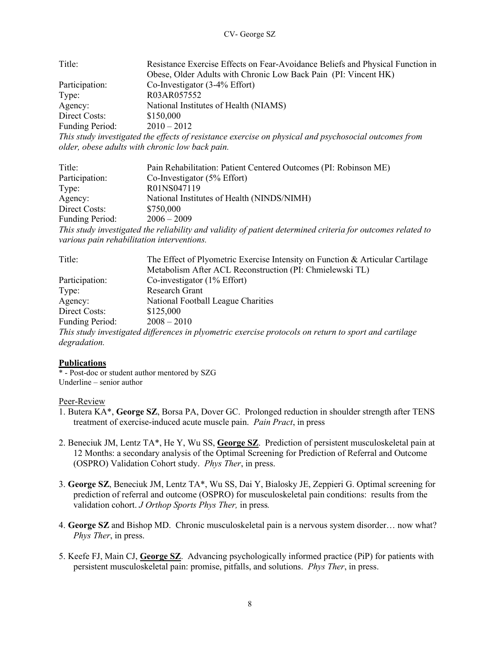| Title:          | Resistance Exercise Effects on Fear-Avoidance Beliefs and Physical Function in                        |
|-----------------|-------------------------------------------------------------------------------------------------------|
|                 | Obese, Older Adults with Chronic Low Back Pain (PI: Vincent HK)                                       |
| Participation:  | Co-Investigator $(3-4%$ Effort)                                                                       |
| Type:           | R03AR057552                                                                                           |
| Agency:         | National Institutes of Health (NIAMS)                                                                 |
| Direct Costs:   | \$150,000                                                                                             |
| Funding Period: | $2010 - 2012$                                                                                         |
|                 | This study investigated the effects of resistance exercise on physical and psychosocial outcomes from |

*older, obese adults with chronic low back pain.* 

| Title:                                     | Pain Rehabilitation: Patient Centered Outcomes (PI: Robinson ME)                                            |
|--------------------------------------------|-------------------------------------------------------------------------------------------------------------|
| Participation:                             | Co-Investigator $(5\%$ Effort)                                                                              |
| Type:                                      | R01NS047119                                                                                                 |
| Agency:                                    | National Institutes of Health (NINDS/NIMH)                                                                  |
| Direct Costs:                              | \$750,000                                                                                                   |
| <b>Funding Period:</b>                     | $2006 - 2009$                                                                                               |
|                                            | This study investigated the reliability and validity of patient determined criteria for outcomes related to |
| various pain rehabilitation interventions. |                                                                                                             |

| Title:                 | The Effect of Plyometric Exercise Intensity on Function & Articular Cartilage                         |
|------------------------|-------------------------------------------------------------------------------------------------------|
|                        | Metabolism After ACL Reconstruction (PI: Chmielewski TL)                                              |
| Participation:         | Co-investigator $(1\%$ Effort)                                                                        |
| Type:                  | Research Grant                                                                                        |
| Agency:                | National Football League Charities                                                                    |
| Direct Costs:          | \$125,000                                                                                             |
| <b>Funding Period:</b> | $2008 - 2010$                                                                                         |
|                        | This study investigated differences in plyometric exercise protocols on return to sport and cartilage |
| degradation.           |                                                                                                       |

#### **Publications**

\* - Post-doc or student author mentored by SZG Underline – senior author

#### Peer-Review

- 1. Butera KA\*, **George SZ**, Borsa PA, Dover GC. Prolonged reduction in shoulder strength after TENS treatment of exercise-induced acute muscle pain. *Pain Pract*, in press
- 2. Beneciuk JM, Lentz TA\*, He Y, Wu SS, **George SZ**. Prediction of persistent musculoskeletal pain at 12 Months: a secondary analysis of the Optimal Screening for Prediction of Referral and Outcome (OSPRO) Validation Cohort study. *Phys Ther*, in press.
- 3. **George SZ**, Beneciuk JM, Lentz TA\*, Wu SS, Dai Y, Bialosky JE, Zeppieri G. Optimal screening for prediction of referral and outcome (OSPRO) for musculoskeletal pain conditions: results from the validation cohort. *J Orthop Sports Phys Ther,* in press*.*
- 4. **George SZ** and Bishop MD. Chronic musculoskeletal pain is a nervous system disorder… now what? *Phys Ther*, in press.
- 5. Keefe FJ, Main CJ, **George SZ**. Advancing psychologically informed practice (PiP) for patients with persistent musculoskeletal pain: promise, pitfalls, and solutions. *Phys Ther*, in press.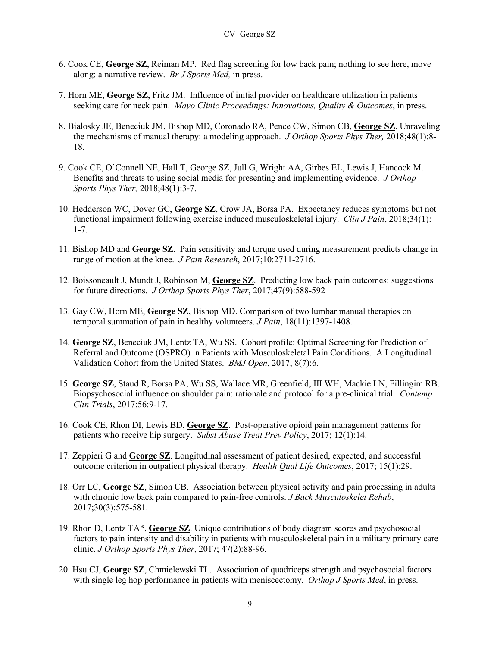- 6. Cook CE, **George SZ**, Reiman MP. Red flag screening for low back pain; nothing to see here, move along: a narrative review. *Br J Sports Med,* in press.
- 7. Horn ME, **George SZ**, Fritz JM. Influence of initial provider on healthcare utilization in patients seeking care for neck pain. *Mayo Clinic Proceedings: Innovations, Quality & Outcomes*, in press.
- 8. Bialosky JE, Beneciuk JM, Bishop MD, Coronado RA, Pence CW, Simon CB, **George SZ**. Unraveling the mechanisms of manual therapy: a modeling approach. *J Orthop Sports Phys Ther,* 2018;48(1):8- 18.
- 9. Cook CE, O'Connell NE, Hall T, George SZ, Jull G, Wright AA, Girbes EL, Lewis J, Hancock M. Benefits and threats to using social media for presenting and implementing evidence. *J Orthop Sports Phys Ther,* 2018;48(1):3-7.
- 10. Hedderson WC, Dover GC, **George SZ**, Crow JA, Borsa PA. Expectancy reduces symptoms but not functional impairment following exercise induced musculoskeletal injury. *Clin J Pain*, 2018;34(1): 1-7.
- 11. Bishop MD and **George SZ**. Pain sensitivity and torque used during measurement predicts change in range of motion at the knee. *J Pain Research*, 2017;10:2711-2716.
- 12. Boissoneault J, Mundt J, Robinson M, **George SZ**. Predicting low back pain outcomes: suggestions for future directions. *J Orthop Sports Phys Ther*, 2017;47(9):588-592
- 13. Gay CW, Horn ME, **George SZ**, Bishop MD. Comparison of two lumbar manual therapies on temporal summation of pain in healthy volunteers. *J Pain*, 18(11):1397-1408.
- 14. **George SZ**, Beneciuk JM, Lentz TA, Wu SS. Cohort profile: Optimal Screening for Prediction of Referral and Outcome (OSPRO) in Patients with Musculoskeletal Pain Conditions. A Longitudinal Validation Cohort from the United States. *BMJ Open*, 2017; 8(7):6.
- 15. **George SZ**, Staud R, Borsa PA, Wu SS, Wallace MR, Greenfield, III WH, Mackie LN, Fillingim RB. Biopsychosocial influence on shoulder pain: rationale and protocol for a pre-clinical trial. *Contemp Clin Trials*, 2017;56:9-17.
- 16. Cook CE, Rhon DI, Lewis BD, **George SZ**. Post-operative opioid pain management patterns for patients who receive hip surgery. *Subst Abuse Treat Prev Policy*, 2017; 12(1):14.
- 17. Zeppieri G and **George SZ**. Longitudinal assessment of patient desired, expected, and successful outcome criterion in outpatient physical therapy. *Health Qual Life Outcomes*, 2017; 15(1):29.
- 18. Orr LC, **George SZ**, Simon CB. Association between physical activity and pain processing in adults with chronic low back pain compared to pain-free controls. *J Back Musculoskelet Rehab*, 2017;30(3):575-581.
- 19. Rhon D, Lentz TA\*, **George SZ**. Unique contributions of body diagram scores and psychosocial factors to pain intensity and disability in patients with musculoskeletal pain in a military primary care clinic. *J Orthop Sports Phys Ther*, 2017; 47(2):88-96.
- 20. Hsu CJ, **George SZ**, Chmielewski TL. Association of quadriceps strength and psychosocial factors with single leg hop performance in patients with meniscectomy. *Orthop J Sports Med*, in press.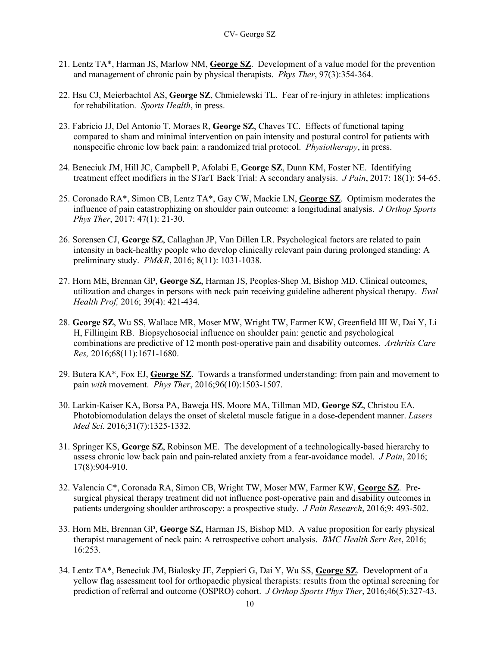- 21. Lentz TA\*, Harman JS, Marlow NM, **George SZ**. Development of a value model for the prevention and management of chronic pain by physical therapists. *Phys Ther*, 97(3):354-364.
- 22. Hsu CJ, Meierbachtol AS, **George SZ**, Chmielewski TL. Fear of re-injury in athletes: implications for rehabilitation. *Sports Health*, in press.
- 23. Fabricio JJ, Del Antonio T, Moraes R, **George SZ**, Chaves TC. Effects of functional taping compared to sham and minimal intervention on pain intensity and postural control for patients with nonspecific chronic low back pain: a randomized trial protocol. *Physiotherapy*, in press.
- 24. Beneciuk JM, Hill JC, Campbell P, Afolabi E, **George SZ**, Dunn KM, Foster NE. Identifying treatment effect modifiers in the STarT Back Trial: A secondary analysis. *J Pain*, 2017: 18(1): 54-65.
- 25. Coronado RA\*, Simon CB, Lentz TA\*, Gay CW, Mackie LN, **George SZ**. Optimism moderates the influence of pain catastrophizing on shoulder pain outcome: a longitudinal analysis. *J Orthop Sports Phys Ther*, 2017: 47(1): 21-30.
- 26. Sorensen CJ, **George SZ**, Callaghan JP, Van Dillen LR. Psychological factors are related to pain intensity in back-healthy people who develop clinically relevant pain during prolonged standing: A preliminary study. *PM&R*, 2016; 8(11): 1031-1038.
- 27. Horn ME, Brennan GP, **George SZ**, Harman JS, Peoples-Shep M, Bishop MD. Clinical outcomes, utilization and charges in persons with neck pain receiving guideline adherent physical therapy. *Eval Health Prof,* 2016; 39(4): 421-434.
- 28. **George SZ**, Wu SS, Wallace MR, Moser MW, Wright TW, Farmer KW, Greenfield III W, Dai Y, Li H, Fillingim RB. Biopsychosocial influence on shoulder pain: genetic and psychological combinations are predictive of 12 month post-operative pain and disability outcomes. *Arthritis Care Res,* 2016;68(11):1671-1680.
- 29. Butera KA\*, Fox EJ, **George SZ**. Towards a transformed understanding: from pain and movement to pain *with* movement. *Phys Ther*, 2016;96(10):1503-1507.
- 30. Larkin-Kaiser KA, Borsa PA, Baweja HS, Moore MA, Tillman MD, **George SZ**, Christou EA. Photobiomodulation delays the onset of skeletal muscle fatigue in a dose-dependent manner. *Lasers Med Sci.* 2016;31(7):1325-1332.
- 31. Springer KS, **George SZ**, Robinson ME. The development of a technologically-based hierarchy to assess chronic low back pain and pain-related anxiety from a fear-avoidance model. *J Pain*, 2016; 17(8):904-910.
- 32. Valencia C\*, Coronada RA, Simon CB, Wright TW, Moser MW, Farmer KW, **George SZ**. Presurgical physical therapy treatment did not influence post-operative pain and disability outcomes in patients undergoing shoulder arthroscopy: a prospective study. *J Pain Research*, 2016;9: 493-502.
- 33. Horn ME, Brennan GP, **George SZ**, Harman JS, Bishop MD. A value proposition for early physical therapist management of neck pain: A retrospective cohort analysis. *BMC Health Serv Res*, 2016; 16:253.
- 34. Lentz TA\*, Beneciuk JM, Bialosky JE, Zeppieri G, Dai Y, Wu SS, **George SZ**. Development of a yellow flag assessment tool for orthopaedic physical therapists: results from the optimal screening for prediction of referral and outcome (OSPRO) cohort. *J Orthop Sports Phys Ther*, 2016;46(5):327-43.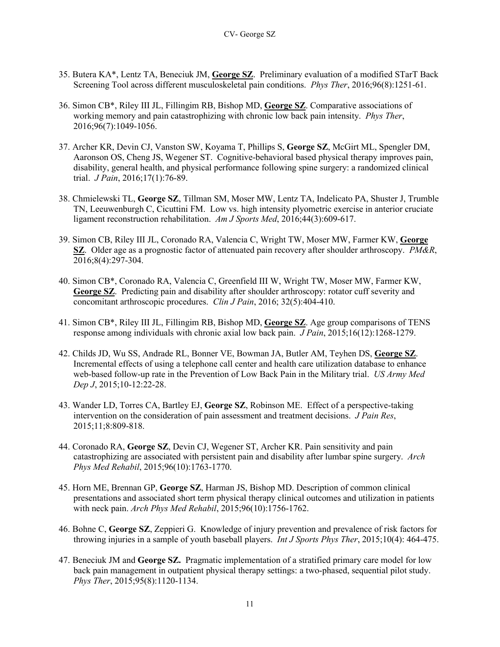- 35. Butera KA\*, Lentz TA, Beneciuk JM, **George SZ**. Preliminary evaluation of a modified STarT Back Screening Tool across different musculoskeletal pain conditions. *Phys Ther*, 2016;96(8):1251-61.
- 36. Simon CB\*, Riley III JL, Fillingim RB, Bishop MD, **George SZ**. Comparative associations of working memory and pain catastrophizing with chronic low back pain intensity. *Phys Ther*, 2016;96(7):1049-1056.
- 37. Archer KR, Devin CJ, Vanston SW, Koyama T, Phillips S, **George SZ**, McGirt ML, Spengler DM, Aaronson OS, Cheng JS, Wegener ST. Cognitive-behavioral based physical therapy improves pain, disability, general health, and physical performance following spine surgery: a randomized clinical trial. *J Pain*, 2016;17(1):76-89.
- 38. Chmielewski TL, **George SZ**, Tillman SM, Moser MW, Lentz TA, Indelicato PA, Shuster J, Trumble TN, Leeuwenburgh C, Cicuttini FM. Low vs. high intensity plyometric exercise in anterior cruciate ligament reconstruction rehabilitation. *Am J Sports Med*, 2016;44(3):609-617.
- 39. Simon CB, Riley III JL, Coronado RA, Valencia C, Wright TW, Moser MW, Farmer KW, **George SZ**. Older age as a prognostic factor of attenuated pain recovery after shoulder arthroscopy. *PM&R*, 2016;8(4):297-304.
- 40. Simon CB\*, Coronado RA, Valencia C, Greenfield III W, Wright TW, Moser MW, Farmer KW, **George SZ**. Predicting pain and disability after shoulder arthroscopy: rotator cuff severity and concomitant arthroscopic procedures. *Clin J Pain*, 2016; 32(5):404-410.
- 41. Simon CB\*, Riley III JL, Fillingim RB, Bishop MD, **George SZ**. Age group comparisons of TENS response among individuals with chronic axial low back pain. *J Pain*, 2015;16(12):1268-1279.
- 42. Childs JD, Wu SS, Andrade RL, Bonner VE, Bowman JA, Butler AM, Teyhen DS, **George SZ**. Incremental effects of using a telephone call center and health care utilization database to enhance web-based follow-up rate in the Prevention of Low Back Pain in the Military trial. *US Army Med Dep J*, 2015;10-12:22-28.
- 43. Wander LD, Torres CA, Bartley EJ, **George SZ**, Robinson ME. Effect of a perspective-taking intervention on the consideration of pain assessment and treatment decisions. *J Pain Res*, 2015;11;8:809-818.
- 44. Coronado RA, **George SZ**, Devin CJ, Wegener ST, Archer KR. Pain sensitivity and pain catastrophizing are associated with persistent pain and disability after lumbar spine surgery. *Arch Phys Med Rehabil*, 2015;96(10):1763-1770.
- 45. Horn ME, Brennan GP, **George SZ**, Harman JS, Bishop MD. Description of common clinical presentations and associated short term physical therapy clinical outcomes and utilization in patients with neck pain. *Arch Phys Med Rehabil*, 2015;96(10):1756-1762.
- 46. Bohne C, **George SZ**, Zeppieri G. Knowledge of injury prevention and prevalence of risk factors for throwing injuries in a sample of youth baseball players. *Int J Sports Phys Ther*, 2015;10(4): 464-475.
- 47. Beneciuk JM and **George SZ.** Pragmatic implementation of a stratified primary care model for low back pain management in outpatient physical therapy settings: a two-phased, sequential pilot study. *Phys Ther*, 2015;95(8):1120-1134.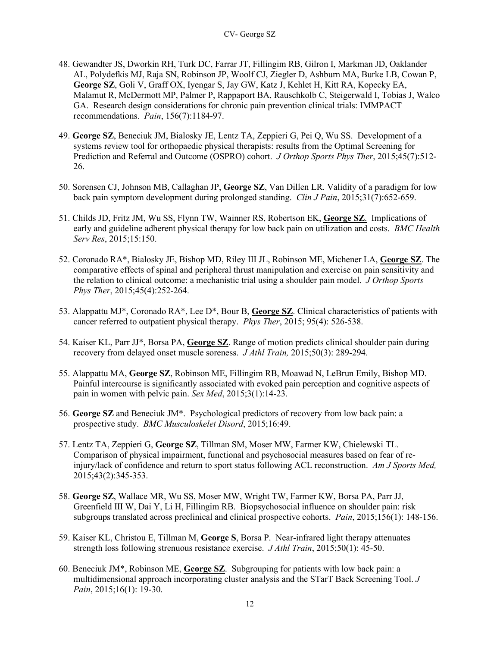- 48. Gewandter JS, Dworkin RH, Turk DC, Farrar JT, Fillingim RB, Gilron I, Markman JD, Oaklander AL, Polydefkis MJ, Raja SN, Robinson JP, Woolf CJ, Ziegler D, Ashburn MA, Burke LB, Cowan P, **George SZ**, Goli V, Graff OX, Iyengar S, Jay GW, Katz J, Kehlet H, Kitt RA, Kopecky EA, Malamut R, McDermott MP, Palmer P, Rappaport BA, Rauschkolb C, Steigerwald I, Tobias J, Walco GA. Research design considerations for chronic pain prevention clinical trials: IMMPACT recommendations. *Pain*, 156(7):1184-97.
- 49. **George SZ**, Beneciuk JM, Bialosky JE, Lentz TA, Zeppieri G, Pei Q, Wu SS. Development of a systems review tool for orthopaedic physical therapists: results from the Optimal Screening for Prediction and Referral and Outcome (OSPRO) cohort. *J Orthop Sports Phys Ther*, 2015;45(7):512- 26.
- 50. Sorensen CJ, Johnson MB, Callaghan JP, **George SZ**, Van Dillen LR. Validity of a paradigm for low back pain symptom development during prolonged standing. *Clin J Pain*, 2015;31(7):652-659.
- 51. Childs JD, Fritz JM, Wu SS, Flynn TW, Wainner RS, Robertson EK, **George SZ**. Implications of early and guideline adherent physical therapy for low back pain on utilization and costs. *BMC Health Serv Res*, 2015;15:150.
- 52. Coronado RA\*, Bialosky JE, Bishop MD, Riley III JL, Robinson ME, Michener LA, **George SZ**. The comparative effects of spinal and peripheral thrust manipulation and exercise on pain sensitivity and the relation to clinical outcome: a mechanistic trial using a shoulder pain model. *J Orthop Sports Phys Ther*, 2015;45(4):252-264.
- 53. Alappattu MJ\*, Coronado RA\*, Lee D\*, Bour B, **George SZ**. Clinical characteristics of patients with cancer referred to outpatient physical therapy. *Phys Ther*, 2015; 95(4): 526-538.
- 54. Kaiser KL, Parr JJ\*, Borsa PA, **George SZ**. Range of motion predicts clinical shoulder pain during recovery from delayed onset muscle soreness. *J Athl Train,* 2015;50(3): 289-294.
- 55. Alappattu MA, **George SZ**, Robinson ME, Fillingim RB, Moawad N, LeBrun Emily, Bishop MD. Painful intercourse is significantly associated with evoked pain perception and cognitive aspects of pain in women with pelvic pain. *Sex Med*, 2015;3(1):14-23.
- 56. **George SZ** and Beneciuk JM\*. Psychological predictors of recovery from low back pain: a prospective study. *BMC Musculoskelet Disord*, 2015;16:49.
- 57. Lentz TA, Zeppieri G, **George SZ**, Tillman SM, Moser MW, Farmer KW, Chielewski TL. Comparison of physical impairment, functional and psychosocial measures based on fear of reinjury/lack of confidence and return to sport status following ACL reconstruction. *Am J Sports Med,*  2015;43(2):345-353.
- 58. **George SZ**, Wallace MR, Wu SS, Moser MW, Wright TW, Farmer KW, Borsa PA, Parr JJ, Greenfield III W, Dai Y, Li H, Fillingim RB. Biopsychosocial influence on shoulder pain: risk subgroups translated across preclinical and clinical prospective cohorts. *Pain*, 2015;156(1): 148-156.
- 59. Kaiser KL, Christou E, Tillman M, **George S**, Borsa P. Near-infrared light therapy attenuates strength loss following strenuous resistance exercise. *J Athl Train*, 2015;50(1): 45-50.
- 60. Beneciuk JM\*, Robinson ME, **George SZ**. Subgrouping for patients with low back pain: a multidimensional approach incorporating cluster analysis and the STarT Back Screening Tool. *J Pain*, 2015;16(1): 19-30.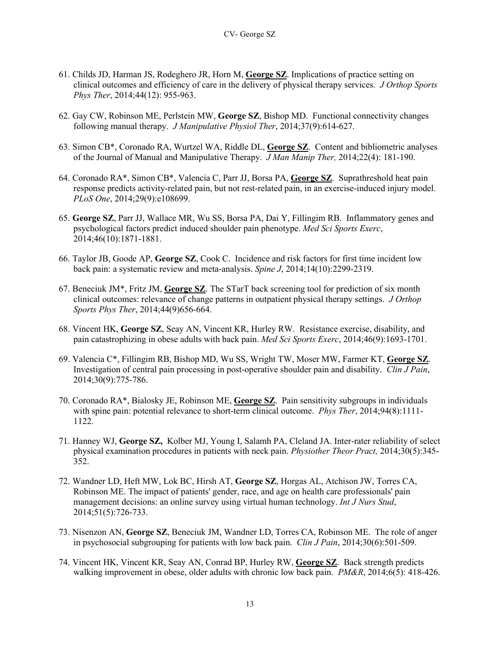- 61. Childs JD, Harman JS, Rodeghero JR, Horn M, **George SZ**. Implications of practice setting on clinical outcomes and efficiency of care in the delivery of physical therapy services. *J Orthop Sports Phys Ther*, 2014;44(12): 955-963.
- 62. Gay CW, Robinson ME, Perlstein MW, **George SZ**, Bishop MD. Functional connectivity changes following manual therapy. *J Manipulative Physiol Ther*, 2014;37(9):614-627.
- 63. Simon CB\*, Coronado RA, Wurtzel WA, Riddle DL, **George SZ**. Content and bibliometric analyses of the Journal of Manual and Manipulative Therapy. *J Man Manip Ther,* 2014;22(4): 181-190.
- 64. Coronado RA\*, Simon CB\*, Valencia C, Parr JJ, Borsa PA, **George SZ**. Suprathreshold heat pain response predicts activity-related pain, but not rest-related pain, in an exercise-induced injury model. *PLoS One*, 2014;29(9):e108699.
- 65. **George SZ**, Parr JJ, Wallace MR, Wu SS, Borsa PA, Dai Y, Fillingim RB. Inflammatory genes and psychological factors predict induced shoulder pain phenotype. *Med Sci Sports Exerc*, 2014;46(10):1871-1881.
- 66. Taylor JB, Goode AP, **George SZ**, Cook C. Incidence and risk factors for first time incident low back pain: a systematic review and meta-analysis. *Spine J*, 2014;14(10):2299-2319.
- 67. Beneciuk JM\*, Fritz JM, **George SZ**. The STarT back screening tool for prediction of six month clinical outcomes: relevance of change patterns in outpatient physical therapy settings. *J Orthop Sports Phys Ther*, 2014;44(9)656-664.
- 68. Vincent HK, **George SZ**, Seay AN, Vincent KR, Hurley RW. Resistance exercise, disability, and pain catastrophizing in obese adults with back pain. *Med Sci Sports Exerc*, 2014;46(9):1693-1701.
- 69. Valencia C\*, Fillingim RB, Bishop MD, Wu SS, Wright TW, Moser MW, Farmer KT, **George SZ**. Investigation of central pain processing in post-operative shoulder pain and disability. *Clin J Pain*, 2014;30(9):775-786.
- 70. Coronado RA\*, Bialosky JE, Robinson ME, **George SZ**. Pain sensitivity subgroups in individuals with spine pain: potential relevance to short-term clinical outcome. *Phys Ther*, 2014;94(8):1111- 1122.
- 71. Hanney WJ, **George SZ,** Kolber MJ, Young I, Salamh PA, Cleland JA. Inter-rater reliability of select physical examination procedures in patients with neck pain. *Physiother Theor Pract,* 2014;30(5):345- 352.
- 72. Wandner LD, Heft MW, Lok BC, Hirsh AT, **George SZ**, Horgas AL, Atchison JW, Torres CA, Robinson ME. The impact of patients' gender, race, and age on health care professionals' pain management decisions: an online survey using virtual human technology. *Int J Nurs Stud*, 2014;51(5):726-733.
- 73. Nisenzon AN, **George SZ**, Beneciuk JM, Wandner LD, Torres CA, Robinson ME. The role of anger in psychosocial subgrouping for patients with low back pain. *Clin J Pain*, 2014;30(6):501-509.
- 74. Vincent HK, Vincent KR, Seay AN, Conrad BP, Hurley RW, **George SZ**. Back strength predicts walking improvement in obese, older adults with chronic low back pain. *PM&R*, 2014;6(5): 418-426.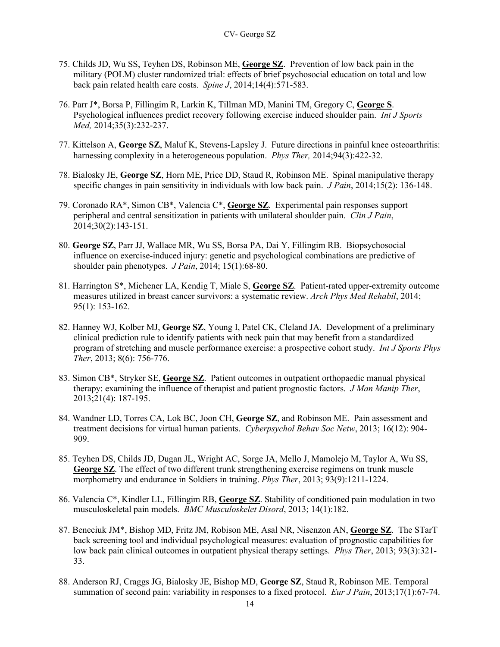- 75. Childs JD, Wu SS, Teyhen DS, Robinson ME, **George SZ**. Prevention of low back pain in the military (POLM) cluster randomized trial: effects of brief psychosocial education on total and low back pain related health care costs. *Spine J*, 2014;14(4):571-583.
- 76. Parr J\*, Borsa P, Fillingim R, Larkin K, Tillman MD, Manini TM, Gregory C, **George S**. Psychological influences predict recovery following exercise induced shoulder pain. *Int J Sports Med,* 2014;35(3):232-237.
- 77. Kittelson A, **George SZ**, Maluf K, Stevens-Lapsley J. Future directions in painful knee osteoarthritis: harnessing complexity in a heterogeneous population. *Phys Ther,* 2014;94(3):422-32.
- 78. Bialosky JE, **George SZ**, Horn ME, Price DD, Staud R, Robinson ME. Spinal manipulative therapy specific changes in pain sensitivity in individuals with low back pain. *J Pain*, 2014;15(2): 136-148.
- 79. Coronado RA\*, Simon CB\*, Valencia C\*, **George SZ**. Experimental pain responses support peripheral and central sensitization in patients with unilateral shoulder pain. *Clin J Pain*, 2014;30(2):143-151.
- 80. **George SZ**, Parr JJ, Wallace MR, Wu SS, Borsa PA, Dai Y, Fillingim RB. Biopsychosocial influence on exercise-induced injury: genetic and psychological combinations are predictive of shoulder pain phenotypes. *J Pain*, 2014; 15(1):68-80.
- 81. Harrington S\*, Michener LA, Kendig T, Miale S, **George SZ**. Patient-rated upper-extremity outcome measures utilized in breast cancer survivors: a systematic review. *Arch Phys Med Rehabil*, 2014; 95(1): 153-162.
- 82. Hanney WJ, Kolber MJ, **George SZ**, Young I, Patel CK, Cleland JA. Development of a preliminary clinical prediction rule to identify patients with neck pain that may benefit from a standardized program of stretching and muscle performance exercise: a prospective cohort study. *Int J Sports Phys Ther*, 2013; 8(6): 756-776.
- 83. Simon CB\*, Stryker SE, **George SZ**. Patient outcomes in outpatient orthopaedic manual physical therapy: examining the influence of therapist and patient prognostic factors. *J Man Manip Ther*, 2013;21(4): 187-195.
- 84. Wandner LD, Torres CA, Lok BC, Joon CH, **George SZ**, and Robinson ME. Pain assessment and treatment decisions for virtual human patients. *Cyberpsychol Behav Soc Netw*, 2013; 16(12): 904- 909.
- 85. Teyhen DS, Childs JD, Dugan JL, Wright AC, Sorge JA, Mello J, Mamolejo M, Taylor A, Wu SS, **George SZ**. The effect of two different trunk strengthening exercise regimens on trunk muscle morphometry and endurance in Soldiers in training. *Phys Ther*, 2013; 93(9):1211-1224.
- 86. Valencia C\*, Kindler LL, Fillingim RB, **George SZ**. Stability of conditioned pain modulation in two musculoskeletal pain models. *BMC Musculoskelet Disord*, 2013; 14(1):182.
- 87. Beneciuk JM\*, Bishop MD, Fritz JM, Robison ME, Asal NR, Nisenzon AN, **George SZ**. The STarT back screening tool and individual psychological measures: evaluation of prognostic capabilities for low back pain clinical outcomes in outpatient physical therapy settings. *Phys Ther*, 2013; 93(3):321- 33.
- 88. Anderson RJ, Craggs JG, Bialosky JE, Bishop MD, **George SZ**, Staud R, Robinson ME. Temporal summation of second pain: variability in responses to a fixed protocol. *Eur J Pain*, 2013;17(1):67-74.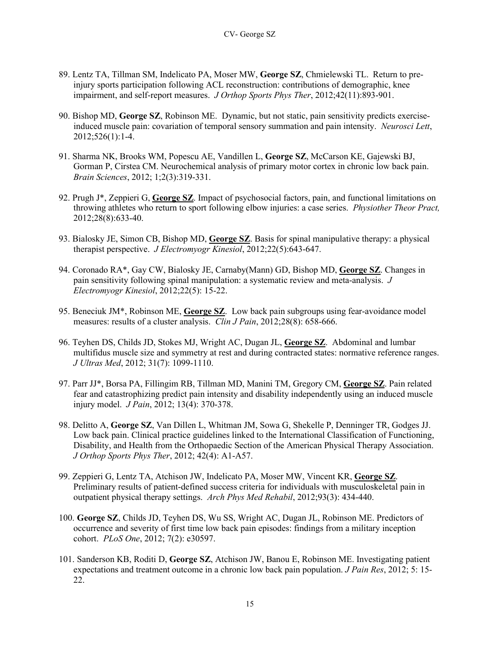- 89. Lentz TA, Tillman SM, Indelicato PA, Moser MW, **George SZ**, Chmielewski TL. Return to preinjury sports participation following ACL reconstruction: contributions of demographic, knee impairment, and self-report measures. *J Orthop Sports Phys Ther*, 2012;42(11):893-901.
- 90. Bishop MD, **George SZ**, Robinson ME. Dynamic, but not static, pain sensitivity predicts exerciseinduced muscle pain: covariation of temporal sensory summation and pain intensity. *Neurosci Lett*, 2012;526(1):1-4.
- 91. Sharma NK, Brooks WM, Popescu AE, Vandillen L, **George SZ**, McCarson KE, Gajewski BJ, Gorman P, Cirstea CM. Neurochemical analysis of primary motor cortex in chronic low back pain. *Brain Sciences*, 2012; 1;2(3):319-331.
- 92. Prugh J\*, Zeppieri G, **George SZ**. Impact of psychosocial factors, pain, and functional limitations on throwing athletes who return to sport following elbow injuries: a case series. *Physiother Theor Pract,*  2012;28(8):633-40.
- 93. Bialosky JE, Simon CB, Bishop MD, **George SZ**. Basis for spinal manipulative therapy: a physical therapist perspective. *J Electromyogr Kinesiol*, 2012;22(5):643-647.
- 94. Coronado RA\*, Gay CW, Bialosky JE, Carnaby(Mann) GD, Bishop MD, **George SZ**. Changes in pain sensitivity following spinal manipulation: a systematic review and meta-analysis. *J Electromyogr Kinesiol*, 2012;22(5): 15-22.
- 95. Beneciuk JM\*, Robinson ME, **George SZ**. Low back pain subgroups using fear-avoidance model measures: results of a cluster analysis. *Clin J Pain*, 2012;28(8): 658-666.
- 96. Teyhen DS, Childs JD, Stokes MJ, Wright AC, Dugan JL, **George SZ**. Abdominal and lumbar multifidus muscle size and symmetry at rest and during contracted states: normative reference ranges. *J Ultras Med*, 2012; 31(7): 1099-1110.
- 97. Parr JJ\*, Borsa PA, Fillingim RB, Tillman MD, Manini TM, Gregory CM, **George SZ**. Pain related fear and catastrophizing predict pain intensity and disability independently using an induced muscle injury model. *J Pain*, 2012; 13(4): 370-378.
- 98. Delitto A, **George SZ**, Van Dillen L, Whitman JM, Sowa G, Shekelle P, Denninger TR, Godges JJ. Low back pain. Clinical practice guidelines linked to the International Classification of Functioning, Disability, and Health from the Orthopaedic Section of the American Physical Therapy Association. *J Orthop Sports Phys Ther*, 2012; 42(4): A1-A57.
- 99. Zeppieri G, Lentz TA, Atchison JW, Indelicato PA, Moser MW, Vincent KR, **George SZ**. Preliminary results of patient-defined success criteria for individuals with musculoskeletal pain in outpatient physical therapy settings. *Arch Phys Med Rehabil*, 2012;93(3): 434-440.
- 100. **George SZ**, Childs JD, Teyhen DS, Wu SS, Wright AC, Dugan JL, Robinson ME. Predictors of occurrence and severity of first time low back pain episodes: findings from a military inception cohort. *PLoS One*, 2012; 7(2): e30597.
- 101. Sanderson KB, Roditi D, **George SZ**, Atchison JW, Banou E, Robinson ME. Investigating patient expectations and treatment outcome in a chronic low back pain population. *J Pain Res*, 2012; 5: 15- 22.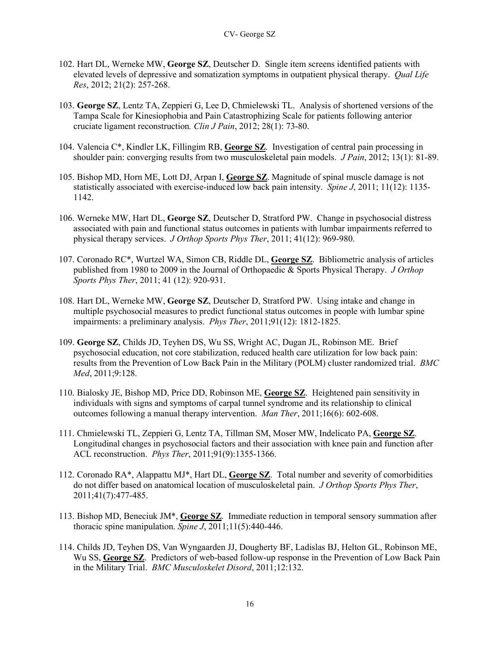- 102. Hart DL, Werneke MW, **George SZ**, Deutscher D. Single item screens identified patients with elevated levels of depressive and somatization symptoms in outpatient physical therapy. *Qual Life Res*, 2012; 21(2): 257-268.
- 103. **George SZ**, Lentz TA, Zeppieri G, Lee D, Chmielewski TL. Analysis of shortened versions of the Tampa Scale for Kinesiophobia and Pain Catastrophizing Scale for patients following anterior cruciate ligament reconstruction*. Clin J Pain*, 2012; 28(1): 73-80.
- 104. Valencia C\*, Kindler LK, Fillingim RB, **George SZ**. Investigation of central pain processing in shoulder pain: converging results from two musculoskeletal pain models. *J Pain*, 2012; 13(1): 81-89.
- 105. Bishop MD, Horn ME, Lott DJ, Arpan I, **George SZ**. Magnitude of spinal muscle damage is not statistically associated with exercise-induced low back pain intensity. *Spine J*, 2011; 11(12): 1135- 1142.
- 106. Werneke MW, Hart DL, **George SZ**, Deutscher D, Stratford PW. Change in psychosocial distress associated with pain and functional status outcomes in patients with lumbar impairments referred to physical therapy services. *J Orthop Sports Phys Ther*, 2011; 41(12): 969-980.
- 107. Coronado RC\*, Wurtzel WA, Simon CB, Riddle DL, **George SZ**. Bibliometric analysis of articles published from 1980 to 2009 in the Journal of Orthopaedic & Sports Physical Therapy. *J Orthop Sports Phys Ther*, 2011; 41 (12): 920-931.
- 108. Hart DL, Werneke MW, **George SZ**, Deutscher D, Stratford PW. Using intake and change in multiple psychosocial measures to predict functional status outcomes in people with lumbar spine impairments: a preliminary analysis. *Phys Ther*, 2011;91(12): 1812-1825.
- 109. **George SZ**, Childs JD, Teyhen DS, Wu SS, Wright AC, Dugan JL, Robinson ME. Brief psychosocial education, not core stabilization, reduced health care utilization for low back pain: results from the Prevention of Low Back Pain in the Military (POLM) cluster randomized trial. *BMC Med*, 2011;9:128.
- 110. Bialosky JE, Bishop MD, Price DD, Robinson ME, **George SZ**. Heightened pain sensitivity in individuals with signs and symptoms of carpal tunnel syndrome and its relationship to clinical outcomes following a manual therapy intervention. *Man Ther*, 2011;16(6): 602-608.
- 111. Chmielewski TL, Zeppieri G, Lentz TA, Tillman SM, Moser MW, Indelicato PA, **George SZ**. Longitudinal changes in psychosocial factors and their association with knee pain and function after ACL reconstruction. *Phys Ther*, 2011;91(9):1355-1366.
- 112. Coronado RA\*, Alappattu MJ\*, Hart DL, **George SZ**. Total number and severity of comorbidities do not differ based on anatomical location of musculoskeletal pain. *J Orthop Sports Phys Ther*, 2011;41(7):477-485.
- 113. Bishop MD, Beneciuk JM\*, **George SZ**. Immediate reduction in temporal sensory summation after thoracic spine manipulation. *Spine J*, 2011;11(5):440-446.
- 114. Childs JD, Teyhen DS, Van Wyngaarden JJ, Dougherty BF, Ladislas BJ, Helton GL, Robinson ME, Wu SS, **George SZ**. Predictors of web-based follow-up response in the Prevention of Low Back Pain in the Military Trial. *BMC Musculoskelet Disord*, 2011;12:132.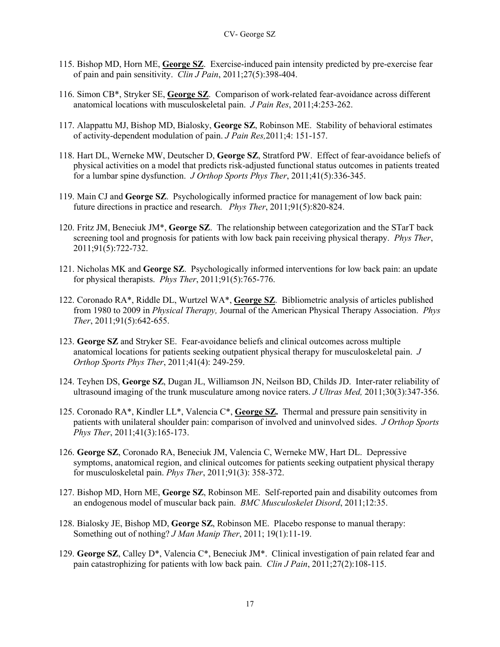- 115. Bishop MD, Horn ME, **George SZ**. Exercise-induced pain intensity predicted by pre-exercise fear of pain and pain sensitivity. *Clin J Pain*, 2011;27(5):398-404.
- 116. Simon CB\*, Stryker SE, **George SZ**. Comparison of work-related fear-avoidance across different anatomical locations with musculoskeletal pain. *J Pain Res*, 2011;4:253-262.
- 117. Alappattu MJ, Bishop MD, Bialosky, **George SZ**, Robinson ME. Stability of behavioral estimates of activity-dependent modulation of pain. *J Pain Res,*2011;4: 151-157.
- 118. Hart DL, Werneke MW, Deutscher D, **George SZ**, Stratford PW. Effect of fear-avoidance beliefs of physical activities on a model that predicts risk-adjusted functional status outcomes in patients treated for a lumbar spine dysfunction. *J Orthop Sports Phys Ther*, 2011;41(5):336-345.
- 119. Main CJ and **George SZ**. Psychologically informed practice for management of low back pain: future directions in practice and research. *Phys Ther*, 2011;91(5):820-824.
- 120. Fritz JM, Beneciuk JM\*, **George SZ**. The relationship between categorization and the STarT back screening tool and prognosis for patients with low back pain receiving physical therapy. *Phys Ther*, 2011;91(5):722-732.
- 121. Nicholas MK and **George SZ**. Psychologically informed interventions for low back pain: an update for physical therapists. *Phys Ther*, 2011;91(5):765-776.
- 122. Coronado RA\*, Riddle DL, Wurtzel WA\*, **George SZ**. Bibliometric analysis of articles published from 1980 to 2009 in *Physical Therapy,* Journal of the American Physical Therapy Association. *Phys Ther*, 2011;91(5):642-655.
- 123. **George SZ** and Stryker SE. Fear-avoidance beliefs and clinical outcomes across multiple anatomical locations for patients seeking outpatient physical therapy for musculoskeletal pain. *J Orthop Sports Phys Ther*, 2011;41(4): 249-259.
- 124. Teyhen DS, **George SZ**, Dugan JL, Williamson JN, Neilson BD, Childs JD. Inter-rater reliability of ultrasound imaging of the trunk musculature among novice raters. *J Ultras Med,* 2011;30(3):347-356.
- 125. Coronado RA\*, Kindler LL\*, Valencia C\*, **George SZ.** Thermal and pressure pain sensitivity in patients with unilateral shoulder pain: comparison of involved and uninvolved sides. *J Orthop Sports Phys Ther*, 2011;41(3):165-173.
- 126. **George SZ**, Coronado RA, Beneciuk JM, Valencia C, Werneke MW, Hart DL. Depressive symptoms, anatomical region, and clinical outcomes for patients seeking outpatient physical therapy for musculoskeletal pain. *Phys Ther*, 2011;91(3): 358-372.
- 127. Bishop MD, Horn ME, **George SZ**, Robinson ME. Self-reported pain and disability outcomes from an endogenous model of muscular back pain. *BMC Musculoskelet Disord*, 2011;12:35.
- 128. Bialosky JE, Bishop MD, **George SZ**, Robinson ME. Placebo response to manual therapy: Something out of nothing? *J Man Manip Ther*, 2011; 19(1):11-19.
- 129. **George SZ**, Calley D\*, Valencia C\*, Beneciuk JM\*. Clinical investigation of pain related fear and pain catastrophizing for patients with low back pain. *Clin J Pain*, 2011;27(2):108-115.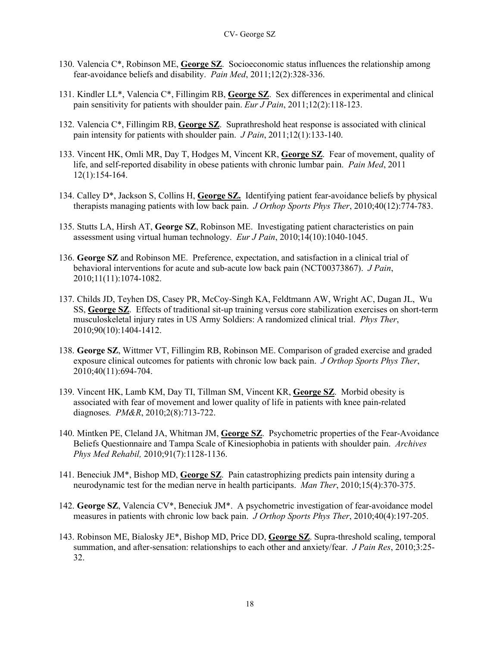- 130. Valencia C\*, Robinson ME, **George SZ**. Socioeconomic status influences the relationship among fear-avoidance beliefs and disability. *Pain Med*, 2011;12(2):328-336.
- 131. Kindler LL\*, Valencia C\*, Fillingim RB, **George SZ**. Sex differences in experimental and clinical pain sensitivity for patients with shoulder pain. *Eur J Pain*, 2011;12(2):118-123.
- 132. Valencia C\*, Fillingim RB, **George SZ**. Suprathreshold heat response is associated with clinical pain intensity for patients with shoulder pain. *J Pain*, 2011;12(1):133-140.
- 133. Vincent HK, Omli MR, Day T, Hodges M, Vincent KR, **George SZ**. Fear of movement, quality of life, and self-reported disability in obese patients with chronic lumbar pain. *Pain Med*, 2011 12(1):154-164.
- 134. Calley D\*, Jackson S, Collins H, **George SZ.** Identifying patient fear-avoidance beliefs by physical therapists managing patients with low back pain. *J Orthop Sports Phys Ther*, 2010;40(12):774-783.
- 135. Stutts LA, Hirsh AT, **George SZ**, Robinson ME. Investigating patient characteristics on pain assessment using virtual human technology. *Eur J Pain*, 2010;14(10):1040-1045.
- 136. **George SZ** and Robinson ME. Preference, expectation, and satisfaction in a clinical trial of behavioral interventions for acute and sub-acute low back pain (NCT00373867). *J Pain*, 2010;11(11):1074-1082.
- 137. Childs JD, Teyhen DS, Casey PR, McCoy-Singh KA, Feldtmann AW, Wright AC, Dugan JL, Wu SS, **George SZ**. Effects of traditional sit-up training versus core stabilization exercises on short-term musculoskeletal injury rates in US Army Soldiers: A randomized clinical trial. *Phys Ther*, 2010;90(10):1404-1412.
- 138. **George SZ**, Wittmer VT, Fillingim RB, Robinson ME. Comparison of graded exercise and graded exposure clinical outcomes for patients with chronic low back pain. *J Orthop Sports Phys Ther*, 2010;40(11):694-704.
- 139. Vincent HK, Lamb KM, Day TI, Tillman SM, Vincent KR, **George SZ**. Morbid obesity is associated with fear of movement and lower quality of life in patients with knee pain-related diagnoses. *PM&R*, 2010;2(8):713-722.
- 140. Mintken PE, Cleland JA, Whitman JM, **George SZ**. Psychometric properties of the Fear-Avoidance Beliefs Questionnaire and Tampa Scale of Kinesiophobia in patients with shoulder pain. *Archives Phys Med Rehabil,* 2010;91(7):1128-1136.
- 141. Beneciuk JM\*, Bishop MD, **George SZ**. Pain catastrophizing predicts pain intensity during a neurodynamic test for the median nerve in health participants. *Man Ther*, 2010;15(4):370-375.
- 142. **George SZ**, Valencia CV\*, Beneciuk JM\*. A psychometric investigation of fear-avoidance model measures in patients with chronic low back pain. *J Orthop Sports Phys Ther*, 2010;40(4):197-205.
- 143. Robinson ME, Bialosky JE\*, Bishop MD, Price DD, **George SZ**. Supra-threshold scaling, temporal summation, and after-sensation: relationships to each other and anxiety/fear. *J Pain Res*, 2010;3:25- 32.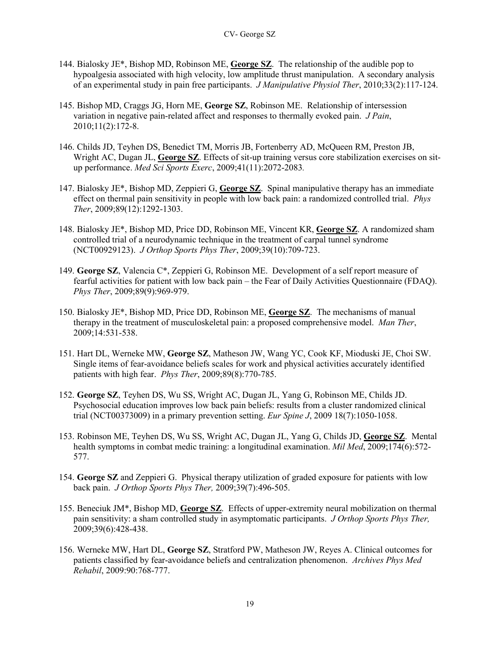- 144. Bialosky JE\*, Bishop MD, Robinson ME, **George SZ**. The relationship of the audible pop to hypoalgesia associated with high velocity, low amplitude thrust manipulation. A secondary analysis of an experimental study in pain free participants. *J Manipulative Physiol Ther*, 2010;33(2):117-124.
- 145. Bishop MD, Craggs JG, Horn ME, **George SZ**, Robinson ME. Relationship of intersession variation in negative pain-related affect and responses to thermally evoked pain. *J Pain*, 2010;11(2):172-8.
- 146. Childs JD, Teyhen DS, Benedict TM, Morris JB, Fortenberry AD, McQueen RM, Preston JB, Wright AC, Dugan JL, **George SZ**. Effects of sit-up training versus core stabilization exercises on situp performance. *Med Sci Sports Exerc*, 2009;41(11):2072-2083*.*
- 147. Bialosky JE\*, Bishop MD, Zeppieri G, **George SZ**. Spinal manipulative therapy has an immediate effect on thermal pain sensitivity in people with low back pain: a randomized controlled trial. *Phys Ther*, 2009;89(12):1292-1303.
- 148. Bialosky JE\*, Bishop MD, Price DD, Robinson ME, Vincent KR, **George SZ**. A randomized sham controlled trial of a neurodynamic technique in the treatment of carpal tunnel syndrome (NCT00929123). *J Orthop Sports Phys Ther*, 2009;39(10):709-723.
- 149. **George SZ**, Valencia C\*, Zeppieri G, Robinson ME. Development of a self report measure of fearful activities for patient with low back pain – the Fear of Daily Activities Questionnaire (FDAQ). *Phys Ther*, 2009;89(9):969-979.
- 150. Bialosky JE\*, Bishop MD, Price DD, Robinson ME, **George SZ**. The mechanisms of manual therapy in the treatment of musculoskeletal pain: a proposed comprehensive model. *Man Ther*, 2009;14:531-538.
- 151. Hart DL, Werneke MW, **George SZ**, Matheson JW, Wang YC, Cook KF, Mioduski JE, Choi SW. Single items of fear-avoidance beliefs scales for work and physical activities accurately identified patients with high fear. *Phys Ther*, 2009;89(8):770-785.
- 152. **George SZ**, Teyhen DS, Wu SS, Wright AC, Dugan JL, Yang G, Robinson ME, Childs JD. Psychosocial education improves low back pain beliefs: results from a cluster randomized clinical trial (NCT00373009) in a primary prevention setting. *Eur Spine J*, 2009 18(7):1050-1058.
- 153. Robinson ME, Teyhen DS, Wu SS, Wright AC, Dugan JL, Yang G, Childs JD, **George SZ**. Mental health symptoms in combat medic training: a longitudinal examination. *Mil Med*, 2009;174(6):572- 577.
- 154. **George SZ** and Zeppieri G. Physical therapy utilization of graded exposure for patients with low back pain. *J Orthop Sports Phys Ther,* 2009;39(7):496-505.
- 155. Beneciuk JM\*, Bishop MD, **George SZ**. Effects of upper-extremity neural mobilization on thermal pain sensitivity: a sham controlled study in asymptomatic participants. *J Orthop Sports Phys Ther,*  2009;39(6):428-438.
- 156. Werneke MW, Hart DL, **George SZ**, Stratford PW, Matheson JW, Reyes A. Clinical outcomes for patients classified by fear-avoidance beliefs and centralization phenomenon. *Archives Phys Med Rehabil*, 2009:90:768-777.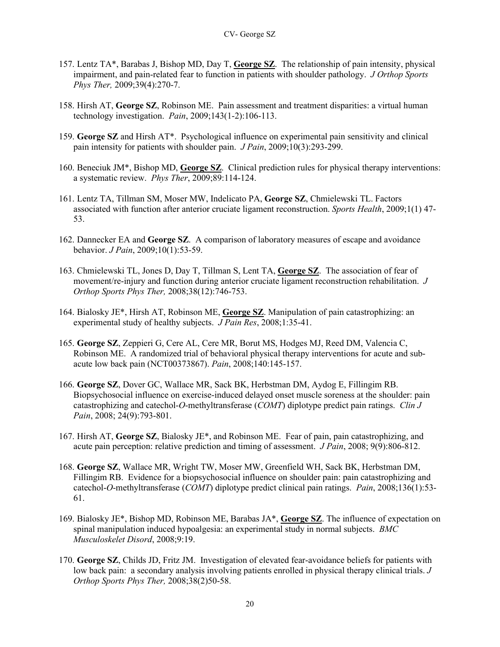- 157. Lentz TA\*, Barabas J, Bishop MD, Day T, **George SZ**. The relationship of pain intensity, physical impairment, and pain-related fear to function in patients with shoulder pathology. *J Orthop Sports Phys Ther,* 2009;39(4):270-7.
- 158. Hirsh AT, **George SZ**, Robinson ME. Pain assessment and treatment disparities: a virtual human technology investigation. *Pain*, 2009;143(1-2):106-113.
- 159. **George SZ** and Hirsh AT\*. Psychological influence on experimental pain sensitivity and clinical pain intensity for patients with shoulder pain. *J Pain*, 2009;10(3):293-299.
- 160. Beneciuk JM\*, Bishop MD, **George SZ**. Clinical prediction rules for physical therapy interventions: a systematic review. *Phys Ther*, 2009;89:114-124.
- 161. Lentz TA, Tillman SM, Moser MW, Indelicato PA, **George SZ**, Chmielewski TL. Factors associated with function after anterior cruciate ligament reconstruction. *Sports Health*, 2009;1(1) 47- 53.
- 162. Dannecker EA and **George SZ**. A comparison of laboratory measures of escape and avoidance behavior. *J Pain*, 2009;10(1):53-59.
- 163. Chmielewski TL, Jones D, Day T, Tillman S, Lent TA, **George SZ**. The association of fear of movement/re-injury and function during anterior cruciate ligament reconstruction rehabilitation. *J Orthop Sports Phys Ther,* 2008;38(12):746-753.
- 164. Bialosky JE\*, Hirsh AT, Robinson ME, **George SZ**. Manipulation of pain catastrophizing: an experimental study of healthy subjects. *J Pain Res*, 2008;1:35-41.
- 165. **George SZ**, Zeppieri G, Cere AL, Cere MR, Borut MS, Hodges MJ, Reed DM, Valencia C, Robinson ME. A randomized trial of behavioral physical therapy interventions for acute and subacute low back pain (NCT00373867). *Pain*, 2008;140:145-157.
- 166. **George SZ**, Dover GC, Wallace MR, Sack BK, Herbstman DM, Aydog E, Fillingim RB. Biopsychosocial influence on exercise-induced delayed onset muscle soreness at the shoulder: pain catastrophizing and catechol-*O*-methyltransferase (*COMT*) diplotype predict pain ratings. *Clin J Pain*, 2008; 24(9):793-801.
- 167. Hirsh AT, **George SZ**, Bialosky JE\*, and Robinson ME. Fear of pain, pain catastrophizing, and acute pain perception: relative prediction and timing of assessment. *J Pain*, 2008; 9(9):806-812.
- 168. **George SZ**, Wallace MR, Wright TW, Moser MW, Greenfield WH, Sack BK, Herbstman DM, Fillingim RB. Evidence for a biopsychosocial influence on shoulder pain: pain catastrophizing and catechol-*O*-methyltransferase (*COMT*) diplotype predict clinical pain ratings. *Pain*, 2008;136(1):53- 61.
- 169. Bialosky JE\*, Bishop MD, Robinson ME, Barabas JA\*, **George SZ**. The influence of expectation on spinal manipulation induced hypoalgesia: an experimental study in normal subjects. *BMC Musculoskelet Disord*, 2008;9:19.
- 170. **George SZ**, Childs JD, Fritz JM. Investigation of elevated fear-avoidance beliefs for patients with low back pain: a secondary analysis involving patients enrolled in physical therapy clinical trials. *J Orthop Sports Phys Ther,* 2008;38(2)50-58.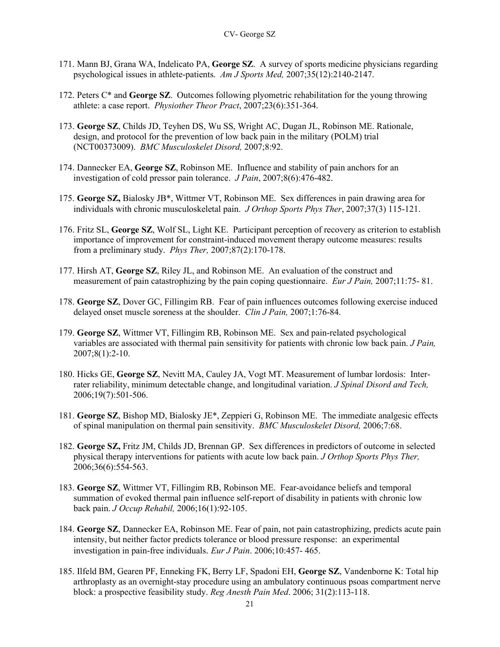- 171. Mann BJ, Grana WA, Indelicato PA, **George SZ**. A survey of sports medicine physicians regarding psychological issues in athlete-patients. *Am J Sports Med,* 2007;35(12):2140-2147.
- 172. Peters C\* and **George SZ**. Outcomes following plyometric rehabilitation for the young throwing athlete: a case report. *Physiother Theor Pract*, 2007;23(6):351-364.
- 173. **George SZ**, Childs JD, Teyhen DS, Wu SS, Wright AC, Dugan JL, Robinson ME. Rationale, design, and protocol for the prevention of low back pain in the military (POLM) trial (NCT00373009). *BMC Musculoskelet Disord,* 2007;8:92.
- 174. Dannecker EA, **George SZ**, Robinson ME. Influence and stability of pain anchors for an investigation of cold pressor pain tolerance. *J Pain*, 2007;8(6):476-482.
- 175. **George SZ,** Bialosky JB\*, Wittmer VT, Robinson ME. Sex differences in pain drawing area for individuals with chronic musculoskeletal pain. *J Orthop Sports Phys Ther*, 2007;37(3) 115-121.
- 176. Fritz SL, **George SZ**, Wolf SL, Light KE. Participant perception of recovery as criterion to establish importance of improvement for constraint-induced movement therapy outcome measures: results from a preliminary study. *Phys Ther,* 2007;87(2):170-178.
- 177. Hirsh AT, **George SZ**, Riley JL, and Robinson ME. An evaluation of the construct and measurement of pain catastrophizing by the pain coping questionnaire. *Eur J Pain,* 2007;11:75- 81.
- 178. **George SZ**, Dover GC, Fillingim RB. Fear of pain influences outcomes following exercise induced delayed onset muscle soreness at the shoulder. *Clin J Pain,* 2007;1:76-84.
- 179. **George SZ**, Wittmer VT, Fillingim RB, Robinson ME. Sex and pain-related psychological variables are associated with thermal pain sensitivity for patients with chronic low back pain. *J Pain,* 2007;8(1):2-10.
- 180. Hicks GE, **George SZ**, Nevitt MA, Cauley JA, Vogt MT. Measurement of lumbar lordosis: Interrater reliability, minimum detectable change, and longitudinal variation. *J Spinal Disord and Tech,*  2006;19(7):501-506.
- 181. **George SZ**, Bishop MD, Bialosky JE\*, Zeppieri G, Robinson ME. The immediate analgesic effects of spinal manipulation on thermal pain sensitivity. *BMC Musculoskelet Disord,* 2006;7:68.
- 182. **George SZ,** Fritz JM, Childs JD, Brennan GP. Sex differences in predictors of outcome in selected physical therapy interventions for patients with acute low back pain. *J Orthop Sports Phys Ther,*  2006;36(6):554-563.
- 183. **George SZ**, Wittmer VT, Fillingim RB, Robinson ME. Fear-avoidance beliefs and temporal summation of evoked thermal pain influence self-report of disability in patients with chronic low back pain. *J Occup Rehabil,* 2006;16(1):92-105.
- 184. **George SZ**, Dannecker EA, Robinson ME. Fear of pain, not pain catastrophizing, predicts acute pain intensity, but neither factor predicts tolerance or blood pressure response: an experimental investigation in pain-free individuals. *Eur J Pain*. 2006;10:457- 465.
- 185. Ilfeld BM, Gearen PF, Enneking FK, Berry LF, Spadoni EH, **George SZ**, Vandenborne K: Total hip arthroplasty as an overnight-stay procedure using an ambulatory continuous psoas compartment nerve block: a prospective feasibility study. *Reg Anesth Pain Med*. 2006; 31(2):113-118.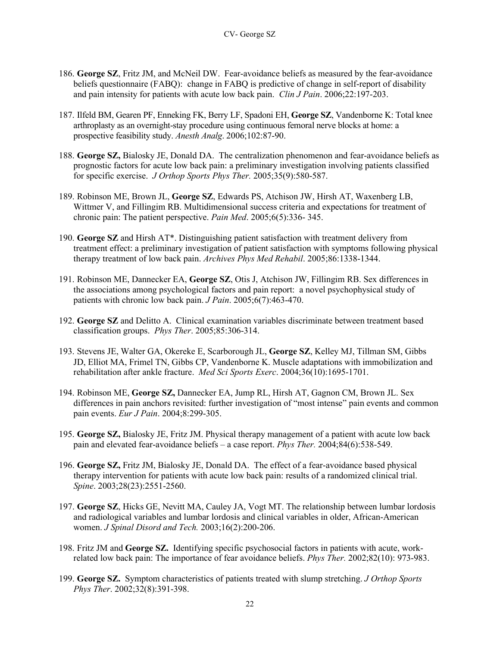- 186. **George SZ**, Fritz JM, and McNeil DW. Fear-avoidance beliefs as measured by the fear-avoidance beliefs questionnaire (FABQ): change in FABQ is predictive of change in self-report of disability and pain intensity for patients with acute low back pain. *Clin J Pain*. 2006;22:197-203.
- 187. Ilfeld BM, Gearen PF, Enneking FK, Berry LF, Spadoni EH, **George SZ**, Vandenborne K: Total knee arthroplasty as an overnight-stay procedure using continuous femoral nerve blocks at home: a prospective feasibility study. *Anesth Analg*. 2006;102:87-90.
- 188. **George SZ,** Bialosky JE, Donald DA. The centralization phenomenon and fear-avoidance beliefs as prognostic factors for acute low back pain: a preliminary investigation involving patients classified for specific exercise. *J Orthop Sports Phys Ther.* 2005;35(9):580-587.
- 189. Robinson ME, Brown JL, **George SZ**, Edwards PS, Atchison JW, Hirsh AT, Waxenberg LB, Wittmer V, and Fillingim RB. Multidimensional success criteria and expectations for treatment of chronic pain: The patient perspective. *Pain Med*. 2005;6(5):336- 345.
- 190. **George SZ** and Hirsh AT\*. Distinguishing patient satisfaction with treatment delivery from treatment effect: a preliminary investigation of patient satisfaction with symptoms following physical therapy treatment of low back pain. *Archives Phys Med Rehabil*. 2005;86:1338-1344.
- 191. Robinson ME, Dannecker EA, **George SZ**, Otis J, Atchison JW, Fillingim RB. Sex differences in the associations among psychological factors and pain report: a novel psychophysical study of patients with chronic low back pain. *J Pain*. 2005;6(7):463-470.
- 192. **George SZ** and Delitto A.Clinical examination variables discriminate between treatment based classification groups. *Phys Ther*. 2005;85:306-314.
- 193. Stevens JE, Walter GA, Okereke E, Scarborough JL, **George SZ**, Kelley MJ, Tillman SM, Gibbs JD, Elliot MA, Frimel TN, Gibbs CP, Vandenborne K. Muscle adaptations with immobilization and rehabilitation after ankle fracture. *Med Sci Sports Exerc*. 2004;36(10):1695-1701.
- 194. Robinson ME, **George SZ,** Dannecker EA, Jump RL, Hirsh AT, Gagnon CM, Brown JL. Sex differences in pain anchors revisited: further investigation of "most intense" pain events and common pain events. *Eur J Pain*. 2004;8:299-305.
- 195. **George SZ,** Bialosky JE, Fritz JM. Physical therapy management of a patient with acute low back pain and elevated fear-avoidance beliefs – a case report. *Phys Ther.* 2004;84(6):538-549.
- 196. **George SZ,** Fritz JM, Bialosky JE, Donald DA. The effect of a fear-avoidance based physical therapy intervention for patients with acute low back pain: results of a randomized clinical trial. *Spine*. 2003;28(23):2551-2560.
- 197. **George SZ**, Hicks GE, Nevitt MA, Cauley JA, Vogt MT. The relationship between lumbar lordosis and radiological variables and lumbar lordosis and clinical variables in older, African-American women. *J Spinal Disord and Tech.* 2003;16(2):200-206.
- 198. Fritz JM and **George SZ.** Identifying specific psychosocial factors in patients with acute, workrelated low back pain: The importance of fear avoidance beliefs. *Phys Ther.* 2002;82(10): 973-983.
- 199. **George SZ.** Symptom characteristics of patients treated with slump stretching. *J Orthop Sports Phys Ther*. 2002;32(8):391-398.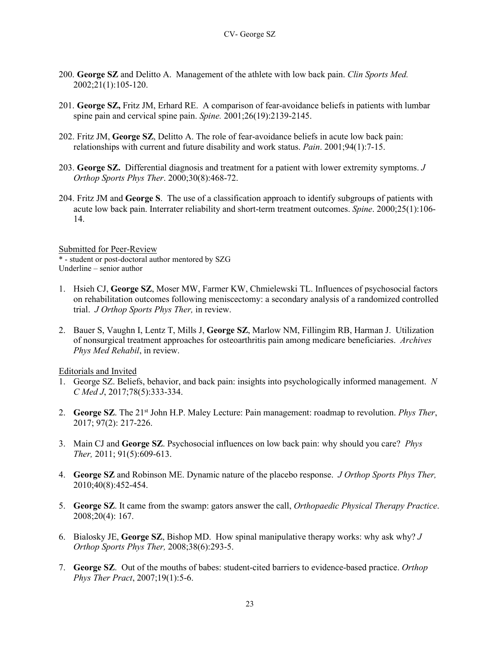- 200. **George SZ** and Delitto A. Management of the athlete with low back pain. *Clin Sports Med.* 2002;21(1):105-120.
- 201. **George SZ,** Fritz JM, Erhard RE. A comparison of fear-avoidance beliefs in patients with lumbar spine pain and cervical spine pain. *Spine.* 2001;26(19):2139-2145.
- 202. Fritz JM, **George SZ**, Delitto A. The role of fear-avoidance beliefs in acute low back pain: relationships with current and future disability and work status. *Pain*. 2001;94(1):7-15.
- 203. **George SZ.** Differential diagnosis and treatment for a patient with lower extremity symptoms. *J Orthop Sports Phys Ther*. 2000;30(8):468-72.
- 204. Fritz JM and **George S**. The use of a classification approach to identify subgroups of patients with acute low back pain. Interrater reliability and short-term treatment outcomes. *Spine*. 2000;25(1):106- 14.

Submitted for Peer-Review \* - student or post-doctoral author mentored by SZG Underline – senior author

- 1. Hsieh CJ, **George SZ**, Moser MW, Farmer KW, Chmielewski TL. Influences of psychosocial factors on rehabilitation outcomes following meniscectomy: a secondary analysis of a randomized controlled trial. *J Orthop Sports Phys Ther,* in review.
- 2. Bauer S, Vaughn I, Lentz T, Mills J, **George SZ**, Marlow NM, Fillingim RB, Harman J. Utilization of nonsurgical treatment approaches for osteoarthritis pain among medicare beneficiaries. *Archives Phys Med Rehabil*, in review.

Editorials and Invited

- 1. George SZ. Beliefs, behavior, and back pain: insights into psychologically informed management. *N C Med J*, 2017;78(5):333-334.
- 2. **George SZ.** The 21<sup>st</sup> John H.P. Maley Lecture: Pain management: roadmap to revolution. *Phys Ther*, 2017; 97(2): 217-226.
- 3. Main CJ and **George SZ**. Psychosocial influences on low back pain: why should you care? *Phys Ther,* 2011; 91(5):609-613.
- 4. **George SZ** and Robinson ME. Dynamic nature of the placebo response. *J Orthop Sports Phys Ther,* 2010;40(8):452-454.
- 5. **George SZ**. It came from the swamp: gators answer the call, *Orthopaedic Physical Therapy Practice*. 2008;20(4): 167.
- 6. Bialosky JE, **George SZ**, Bishop MD. How spinal manipulative therapy works: why ask why? *J Orthop Sports Phys Ther,* 2008;38(6):293-5.
- 7. **George SZ**. Out of the mouths of babes: student-cited barriers to evidence-based practice. *Orthop Phys Ther Pract*, 2007;19(1):5-6.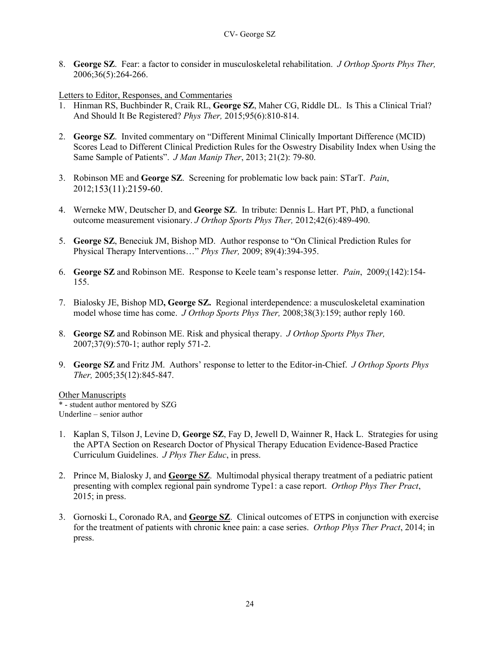8. **George SZ**. Fear: a factor to consider in musculoskeletal rehabilitation. *J Orthop Sports Phys Ther,* 2006;36(5):264-266.

Letters to Editor, Responses, and Commentaries

- 1. Hinman RS, Buchbinder R, Craik RL, **George SZ**, Maher CG, Riddle DL. Is This a Clinical Trial? And Should It Be Registered? *Phys Ther,* 2015;95(6):810-814.
- 2. **George SZ**. Invited commentary on "Different Minimal Clinically Important Difference (MCID) Scores Lead to Different Clinical Prediction Rules for the Oswestry Disability Index when Using the Same Sample of Patients". *J Man Manip Ther*, 2013; 21(2): 79-80.
- 3. Robinson ME and **George SZ**. Screening for problematic low back pain: STarT. *Pain*, 2012;153(11):2159-60.
- 4. Werneke MW, Deutscher D, and **George SZ**. In tribute: Dennis L. Hart PT, PhD, a functional outcome measurement visionary. *J Orthop Sports Phys Ther,* 2012;42(6):489-490.
- 5. **George SZ**, Beneciuk JM, Bishop MD. Author response to "On Clinical Prediction Rules for Physical Therapy Interventions…" *Phys Ther,* 2009; 89(4):394-395.
- 6. **George SZ** and Robinson ME. Response to Keele team's response letter. *Pain*, 2009;(142):154- 155.
- 7. Bialosky JE, Bishop MD**, George SZ.** Regional interdependence: a musculoskeletal examination model whose time has come. *J Orthop Sports Phys Ther,* 2008;38(3):159; author reply 160.
- 8. **George SZ** and Robinson ME. Risk and physical therapy. *J Orthop Sports Phys Ther,* 2007;37(9):570-1; author reply 571-2.
- 9. **George SZ** and Fritz JM. Authors' response to letter to the Editor-in-Chief. *J Orthop Sports Phys Ther,* 2005;35(12):845-847.

**Other Manuscripts** \* - student author mentored by SZG Underline – senior author

- 1. Kaplan S, Tilson J, Levine D, **George SZ**, Fay D, Jewell D, Wainner R, Hack L. Strategies for using the APTA Section on Research Doctor of Physical Therapy Education Evidence-Based Practice Curriculum Guidelines. *J Phys Ther Educ*, in press.
- 2. Prince M, Bialosky J, and **George SZ**. Multimodal physical therapy treatment of a pediatric patient presenting with complex regional pain syndrome Type1: a case report. *Orthop Phys Ther Pract*, 2015; in press.
- 3. Gornoski L, Coronado RA, and **George SZ**. Clinical outcomes of ETPS in conjunction with exercise for the treatment of patients with chronic knee pain: a case series. *Orthop Phys Ther Pract*, 2014; in press.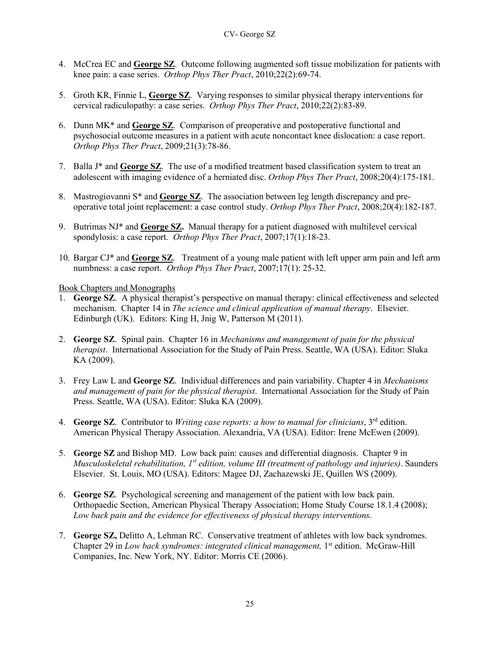- 4. McCrea EC and **George SZ**. Outcome following augmented soft tissue mobilization for patients with knee pain: a case series. *Orthop Phys Ther Pract*, 2010;22(2):69-74.
- 5. Groth KR, Finnie L, **George SZ**. Varying responses to similar physical therapy interventions for cervical radiculopathy: a case series. *Orthop Phys Ther Pract*, 2010;22(2):83-89.
- 6. Dunn MK\* and **George SZ**. Comparison of preoperative and postoperative functional and psychosocial outcome measures in a patient with acute noncontact knee dislocation: a case report. *Orthop Phys Ther Pract*, 2009;21(3):78-86.
- 7. Balla J\* and **George SZ**. The use of a modified treatment based classification system to treat an adolescent with imaging evidence of a herniated disc. *Orthop Phys Ther Pract*, 2008;20(4):175-181.
- 8. Mastrogiovanni S\* and **George SZ**. The association between leg length discrepancy and preoperative total joint replacement: a case control study. *Orthop Phys Ther Pract*, 2008;20(4):182-187.
- 9. Butrimas NJ\* and **George SZ.** Manual therapy for a patient diagnosed with multilevel cervical spondylosis: a case report. *Orthop Phys Ther Pract*, 2007;17(1):18-23.
- 10. Bargar CJ\* and **George SZ**. Treatment of a young male patient with left upper arm pain and left arm numbness: a case report. *Orthop Phys Ther Pract*, 2007;17(1): 25-32.

Book Chapters and Monographs

- 1. **George SZ**. A physical therapist's perspective on manual therapy: clinical effectiveness and selected mechanism. Chapter 14 in *The science and clinical application of manual therapy*. Elsevier. Edinburgh (UK). Editors: King H, Jnig W, Patterson M (2011).
- 2. **George SZ**. Spinal pain. Chapter 16 in *Mechanisms and management of pain for the physical therapist*. International Association for the Study of Pain Press. Seattle, WA (USA). Editor: Sluka KA (2009).
- 3. Frey Law L and **George SZ**. Individual differences and pain variability. Chapter 4 in *Mechanisms and management of pain for the physical therapist*. International Association for the Study of Pain Press. Seattle, WA (USA). Editor: Sluka KA (2009).
- 4. **George SZ**. Contributor to *Writing case reports: a how to manual for clinicians*, 3rd edition. American Physical Therapy Association. Alexandria, VA (USA). Editor: Irene McEwen (2009).
- 5. **George SZ** and Bishop MD. Low back pain: causes and differential diagnosis. Chapter 9 in *Musculoskeletal rehabilitation, 1st edition, volume III (treatment of pathology and injuries)*. Saunders Elsevier. St. Louis, MO (USA). Editors: Magee DJ, Zachazewski JE, Quillen WS (2009).
- 6. **George SZ**. Psychological screening and management of the patient with low back pain. Orthopaedic Section, American Physical Therapy Association; Home Study Course 18.1.4 (2008); *Low back pain and the evidence for effectiveness of physical therapy interventions.*
- 7. **George SZ,** Delitto A, Lehman RC. Conservative treatment of athletes with low back syndromes. Chapter 29 in *Low back syndromes: integrated clinical management*, 1<sup>st</sup> edition. McGraw-Hill Companies, Inc. New York, NY. Editor: Morris CE (2006).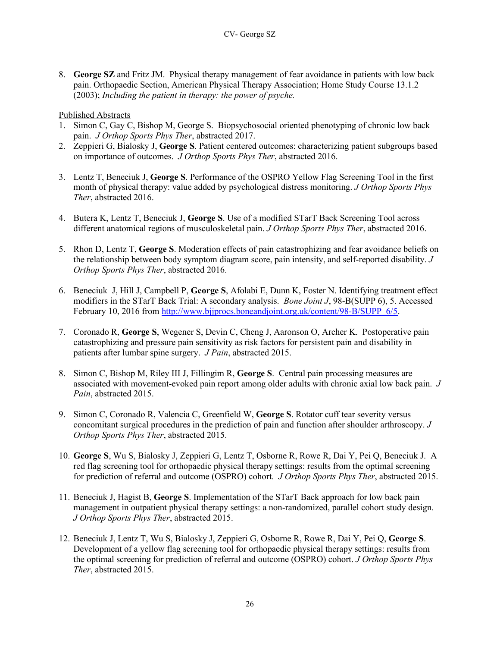8. **George SZ** and Fritz JM. Physical therapy management of fear avoidance in patients with low back pain. Orthopaedic Section, American Physical Therapy Association; Home Study Course 13.1.2 (2003); *Including the patient in therapy: the power of psyche.* 

## Published Abstracts

- 1. Simon C, Gay C, Bishop M, George S. Biopsychosocial oriented phenotyping of chronic low back pain. *J Orthop Sports Phys Ther*, abstracted 2017.
- 2. Zeppieri G, Bialosky J, **George S**. Patient centered outcomes: characterizing patient subgroups based on importance of outcomes. *J Orthop Sports Phys Ther*, abstracted 2016.
- 3. Lentz T, Beneciuk J, **George S**. Performance of the OSPRO Yellow Flag Screening Tool in the first month of physical therapy: value added by psychological distress monitoring. *J Orthop Sports Phys Ther*, abstracted 2016.
- 4. Butera K, Lentz T, Beneciuk J, **George S**. Use of a modified STarT Back Screening Tool across different anatomical regions of musculoskeletal pain. *J Orthop Sports Phys Ther*, abstracted 2016.
- 5. Rhon D, Lentz T, **George S**. Moderation effects of pain catastrophizing and fear avoidance beliefs on the relationship between body symptom diagram score, pain intensity, and self-reported disability. *J Orthop Sports Phys Ther*, abstracted 2016.
- 6. Beneciuk J, Hill J, Campbell P, **George S**, Afolabi E, Dunn K, Foster N. Identifying treatment effect modifiers in the STarT Back Trial: A secondary analysis. *Bone Joint J*, 98-B(SUPP 6), 5. Accessed February 10, 2016 from [http://www.bjjprocs.boneandjoint.org.uk/content/98-B/SUPP\\_6/5.](http://www.bjjprocs.boneandjoint.org.uk/content/98-B/SUPP_6/5)
- 7. Coronado R, **George S**, Wegener S, Devin C, Cheng J, Aaronson O, Archer K. Postoperative pain catastrophizing and pressure pain sensitivity as risk factors for persistent pain and disability in patients after lumbar spine surgery. *J Pain*, abstracted 2015.
- 8. Simon C, Bishop M, Riley III J, Fillingim R, **George S**. Central pain processing measures are associated with movement-evoked pain report among older adults with chronic axial low back pain. *J Pain*, abstracted 2015.
- 9. Simon C, Coronado R, Valencia C, Greenfield W, **George S**. Rotator cuff tear severity versus concomitant surgical procedures in the prediction of pain and function after shoulder arthroscopy. *J Orthop Sports Phys Ther*, abstracted 2015.
- 10. **George S**, Wu S, Bialosky J, Zeppieri G, Lentz T, Osborne R, Rowe R, Dai Y, Pei Q, Beneciuk J. A red flag screening tool for orthopaedic physical therapy settings: results from the optimal screening for prediction of referral and outcome (OSPRO) cohort. *J Orthop Sports Phys Ther*, abstracted 2015.
- 11. Beneciuk J, Hagist B, **George S**. Implementation of the STarT Back approach for low back pain management in outpatient physical therapy settings: a non-randomized, parallel cohort study design. *J Orthop Sports Phys Ther*, abstracted 2015.
- 12. Beneciuk J, Lentz T, Wu S, Bialosky J, Zeppieri G, Osborne R, Rowe R, Dai Y, Pei Q, **George S**. Development of a yellow flag screening tool for orthopaedic physical therapy settings: results from the optimal screening for prediction of referral and outcome (OSPRO) cohort. *J Orthop Sports Phys Ther*, abstracted 2015.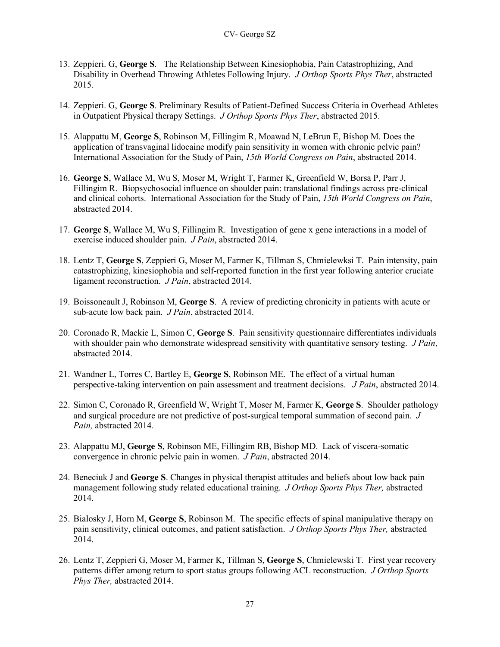- 13. Zeppieri. G, **George S**. The Relationship Between Kinesiophobia, Pain Catastrophizing, And Disability in Overhead Throwing Athletes Following Injury. *J Orthop Sports Phys Ther*, abstracted 2015.
- 14. Zeppieri. G, **George S**. Preliminary Results of Patient-Defined Success Criteria in Overhead Athletes in Outpatient Physical therapy Settings. *J Orthop Sports Phys Ther*, abstracted 2015.
- 15. Alappattu M, **George S**, Robinson M, Fillingim R, Moawad N, LeBrun E, Bishop M. Does the application of transvaginal lidocaine modify pain sensitivity in women with chronic pelvic pain? International Association for the Study of Pain, *15th World Congress on Pain*, abstracted 2014.
- 16. **George S**, Wallace M, Wu S, Moser M, Wright T, Farmer K, Greenfield W, Borsa P, Parr J, Fillingim R. Biopsychosocial influence on shoulder pain: translational findings across pre-clinical and clinical cohorts. International Association for the Study of Pain, *15th World Congress on Pain*, abstracted 2014.
- 17. **George S**, Wallace M, Wu S, Fillingim R. Investigation of gene x gene interactions in a model of exercise induced shoulder pain. *J Pain*, abstracted 2014.
- 18. Lentz T, **George S**, Zeppieri G, Moser M, Farmer K, Tillman S, Chmielewksi T. Pain intensity, pain catastrophizing, kinesiophobia and self-reported function in the first year following anterior cruciate ligament reconstruction. *J Pain*, abstracted 2014.
- 19. Boissoneault J, Robinson M, **George S**. A review of predicting chronicity in patients with acute or sub-acute low back pain. *J Pain*, abstracted 2014.
- 20. Coronado R, Mackie L, Simon C, **George S**. Pain sensitivity questionnaire differentiates individuals with shoulder pain who demonstrate widespread sensitivity with quantitative sensory testing. *J Pain*, abstracted 2014.
- 21. Wandner L, Torres C, Bartley E, **George S**, Robinson ME. The effect of a virtual human perspective-taking intervention on pain assessment and treatment decisions. *J Pain*, abstracted 2014.
- 22. Simon C, Coronado R, Greenfield W, Wright T, Moser M, Farmer K, **George S**. Shoulder pathology and surgical procedure are not predictive of post-surgical temporal summation of second pain. *J Pain,* abstracted 2014.
- 23. Alappattu MJ, **George S**, Robinson ME, Fillingim RB, Bishop MD. Lack of viscera-somatic convergence in chronic pelvic pain in women. *J Pain*, abstracted 2014.
- 24. Beneciuk J and **George S**. Changes in physical therapist attitudes and beliefs about low back pain management following study related educational training. *J Orthop Sports Phys Ther,* abstracted 2014.
- 25. Bialosky J, Horn M, **George S**, Robinson M. The specific effects of spinal manipulative therapy on pain sensitivity, clinical outcomes, and patient satisfaction. *J Orthop Sports Phys Ther,* abstracted 2014.
- 26. Lentz T, Zeppieri G, Moser M, Farmer K, Tillman S, **George S**, Chmielewski T. First year recovery patterns differ among return to sport status groups following ACL reconstruction. *J Orthop Sports Phys Ther,* abstracted 2014.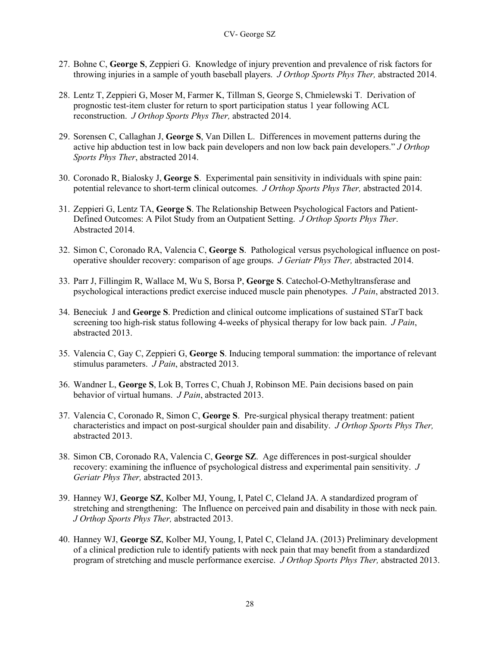- 27. Bohne C, **George S**, Zeppieri G. Knowledge of injury prevention and prevalence of risk factors for throwing injuries in a sample of youth baseball players. *J Orthop Sports Phys Ther,* abstracted 2014.
- 28. Lentz T, Zeppieri G, Moser M, Farmer K, Tillman S, George S, Chmielewski T. Derivation of prognostic test-item cluster for return to sport participation status 1 year following ACL reconstruction. *J Orthop Sports Phys Ther,* abstracted 2014.
- 29. Sorensen C, Callaghan J, **George S**, Van Dillen L. Differences in movement patterns during the active hip abduction test in low back pain developers and non low back pain developers." *J Orthop Sports Phys Ther*, abstracted 2014.
- 30. Coronado R, Bialosky J, **George S**. Experimental pain sensitivity in individuals with spine pain: potential relevance to short-term clinical outcomes. *J Orthop Sports Phys Ther,* abstracted 2014.
- 31. Zeppieri G, Lentz TA, **George S**. The Relationship Between Psychological Factors and Patient-Defined Outcomes: A Pilot Study from an Outpatient Setting. *J Orthop Sports Phys Ther*. Abstracted 2014.
- 32. Simon C, Coronado RA, Valencia C, **George S**. Pathological versus psychological influence on postoperative shoulder recovery: comparison of age groups. *J Geriatr Phys Ther,* abstracted 2014.
- 33. Parr J, Fillingim R, Wallace M, Wu S, Borsa P, **George S**. Catechol-O-Methyltransferase and psychological interactions predict exercise induced muscle pain phenotypes. *J Pain*, abstracted 2013.
- 34. Beneciuk J and **George S**. Prediction and clinical outcome implications of sustained STarT back screening too high-risk status following 4-weeks of physical therapy for low back pain. *J Pain*, abstracted 2013.
- 35. Valencia C, Gay C, Zeppieri G, **George S**. Inducing temporal summation: the importance of relevant stimulus parameters. *J Pain*, abstracted 2013.
- 36. Wandner L, **George S**, Lok B, Torres C, Chuah J, Robinson ME. Pain decisions based on pain behavior of virtual humans. *J Pain*, abstracted 2013.
- 37. Valencia C, Coronado R, Simon C, **George S**. Pre-surgical physical therapy treatment: patient characteristics and impact on post-surgical shoulder pain and disability. *J Orthop Sports Phys Ther,*  abstracted 2013.
- 38. Simon CB, Coronado RA, Valencia C, **George SZ**. Age differences in post-surgical shoulder recovery: examining the influence of psychological distress and experimental pain sensitivity. *J Geriatr Phys Ther,* abstracted 2013.
- 39. Hanney WJ, **George SZ**, Kolber MJ, Young, I, Patel C, Cleland JA. A standardized program of stretching and strengthening: The Influence on perceived pain and disability in those with neck pain. *J Orthop Sports Phys Ther,* abstracted 2013.
- 40. Hanney WJ, **George SZ**, Kolber MJ, Young, I, Patel C, Cleland JA. (2013) Preliminary development of a clinical prediction rule to identify patients with neck pain that may benefit from a standardized program of stretching and muscle performance exercise. *J Orthop Sports Phys Ther,* abstracted 2013.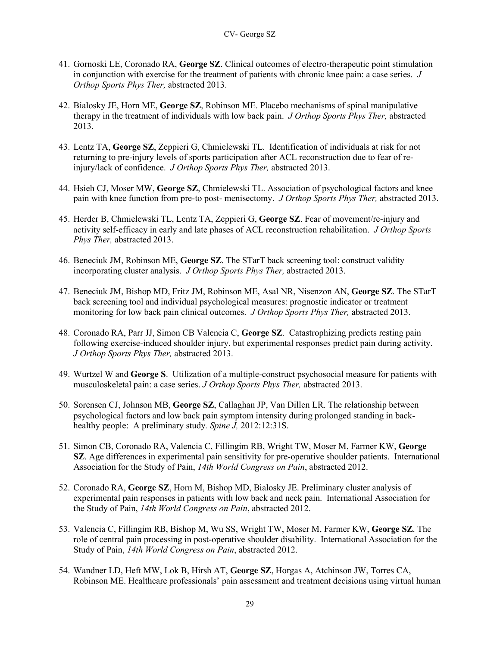- 41. Gornoski LE, Coronado RA, **George SZ**. Clinical outcomes of electro-therapeutic point stimulation in conjunction with exercise for the treatment of patients with chronic knee pain: a case series. *J Orthop Sports Phys Ther,* abstracted 2013.
- 42. Bialosky JE, Horn ME, **George SZ**, Robinson ME. Placebo mechanisms of spinal manipulative therapy in the treatment of individuals with low back pain. *J Orthop Sports Phys Ther,* abstracted 2013.
- 43. Lentz TA, **George SZ**, Zeppieri G, Chmielewski TL. Identification of individuals at risk for not returning to pre-injury levels of sports participation after ACL reconstruction due to fear of reinjury/lack of confidence. *J Orthop Sports Phys Ther,* abstracted 2013.
- 44. Hsieh CJ, Moser MW, **George SZ**, Chmielewski TL. Association of psychological factors and knee pain with knee function from pre-to post- menisectomy. *J Orthop Sports Phys Ther,* abstracted 2013.
- 45. Herder B, Chmielewski TL, Lentz TA, Zeppieri G, **George SZ**. Fear of movement/re-injury and activity self-efficacy in early and late phases of ACL reconstruction rehabilitation. *J Orthop Sports Phys Ther,* abstracted 2013.
- 46. Beneciuk JM, Robinson ME, **George SZ**. The STarT back screening tool: construct validity incorporating cluster analysis. *J Orthop Sports Phys Ther,* abstracted 2013.
- 47. Beneciuk JM, Bishop MD, Fritz JM, Robinson ME, Asal NR, Nisenzon AN, **George SZ**. The STarT back screening tool and individual psychological measures: prognostic indicator or treatment monitoring for low back pain clinical outcomes. *J Orthop Sports Phys Ther,* abstracted 2013.
- 48. Coronado RA, Parr JJ, Simon CB Valencia C, **George SZ**. Catastrophizing predicts resting pain following exercise-induced shoulder injury, but experimental responses predict pain during activity. *J Orthop Sports Phys Ther,* abstracted 2013.
- 49. Wurtzel W and **George S**. Utilization of a multiple-construct psychosocial measure for patients with musculoskeletal pain: a case series. *J Orthop Sports Phys Ther,* abstracted 2013.
- 50. Sorensen CJ, Johnson MB, **George SZ**, Callaghan JP, Van Dillen LR. The relationship between psychological factors and low back pain symptom intensity during prolonged standing in backhealthy people: A preliminary study*. Spine J,* 2012:12:31S.
- 51. Simon CB, Coronado RA, Valencia C, Fillingim RB, Wright TW, Moser M, Farmer KW, **George SZ**. Age differences in experimental pain sensitivity for pre-operative shoulder patients. International Association for the Study of Pain, *14th World Congress on Pain*, abstracted 2012.
- 52. Coronado RA, **George SZ**, Horn M, Bishop MD, Bialosky JE. Preliminary cluster analysis of experimental pain responses in patients with low back and neck pain. International Association for the Study of Pain, *14th World Congress on Pain*, abstracted 2012.
- 53. Valencia C, Fillingim RB, Bishop M, Wu SS, Wright TW, Moser M, Farmer KW, **George SZ**. The role of central pain processing in post-operative shoulder disability. International Association for the Study of Pain, *14th World Congress on Pain*, abstracted 2012.
- 54. Wandner LD, Heft MW, Lok B, Hirsh AT, **George SZ**, Horgas A, Atchinson JW, Torres CA, Robinson ME. Healthcare professionals' pain assessment and treatment decisions using virtual human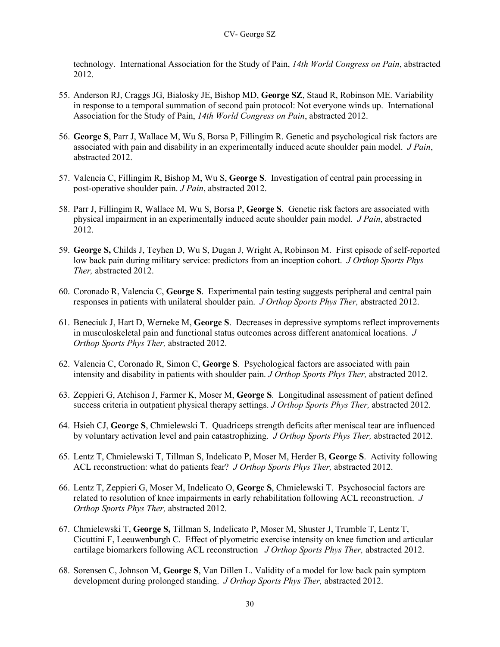technology. International Association for the Study of Pain, *14th World Congress on Pain*, abstracted 2012.

- 55. Anderson RJ, Craggs JG, Bialosky JE, Bishop MD, **George SZ**, Staud R, Robinson ME. Variability in response to a temporal summation of second pain protocol: Not everyone winds up. International Association for the Study of Pain, *14th World Congress on Pain*, abstracted 2012.
- 56. **George S**, Parr J, Wallace M, Wu S, Borsa P, Fillingim R. Genetic and psychological risk factors are associated with pain and disability in an experimentally induced acute shoulder pain model. *J Pain*, abstracted 2012.
- 57. Valencia C, Fillingim R, Bishop M, Wu S, **George S**. Investigation of central pain processing in post-operative shoulder pain. *J Pain*, abstracted 2012.
- 58. Parr J, Fillingim R, Wallace M, Wu S, Borsa P, **George S**. Genetic risk factors are associated with physical impairment in an experimentally induced acute shoulder pain model. *J Pain*, abstracted 2012.
- 59. **George S,** Childs J, Teyhen D, Wu S, Dugan J, Wright A, Robinson M. First episode of self-reported low back pain during military service: predictors from an inception cohort. *J Orthop Sports Phys Ther,* abstracted 2012.
- 60. Coronado R, Valencia C, **George S**. Experimental pain testing suggests peripheral and central pain responses in patients with unilateral shoulder pain. *J Orthop Sports Phys Ther,* abstracted 2012.
- 61. Beneciuk J, Hart D, Werneke M, **George S**. Decreases in depressive symptoms reflect improvements in musculoskeletal pain and functional status outcomes across different anatomical locations. *J Orthop Sports Phys Ther,* abstracted 2012.
- 62. Valencia C, Coronado R, Simon C, **George S**. Psychological factors are associated with pain intensity and disability in patients with shoulder pain. *J Orthop Sports Phys Ther,* abstracted 2012.
- 63. Zeppieri G, Atchison J, Farmer K, Moser M, **George S**. Longitudinal assessment of patient defined success criteria in outpatient physical therapy settings. *J Orthop Sports Phys Ther,* abstracted 2012.
- 64. Hsieh CJ, **George S**, Chmielewski T. Quadriceps strength deficits after meniscal tear are influenced by voluntary activation level and pain catastrophizing. *J Orthop Sports Phys Ther,* abstracted 2012.
- 65. Lentz T, Chmielewski T, Tillman S, Indelicato P, Moser M, Herder B, **George S**. Activity following ACL reconstruction: what do patients fear? *J Orthop Sports Phys Ther,* abstracted 2012.
- 66. Lentz T, Zeppieri G, Moser M, Indelicato O, **George S**, Chmielewski T. Psychosocial factors are related to resolution of knee impairments in early rehabilitation following ACL reconstruction. *J Orthop Sports Phys Ther,* abstracted 2012.
- 67. Chmielewski T, **George S,** Tillman S, Indelicato P, Moser M, Shuster J, Trumble T, Lentz T, Cicuttini F, Leeuwenburgh C. Effect of plyometric exercise intensity on knee function and articular cartilage biomarkers following ACL reconstruction *J Orthop Sports Phys Ther,* abstracted 2012.
- 68. Sorensen C, Johnson M, **George S**, Van Dillen L. Validity of a model for low back pain symptom development during prolonged standing. *J Orthop Sports Phys Ther,* abstracted 2012.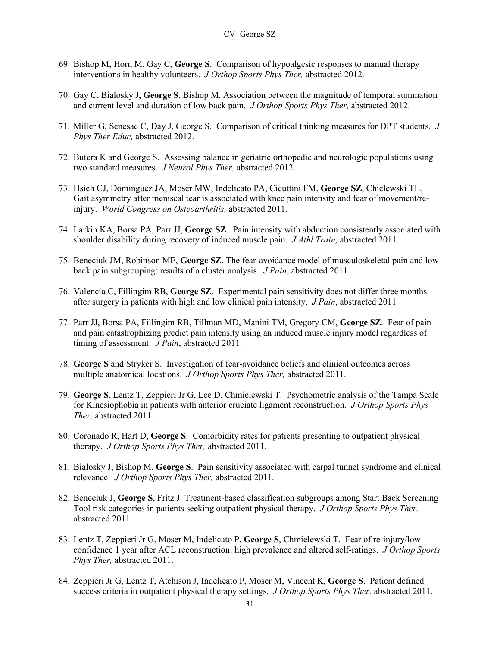- 69. Bishop M, Horn M, Gay C, **George S**. Comparison of hypoalgesic responses to manual therapy interventions in healthy volunteers. *J Orthop Sports Phys Ther,* abstracted 2012.
- 70. Gay C, Bialosky J, **George S**, Bishop M. Association between the magnitude of temporal summation and current level and duration of low back pain. *J Orthop Sports Phys Ther,* abstracted 2012.
- 71. Miller G, Senesac C, Day J, George S. Comparison of critical thinking measures for DPT students. *J Phys Ther Educ,* abstracted 2012.
- 72. Butera K and George S. Assessing balance in geriatric orthopedic and neurologic populations using two standard measures. *J Neurol Phys Ther,* abstracted 2012.
- 73. Hsieh CJ, Dominguez JA, Moser MW, Indelicato PA, Cicuttini FM, **George SZ**, Chielewski TL. Gait asymmetry after meniscal tear is associated with knee pain intensity and fear of movement/reinjury. *World Congress on Osteoarthritis,* abstracted 2011.
- 74. Larkin KA, Borsa PA, Parr JJ, **George SZ**. Pain intensity with abduction consistently associated with shoulder disability during recovery of induced muscle pain. *J Athl Train,* abstracted 2011.
- 75. Beneciuk JM, Robinson ME, **George SZ**. The fear-avoidance model of musculoskeletal pain and low back pain subgrouping: results of a cluster analysis. *J Pain*, abstracted 2011
- 76. Valencia C, Fillingim RB, **George SZ**. Experimental pain sensitivity does not differ three months after surgery in patients with high and low clinical pain intensity. *J Pain*, abstracted 2011
- 77. Parr JJ, Borsa PA, Fillingim RB, Tillman MD, Manini TM, Gregory CM, **George SZ**. Fear of pain and pain catastrophizing predict pain intensity using an induced muscle injury model regardless of timing of assessment. *J Pain*, abstracted 2011.
- 78. **George S** and Stryker S. Investigation of fear-avoidance beliefs and clinical outcomes across multiple anatomical locations. *J Orthop Sports Phys Ther,* abstracted 2011.
- 79. **George S**, Lentz T, Zeppieri Jr G, Lee D, Chmielewski T. Psychometric analysis of the Tampa Scale for Kinesiophobia in patients with anterior cruciate ligament reconstruction. *J Orthop Sports Phys Ther,* abstracted 2011.
- 80. Coronado R, Hart D, **George S**. Comorbidity rates for patients presenting to outpatient physical therapy. *J Orthop Sports Phys Ther,* abstracted 2011.
- 81. Bialosky J, Bishop M, **George S**. Pain sensitivity associated with carpal tunnel syndrome and clinical relevance. *J Orthop Sports Phys Ther,* abstracted 2011.
- 82. Beneciuk J, **George S**, Fritz J. Treatment-based classification subgroups among Start Back Screening Tool risk categories in patients seeking outpatient physical therapy. *J Orthop Sports Phys Ther,*  abstracted 2011.
- 83. Lentz T, Zeppieri Jr G, Moser M, Indelicato P, **George S**, Chmielewski T. Fear of re-injury/low confidence 1 year after ACL reconstruction: high prevalence and altered self-ratings. *J Orthop Sports Phys Ther,* abstracted 2011.
- 84. Zeppieri Jr G, Lentz T, Atchison J, Indelicato P, Moser M, Vincent K, **George S**. Patient defined success criteria in outpatient physical therapy settings. *J Orthop Sports Phys Ther,* abstracted 2011.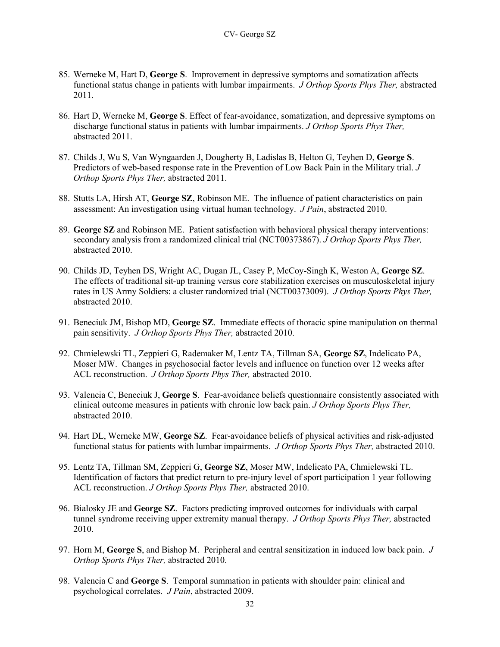- 85. Werneke M, Hart D, **George S**. Improvement in depressive symptoms and somatization affects functional status change in patients with lumbar impairments. *J Orthop Sports Phys Ther,* abstracted 2011.
- 86. Hart D, Werneke M, **George S**. Effect of fear-avoidance, somatization, and depressive symptoms on discharge functional status in patients with lumbar impairments. *J Orthop Sports Phys Ther,*  abstracted 2011.
- 87. Childs J, Wu S, Van Wyngaarden J, Dougherty B, Ladislas B, Helton G, Teyhen D, **George S**. Predictors of web-based response rate in the Prevention of Low Back Pain in the Military trial. *J Orthop Sports Phys Ther,* abstracted 2011.
- 88. Stutts LA, Hirsh AT, **George SZ**, Robinson ME. The influence of patient characteristics on pain assessment: An investigation using virtual human technology. *J Pain*, abstracted 2010.
- 89. **George SZ** and Robinson ME. Patient satisfaction with behavioral physical therapy interventions: secondary analysis from a randomized clinical trial (NCT00373867). *J Orthop Sports Phys Ther,*  abstracted 2010.
- 90. Childs JD, Teyhen DS, Wright AC, Dugan JL, Casey P, McCoy-Singh K, Weston A, **George SZ**. The effects of traditional sit-up training versus core stabilization exercises on musculoskeletal injury rates in US Army Soldiers: a cluster randomized trial (NCT00373009). *J Orthop Sports Phys Ther,*  abstracted 2010.
- 91. Beneciuk JM, Bishop MD, **George SZ**. Immediate effects of thoracic spine manipulation on thermal pain sensitivity. *J Orthop Sports Phys Ther,* abstracted 2010.
- 92. Chmielewski TL, Zeppieri G, Rademaker M, Lentz TA, Tillman SA, **George SZ**, Indelicato PA, Moser MW. Changes in psychosocial factor levels and influence on function over 12 weeks after ACL reconstruction. *J Orthop Sports Phys Ther,* abstracted 2010.
- 93. Valencia C, Beneciuk J, **George S**. Fear-avoidance beliefs questionnaire consistently associated with clinical outcome measures in patients with chronic low back pain. *J Orthop Sports Phys Ther,*  abstracted 2010.
- 94. Hart DL, Werneke MW, **George SZ**. Fear-avoidance beliefs of physical activities and risk-adjusted functional status for patients with lumbar impairments. *J Orthop Sports Phys Ther,* abstracted 2010.
- 95. Lentz TA, Tillman SM, Zeppieri G, **George SZ**, Moser MW, Indelicato PA, Chmielewski TL. Identification of factors that predict return to pre-injury level of sport participation 1 year following ACL reconstruction. *J Orthop Sports Phys Ther,* abstracted 2010.
- 96. Bialosky JE and **George SZ**. Factors predicting improved outcomes for individuals with carpal tunnel syndrome receiving upper extremity manual therapy. *J Orthop Sports Phys Ther,* abstracted 2010.
- 97. Horn M, **George S**, and Bishop M. Peripheral and central sensitization in induced low back pain. *J Orthop Sports Phys Ther,* abstracted 2010.
- 98. Valencia C and **George S**. Temporal summation in patients with shoulder pain: clinical and psychological correlates. *J Pain*, abstracted 2009.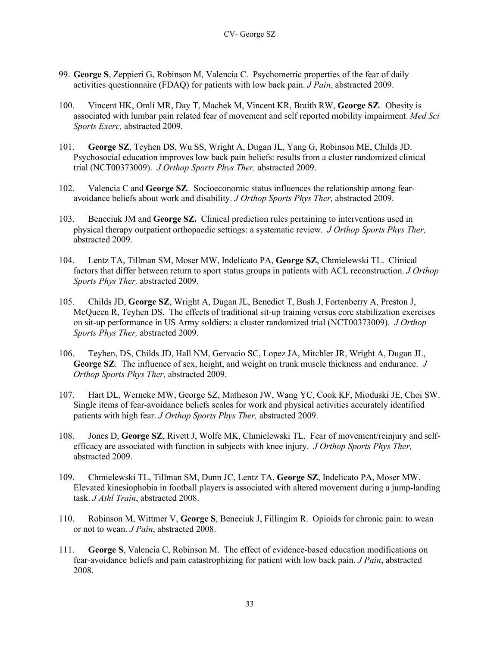- 99. **George S**, Zeppieri G, Robinson M, Valencia C. Psychometric properties of the fear of daily activities questionnaire (FDAQ) for patients with low back pain. *J Pain*, abstracted 2009.
- 100. Vincent HK, Omli MR, Day T, Machek M, Vincent KR, Braith RW, **George SZ**. Obesity is associated with lumbar pain related fear of movement and self reported mobility impairment. *Med Sci Sports Exerc,* abstracted 2009*.*
- 101. **George SZ**, Teyhen DS, Wu SS, Wright A, Dugan JL, Yang G, Robinson ME, Childs JD. Psychosocial education improves low back pain beliefs: results from a cluster randomized clinical trial (NCT00373009). *J Orthop Sports Phys Ther,* abstracted 2009.
- 102. Valencia C and **George SZ**. Socioeconomic status influences the relationship among fearavoidance beliefs about work and disability. *J Orthop Sports Phys Ther,* abstracted 2009.
- 103. Beneciuk JM and **George SZ.** Clinical prediction rules pertaining to interventions used in physical therapy outpatient orthopaedic settings: a systematic review. *J Orthop Sports Phys Ther,*  abstracted 2009.
- 104. Lentz TA, Tillman SM, Moser MW, Indelicato PA, **George SZ**, Chmielewski TL. Clinical factors that differ between return to sport status groups in patients with ACL reconstruction. *J Orthop Sports Phys Ther,* abstracted 2009.
- 105. Childs JD, **George SZ**, Wright A, Dugan JL, Benedict T, Bush J, Fortenberry A, Preston J, McQueen R, Teyhen DS. The effects of traditional sit-up training versus core stabilization exercises on sit-up performance in US Army soldiers: a cluster randomized trial (NCT00373009). *J Orthop Sports Phys Ther,* abstracted 2009.
- 106. Teyhen, DS, Childs JD, Hall NM, Gervacio SC, Lopez JA, Mitchler JR, Wright A, Dugan JL, **George SZ**. The influence of sex, height, and weight on trunk muscle thickness and endurance. *J Orthop Sports Phys Ther,* abstracted 2009.
- 107. Hart DL, Werneke MW, George SZ, Matheson JW, Wang YC, Cook KF, Mioduski JE, Choi SW. Single items of fear-avoidance beliefs scales for work and physical activities accurately identified patients with high fear. *J Orthop Sports Phys Ther,* abstracted 2009.
- 108. Jones D, **George SZ**, Rivett J, Wolfe MK, Chmielewski TL. Fear of movement/reinjury and selfefficacy are associated with function in subjects with knee injury. *J Orthop Sports Phys Ther,*  abstracted 2009.
- 109. Chmielewski TL, Tillman SM, Dunn JC, Lentz TA, **George SZ**, Indelicato PA, Moser MW. Elevated kinesiophobia in football players is associated with altered movement during a jump-landing task. *J Athl Train*, abstracted 2008.
- 110. Robinson M, Wittmer V, **George S**, Beneciuk J, Fillingim R. Opioids for chronic pain: to wean or not to wean. *J Pain*, abstracted 2008.
- 111. **George S**, Valencia C, Robinson M. The effect of evidence-based education modifications on fear-avoidance beliefs and pain catastrophizing for patient with low back pain. *J Pain*, abstracted 2008.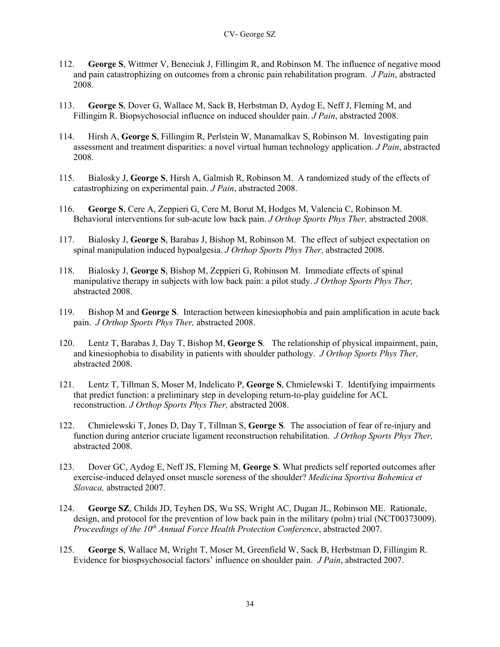- 112. **George S**, Wittmer V, Beneciuk J, Fillingim R, and Robinson M. The influence of negative mood and pain catastrophizing on outcomes from a chronic pain rehabilitation program. *J Pain*, abstracted 2008.
- 113. **George S**, Dover G, Wallace M, Sack B, Herbstman D, Aydog E, Neff J, Fleming M, and Fillingim R. Biopsychosocial influence on induced shoulder pain. *J Pain*, abstracted 2008.
- 114. Hirsh A, **George S**, Fillingim R, Perlstein W, Manamalkav S, Robinson M. Investigating pain assessment and treatment disparities: a novel virtual human technology application. *J Pain*, abstracted 2008.
- 115. Bialosky J, **George S**, Hirsh A, Galmish R, Robinson M. A randomized study of the effects of catastrophizing on experimental pain. *J Pain*, abstracted 2008.
- 116. **George S**, Cere A, Zeppieri G, Cere M, Borut M, Hodges M, Valencia C, Robinson M. Behavioral interventions for sub-acute low back pain. *J Orthop Sports Phys Ther,* abstracted 2008.
- 117. Bialosky J, **George S**, Barabas J, Bishop M, Robinson M. The effect of subject expectation on spinal manipulation induced hypoalgesia. *J Orthop Sports Phys Ther,* abstracted 2008.
- 118. Bialosky J, **George S**, Bishop M, Zeppieri G, Robinson M. Immediate effects of spinal manipulative therapy in subjects with low back pain: a pilot study. *J Orthop Sports Phys Ther,*  abstracted 2008.
- 119. Bishop M and **George S**. Interaction between kinesiophobia and pain amplification in acute back pain. *J Orthop Sports Phys Ther,* abstracted 2008.
- 120. Lentz T, Barabas J, Day T, Bishop M, **George S**. The relationship of physical impairment, pain, and kinesiophobia to disability in patients with shoulder pathology. *J Orthop Sports Phys Ther,*  abstracted 2008.
- 121. Lentz T, Tillman S, Moser M, Indelicato P, **George S**, Chmielewski T. Identifying impairments that predict function: a preliminary step in developing return-to-play guideline for ACL reconstruction. *J Orthop Sports Phys Ther,* abstracted 2008.
- 122. Chmielewski T, Jones D, Day T, Tillman S, **George S**. The association of fear of re-injury and function during anterior cruciate ligament reconstruction rehabilitation. *J Orthop Sports Phys Ther,*  abstracted 2008.
- 123. Dover GC, Aydog E, Neff JS, Fleming M, **George S**. What predicts self reported outcomes after exercise-induced delayed onset muscle soreness of the shoulder? *Medicina Sportiva Bohemica et Slovaca,* abstracted 2007.
- 124. **George SZ**, Childs JD, Teyhen DS, Wu SS, Wright AC, Dugan JL, Robinson ME. Rationale, design, and protocol for the prevention of low back pain in the military (polm) trial (NCT00373009). *Proceedings of the 10<sup>th</sup> Annual Force Health Protection Conference*, abstracted 2007.
- 125. **George S**, Wallace M, Wright T, Moser M, Greenfield W, Sack B, Herbstman D, Fillingim R. Evidence for biospsychosocial factors' influence on shoulder pain. *J Pain*, abstracted 2007.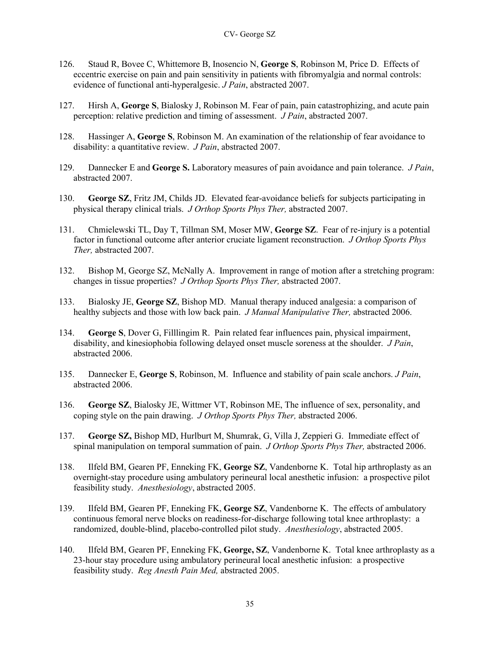- 126. Staud R, Bovee C, Whittemore B, Inosencio N, **George S**, Robinson M, Price D. Effects of eccentric exercise on pain and pain sensitivity in patients with fibromyalgia and normal controls: evidence of functional anti-hyperalgesic. *J Pain*, abstracted 2007.
- 127. Hirsh A, **George S**, Bialosky J, Robinson M. Fear of pain, pain catastrophizing, and acute pain perception: relative prediction and timing of assessment. *J Pain*, abstracted 2007.
- 128. Hassinger A, **George S**, Robinson M. An examination of the relationship of fear avoidance to disability: a quantitative review. *J Pain*, abstracted 2007.
- 129. Dannecker E and **George S.** Laboratory measures of pain avoidance and pain tolerance. *J Pain*, abstracted 2007.
- 130. **George SZ**, Fritz JM, Childs JD. Elevated fear-avoidance beliefs for subjects participating in physical therapy clinical trials. *J Orthop Sports Phys Ther,* abstracted 2007.
- 131. Chmielewski TL, Day T, Tillman SM, Moser MW, **George SZ**. Fear of re-injury is a potential factor in functional outcome after anterior cruciate ligament reconstruction. *J Orthop Sports Phys Ther,* abstracted 2007.
- 132. Bishop M, George SZ, McNally A. Improvement in range of motion after a stretching program: changes in tissue properties? *J Orthop Sports Phys Ther,* abstracted 2007.
- 133. Bialosky JE, **George SZ**, Bishop MD. Manual therapy induced analgesia: a comparison of healthy subjects and those with low back pain. *J Manual Manipulative Ther,* abstracted 2006.
- 134. **George S**, Dover G, Filllingim R. Pain related fear influences pain, physical impairment, disability, and kinesiophobia following delayed onset muscle soreness at the shoulder. *J Pain*, abstracted 2006.
- 135. Dannecker E, **George S**, Robinson, M. Influence and stability of pain scale anchors. *J Pain*, abstracted 2006.
- 136. **George SZ**, Bialosky JE, Wittmer VT, Robinson ME, The influence of sex, personality, and coping style on the pain drawing. *J Orthop Sports Phys Ther,* abstracted 2006.
- 137. **George SZ,** Bishop MD, Hurlburt M, Shumrak, G, Villa J, Zeppieri G. Immediate effect of spinal manipulation on temporal summation of pain. *J Orthop Sports Phys Ther,* abstracted 2006.
- 138. Ilfeld BM, Gearen PF, Enneking FK, **George SZ**, Vandenborne K. Total hip arthroplasty as an overnight-stay procedure using ambulatory perineural local anesthetic infusion: a prospective pilot feasibility study. *Anesthesiology*, abstracted 2005.
- 139. Ilfeld BM, Gearen PF, Enneking FK, **George SZ**, Vandenborne K. The effects of ambulatory continuous femoral nerve blocks on readiness-for-discharge following total knee arthroplasty: a randomized, double-blind, placebo-controlled pilot study. *Anesthesiology*, abstracted 2005.
- 140. Ilfeld BM, Gearen PF, Enneking FK, **George, SZ**, Vandenborne K. Total knee arthroplasty as a 23-hour stay procedure using ambulatory perineural local anesthetic infusion: a prospective feasibility study. *Reg Anesth Pain Med,* abstracted 2005.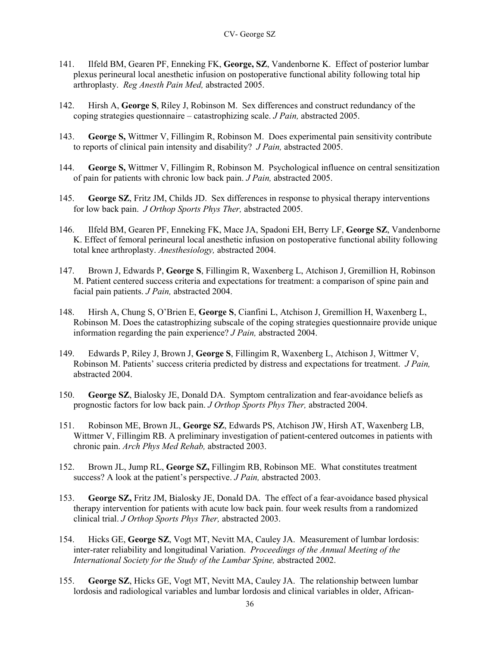- 141. Ilfeld BM, Gearen PF, Enneking FK, **George, SZ**, Vandenborne K. Effect of posterior lumbar plexus perineural local anesthetic infusion on postoperative functional ability following total hip arthroplasty. *Reg Anesth Pain Med,* abstracted 2005.
- 142. Hirsh A, **George S**, Riley J, Robinson M. Sex differences and construct redundancy of the coping strategies questionnaire – catastrophizing scale. *J Pain,* abstracted 2005.
- 143. **George S,** Wittmer V, Fillingim R, Robinson M. Does experimental pain sensitivity contribute to reports of clinical pain intensity and disability? *J Pain,* abstracted 2005.
- 144. **George S,** Wittmer V, Fillingim R, Robinson M. Psychological influence on central sensitization of pain for patients with chronic low back pain. *J Pain,* abstracted 2005.
- 145. **George SZ**, Fritz JM, Childs JD. Sex differences in response to physical therapy interventions for low back pain. *J Orthop Sports Phys Ther,* abstracted 2005.
- 146. Ilfeld BM, Gearen PF, Enneking FK, Mace JA, Spadoni EH, Berry LF, **George SZ**, Vandenborne K. Effect of femoral perineural local anesthetic infusion on postoperative functional ability following total knee arthroplasty. *Anesthesiology,* abstracted 2004.
- 147. Brown J, Edwards P, **George S**, Fillingim R, Waxenberg L, Atchison J, Gremillion H, Robinson M. Patient centered success criteria and expectations for treatment: a comparison of spine pain and facial pain patients. *J Pain,* abstracted 2004.
- 148. Hirsh A, Chung S, O'Brien E, **George S**, Cianfini L, Atchison J, Gremillion H, Waxenberg L, Robinson M. Does the catastrophizing subscale of the coping strategies questionnaire provide unique information regarding the pain experience? *J Pain,* abstracted 2004.
- 149. Edwards P, Riley J, Brown J, **George S**, Fillingim R, Waxenberg L, Atchison J, Wittmer V, Robinson M. Patients' success criteria predicted by distress and expectations for treatment. *J Pain,*  abstracted 2004.
- 150. **George SZ**, Bialosky JE, Donald DA. Symptom centralization and fear-avoidance beliefs as prognostic factors for low back pain. *J Orthop Sports Phys Ther,* abstracted 2004.
- 151. Robinson ME, Brown JL, **George SZ**, Edwards PS, Atchison JW, Hirsh AT, Waxenberg LB, Wittmer V, Fillingim RB. A preliminary investigation of patient-centered outcomes in patients with chronic pain. *Arch Phys Med Rehab,* abstracted 2003.
- 152. Brown JL, Jump RL, **George SZ,** Fillingim RB, Robinson ME. What constitutes treatment success? A look at the patient's perspective. *J Pain,* abstracted 2003.
- 153. **George SZ,** Fritz JM, Bialosky JE, Donald DA. The effect of a fear-avoidance based physical therapy intervention for patients with acute low back pain. four week results from a randomized clinical trial. *J Orthop Sports Phys Ther,* abstracted 2003.
- 154. Hicks GE, **George SZ**, Vogt MT, Nevitt MA, Cauley JA. Measurement of lumbar lordosis: inter-rater reliability and longitudinal Variation. *Proceedings of the Annual Meeting of the International Society for the Study of the Lumbar Spine,* abstracted 2002.
- 155. **George SZ**, Hicks GE, Vogt MT, Nevitt MA, Cauley JA.The relationship between lumbar lordosis and radiological variables and lumbar lordosis and clinical variables in older, African-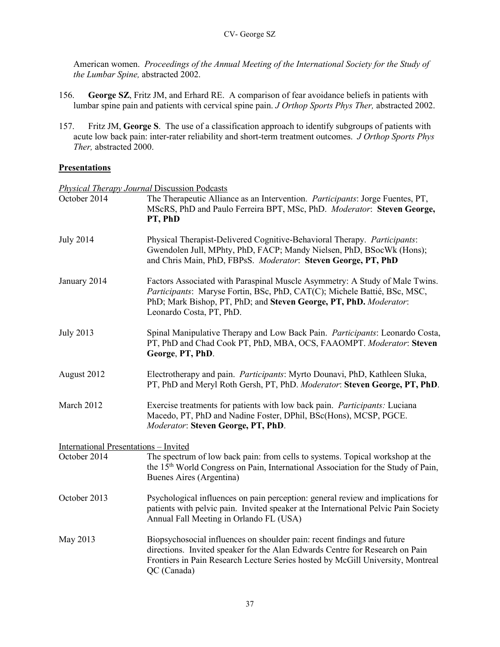American women. *Proceedings of the Annual Meeting of the International Society for the Study of the Lumbar Spine,* abstracted 2002.

- 156. **George SZ**, Fritz JM, and Erhard RE. A comparison of fear avoidance beliefs in patients with lumbar spine pain and patients with cervical spine pain. *J Orthop Sports Phys Ther,* abstracted 2002.
- 157. Fritz JM, **George S**. The use of a classification approach to identify subgroups of patients with acute low back pain: inter-rater reliability and short-term treatment outcomes. *J Orthop Sports Phys Ther,* abstracted 2000.

## **Presentations**

*Physical Therapy Journal* Discussion Podcasts October 2014 The Therapeutic Alliance as an Intervention. *Participants*: Jorge Fuentes, PT, MScRS, PhD and Paulo Ferreira BPT, MSc, PhD. *Moderator*: **Steven George, PT, PhD** July 2014 Physical Therapist-Delivered Cognitive-Behavioral Therapy. *Participants*: Gwendolen Jull, MPhty, PhD, FACP; Mandy Nielsen, PhD, BSocWk (Hons); and Chris Main, PhD, FBPsS. *Moderator*: **Steven George, PT, PhD** January 2014 Factors Associated with Paraspinal Muscle Asymmetry: A Study of Male Twins. *Participants*: Maryse Fortin, BSc, PhD, CAT(C); Michele Battié, BSc, MSC, PhD; Mark Bishop, PT, PhD; and **Steven George, PT, PhD.** *Moderator*: Leonardo Costa, PT, PhD. July 2013 Spinal Manipulative Therapy and Low Back Pain. *Participants*: Leonardo Costa, PT, PhD and Chad Cook PT, PhD, MBA, OCS, FAAOMPT. *Moderator*: **Steven George**, **PT, PhD**. August 2012 Electrotherapy and pain. *Participants*: Myrto Dounavi, PhD, Kathleen Sluka, PT, PhD and Meryl Roth Gersh, PT, PhD. *Moderator*: **Steven George, PT, PhD**. March 2012 Exercise treatments for patients with low back pain. *Participants:* Luciana Macedo, PT, PhD and Nadine Foster, DPhil, BSc(Hons), MCSP, PGCE. *Moderator*: **Steven George, PT, PhD**. International Presentations – Invited October 2014 The spectrum of low back pain: from cells to systems. Topical workshop at the the 15<sup>th</sup> World Congress on Pain, International Association for the Study of Pain, Buenes Aires (Argentina) October 2013 Psychological influences on pain perception: general review and implications for patients with pelvic pain. Invited speaker at the International Pelvic Pain Society Annual Fall Meeting in Orlando FL (USA) May 2013 Biopsychosocial influences on shoulder pain: recent findings and future directions. Invited speaker for the Alan Edwards Centre for Research on Pain Frontiers in Pain Research Lecture Series hosted by McGill University, Montreal QC (Canada)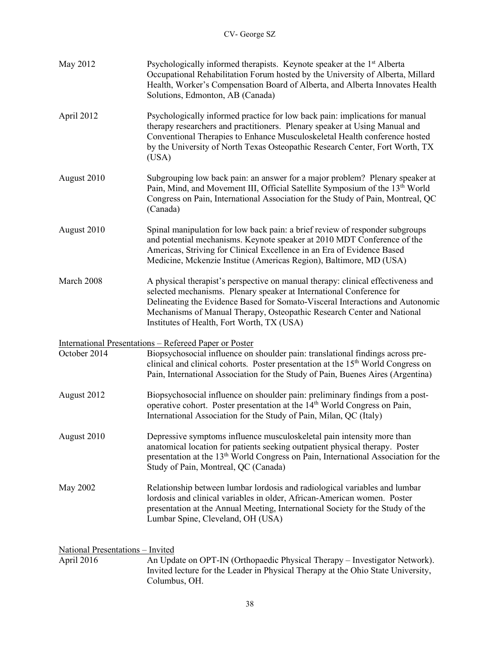| May 2012                                              | Psychologically informed therapists. Keynote speaker at the 1 <sup>st</sup> Alberta<br>Occupational Rehabilitation Forum hosted by the University of Alberta, Millard<br>Health, Worker's Compensation Board of Alberta, and Alberta Innovates Health<br>Solutions, Edmonton, AB (Canada)                                                                         |
|-------------------------------------------------------|-------------------------------------------------------------------------------------------------------------------------------------------------------------------------------------------------------------------------------------------------------------------------------------------------------------------------------------------------------------------|
| April 2012                                            | Psychologically informed practice for low back pain: implications for manual<br>therapy researchers and practitioners. Plenary speaker at Using Manual and<br>Conventional Therapies to Enhance Musculoskeletal Health conference hosted<br>by the University of North Texas Osteopathic Research Center, Fort Worth, TX<br>(USA)                                 |
| August 2010                                           | Subgrouping low back pain: an answer for a major problem? Plenary speaker at<br>Pain, Mind, and Movement III, Official Satellite Symposium of the 13 <sup>th</sup> World<br>Congress on Pain, International Association for the Study of Pain, Montreal, QC<br>(Canada)                                                                                           |
| August 2010                                           | Spinal manipulation for low back pain: a brief review of responder subgroups<br>and potential mechanisms. Keynote speaker at 2010 MDT Conference of the<br>Americas, Striving for Clinical Excellence in an Era of Evidence Based<br>Medicine, Mckenzie Institue (Americas Region), Baltimore, MD (USA)                                                           |
| March 2008                                            | A physical therapist's perspective on manual therapy: clinical effectiveness and<br>selected mechanisms. Plenary speaker at International Conference for<br>Delineating the Evidence Based for Somato-Visceral Interactions and Autonomic<br>Mechanisms of Manual Therapy, Osteopathic Research Center and National<br>Institutes of Health, Fort Worth, TX (USA) |
|                                                       | <u><b>International Presentations – Refereed Paper or Poster</b></u>                                                                                                                                                                                                                                                                                              |
| October 2014                                          | Biopsychosocial influence on shoulder pain: translational findings across pre-<br>clinical and clinical cohorts. Poster presentation at the 15 <sup>th</sup> World Congress on<br>Pain, International Association for the Study of Pain, Buenes Aires (Argentina)                                                                                                 |
| August 2012                                           | Biopsychosocial influence on shoulder pain: preliminary findings from a post-<br>operative cohort. Poster presentation at the 14 <sup>th</sup> World Congress on Pain,<br>International Association for the Study of Pain, Milan, QC (Italy)                                                                                                                      |
| August 2010                                           | Depressive symptoms influence musculoskeletal pain intensity more than<br>anatomical location for patients seeking outpatient physical therapy. Poster<br>presentation at the 13 <sup>th</sup> World Congress on Pain, International Association for the<br>Study of Pain, Montreal, QC (Canada)                                                                  |
| May 2002                                              | Relationship between lumbar lordosis and radiological variables and lumbar<br>lordosis and clinical variables in older, African-American women. Poster<br>presentation at the Annual Meeting, International Society for the Study of the<br>Lumbar Spine, Cleveland, OH (USA)                                                                                     |
|                                                       |                                                                                                                                                                                                                                                                                                                                                                   |
| <u>National Presentations - Invited</u><br>April 2016 | An Update on OPT-IN (Orthopaedic Physical Therapy – Investigator Network).                                                                                                                                                                                                                                                                                        |
|                                                       | Invited lecture for the Leader in Physical Therapy at the Ohio State University,<br>Columbus, OH.                                                                                                                                                                                                                                                                 |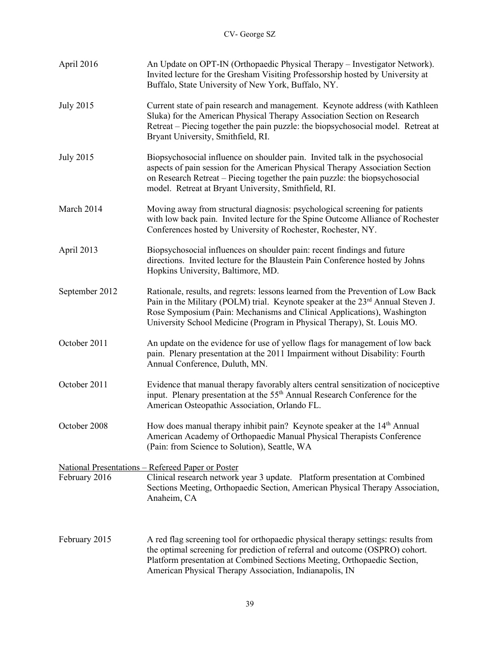| April 2016       | An Update on OPT-IN (Orthopaedic Physical Therapy - Investigator Network).<br>Invited lecture for the Gresham Visiting Professorship hosted by University at<br>Buffalo, State University of New York, Buffalo, NY.                                                                                                                   |
|------------------|---------------------------------------------------------------------------------------------------------------------------------------------------------------------------------------------------------------------------------------------------------------------------------------------------------------------------------------|
| <b>July 2015</b> | Current state of pain research and management. Keynote address (with Kathleen<br>Sluka) for the American Physical Therapy Association Section on Research<br>Retreat – Piecing together the pain puzzle: the biopsychosocial model. Retreat at<br>Bryant University, Smithfield, RI.                                                  |
| <b>July 2015</b> | Biopsychosocial influence on shoulder pain. Invited talk in the psychosocial<br>aspects of pain session for the American Physical Therapy Association Section<br>on Research Retreat – Piecing together the pain puzzle: the biopsychosocial<br>model. Retreat at Bryant University, Smithfield, RI.                                  |
| March 2014       | Moving away from structural diagnosis: psychological screening for patients<br>with low back pain. Invited lecture for the Spine Outcome Alliance of Rochester<br>Conferences hosted by University of Rochester, Rochester, NY.                                                                                                       |
| April 2013       | Biopsychosocial influences on shoulder pain: recent findings and future<br>directions. Invited lecture for the Blaustein Pain Conference hosted by Johns<br>Hopkins University, Baltimore, MD.                                                                                                                                        |
| September 2012   | Rationale, results, and regrets: lessons learned from the Prevention of Low Back<br>Pain in the Military (POLM) trial. Keynote speaker at the 23 <sup>rd</sup> Annual Steven J.<br>Rose Symposium (Pain: Mechanisms and Clinical Applications), Washington<br>University School Medicine (Program in Physical Therapy), St. Louis MO. |
| October 2011     | An update on the evidence for use of yellow flags for management of low back<br>pain. Plenary presentation at the 2011 Impairment without Disability: Fourth<br>Annual Conference, Duluth, MN.                                                                                                                                        |
| October 2011     | Evidence that manual therapy favorably alters central sensitization of nociceptive<br>input. Plenary presentation at the 55 <sup>th</sup> Annual Research Conference for the<br>American Osteopathic Association, Orlando FL.                                                                                                         |
| October 2008     | How does manual therapy inhibit pain? Keynote speaker at the 14 <sup>th</sup> Annual<br>American Academy of Orthopaedic Manual Physical Therapists Conference<br>(Pain: from Science to Solution), Seattle, WA                                                                                                                        |
|                  | National Presentations - Refereed Paper or Poster                                                                                                                                                                                                                                                                                     |
| February 2016    | Clinical research network year 3 update. Platform presentation at Combined<br>Sections Meeting, Orthopaedic Section, American Physical Therapy Association,<br>Anaheim, CA                                                                                                                                                            |
| February 2015    | A red flag screening tool for orthopaedic physical therapy settings: results from<br>the optimal screening for prediction of referral and outcome (OSPRO) cohort.<br>Platform presentation at Combined Sections Meeting, Orthopaedic Section,<br>American Physical Therapy Association, Indianapolis, IN                              |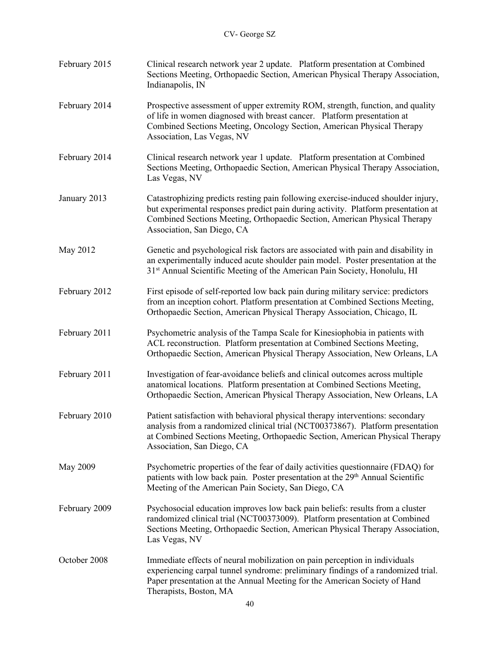| February 2015 | Clinical research network year 2 update. Platform presentation at Combined<br>Sections Meeting, Orthopaedic Section, American Physical Therapy Association,<br>Indianapolis, IN                                                                                                   |
|---------------|-----------------------------------------------------------------------------------------------------------------------------------------------------------------------------------------------------------------------------------------------------------------------------------|
| February 2014 | Prospective assessment of upper extremity ROM, strength, function, and quality<br>of life in women diagnosed with breast cancer. Platform presentation at<br>Combined Sections Meeting, Oncology Section, American Physical Therapy<br>Association, Las Vegas, NV                 |
| February 2014 | Clinical research network year 1 update. Platform presentation at Combined<br>Sections Meeting, Orthopaedic Section, American Physical Therapy Association,<br>Las Vegas, NV                                                                                                      |
| January 2013  | Catastrophizing predicts resting pain following exercise-induced shoulder injury,<br>but experimental responses predict pain during activity. Platform presentation at<br>Combined Sections Meeting, Orthopaedic Section, American Physical Therapy<br>Association, San Diego, CA |
| May 2012      | Genetic and psychological risk factors are associated with pain and disability in<br>an experimentally induced acute shoulder pain model. Poster presentation at the<br>31 <sup>st</sup> Annual Scientific Meeting of the American Pain Society, Honolulu, HI                     |
| February 2012 | First episode of self-reported low back pain during military service: predictors<br>from an inception cohort. Platform presentation at Combined Sections Meeting,<br>Orthopaedic Section, American Physical Therapy Association, Chicago, IL                                      |
| February 2011 | Psychometric analysis of the Tampa Scale for Kinesiophobia in patients with<br>ACL reconstruction. Platform presentation at Combined Sections Meeting,<br>Orthopaedic Section, American Physical Therapy Association, New Orleans, LA                                             |
| February 2011 | Investigation of fear-avoidance beliefs and clinical outcomes across multiple<br>anatomical locations. Platform presentation at Combined Sections Meeting,<br>Orthopaedic Section, American Physical Therapy Association, New Orleans, LA                                         |
| February 2010 | Patient satisfaction with behavioral physical therapy interventions: secondary<br>analysis from a randomized clinical trial (NCT00373867). Platform presentation<br>at Combined Sections Meeting, Orthopaedic Section, American Physical Therapy<br>Association, San Diego, CA    |
| May 2009      | Psychometric properties of the fear of daily activities questionnaire (FDAQ) for<br>patients with low back pain. Poster presentation at the 29 <sup>th</sup> Annual Scientific<br>Meeting of the American Pain Society, San Diego, CA                                             |
| February 2009 | Psychosocial education improves low back pain beliefs: results from a cluster<br>randomized clinical trial (NCT00373009). Platform presentation at Combined<br>Sections Meeting, Orthopaedic Section, American Physical Therapy Association,<br>Las Vegas, NV                     |
| October 2008  | Immediate effects of neural mobilization on pain perception in individuals<br>experiencing carpal tunnel syndrome: preliminary findings of a randomized trial.<br>Paper presentation at the Annual Meeting for the American Society of Hand<br>Therapists, Boston, MA             |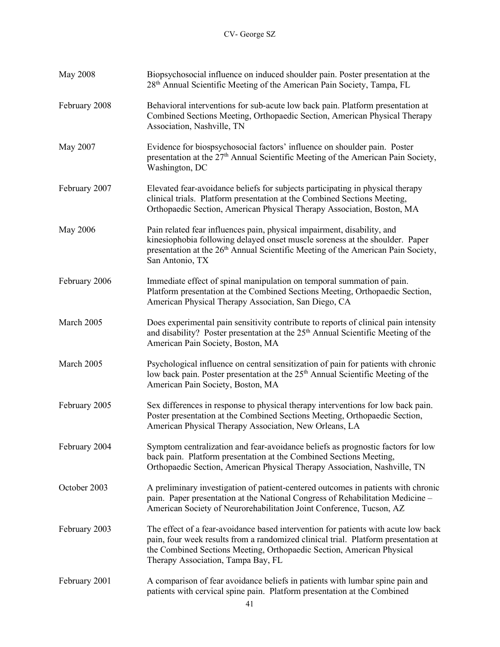| <b>May 2008</b> | Biopsychosocial influence on induced shoulder pain. Poster presentation at the<br>28 <sup>th</sup> Annual Scientific Meeting of the American Pain Society, Tampa, FL                                                                                                                    |
|-----------------|-----------------------------------------------------------------------------------------------------------------------------------------------------------------------------------------------------------------------------------------------------------------------------------------|
| February 2008   | Behavioral interventions for sub-acute low back pain. Platform presentation at<br>Combined Sections Meeting, Orthopaedic Section, American Physical Therapy<br>Association, Nashville, TN                                                                                               |
| May 2007        | Evidence for biospsychosocial factors' influence on shoulder pain. Poster<br>presentation at the 27 <sup>th</sup> Annual Scientific Meeting of the American Pain Society,<br>Washington, DC                                                                                             |
| February 2007   | Elevated fear-avoidance beliefs for subjects participating in physical therapy<br>clinical trials. Platform presentation at the Combined Sections Meeting,<br>Orthopaedic Section, American Physical Therapy Association, Boston, MA                                                    |
| May 2006        | Pain related fear influences pain, physical impairment, disability, and<br>kinesiophobia following delayed onset muscle soreness at the shoulder. Paper<br>presentation at the 26 <sup>th</sup> Annual Scientific Meeting of the American Pain Society,<br>San Antonio, TX              |
| February 2006   | Immediate effect of spinal manipulation on temporal summation of pain.<br>Platform presentation at the Combined Sections Meeting, Orthopaedic Section,<br>American Physical Therapy Association, San Diego, CA                                                                          |
| March 2005      | Does experimental pain sensitivity contribute to reports of clinical pain intensity<br>and disability? Poster presentation at the 25 <sup>th</sup> Annual Scientific Meeting of the<br>American Pain Society, Boston, MA                                                                |
| March 2005      | Psychological influence on central sensitization of pain for patients with chronic<br>low back pain. Poster presentation at the 25 <sup>th</sup> Annual Scientific Meeting of the<br>American Pain Society, Boston, MA                                                                  |
| February 2005   | Sex differences in response to physical therapy interventions for low back pain.<br>Poster presentation at the Combined Sections Meeting, Orthopaedic Section,<br>American Physical Therapy Association, New Orleans, LA                                                                |
| February 2004   | Symptom centralization and fear-avoidance beliefs as prognostic factors for low<br>back pain. Platform presentation at the Combined Sections Meeting,<br>Orthopaedic Section, American Physical Therapy Association, Nashville, TN                                                      |
| October 2003    | A preliminary investigation of patient-centered outcomes in patients with chronic<br>pain. Paper presentation at the National Congress of Rehabilitation Medicine -<br>American Society of Neurorehabilitation Joint Conference, Tucson, AZ                                             |
| February 2003   | The effect of a fear-avoidance based intervention for patients with acute low back<br>pain, four week results from a randomized clinical trial. Platform presentation at<br>the Combined Sections Meeting, Orthopaedic Section, American Physical<br>Therapy Association, Tampa Bay, FL |
| February 2001   | A comparison of fear avoidance beliefs in patients with lumbar spine pain and<br>patients with cervical spine pain. Platform presentation at the Combined                                                                                                                               |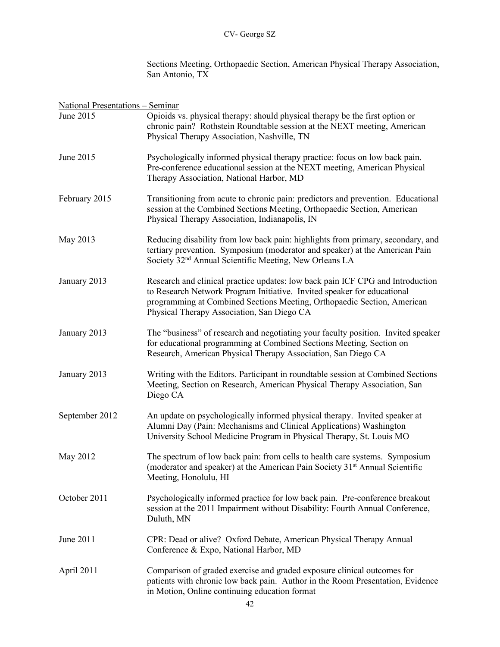Sections Meeting, Orthopaedic Section, American Physical Therapy Association, San Antonio, TX

| <b>National Presentations - Seminar</b> |                                                                                                                                                                                                                                                                                    |
|-----------------------------------------|------------------------------------------------------------------------------------------------------------------------------------------------------------------------------------------------------------------------------------------------------------------------------------|
| June 2015                               | Opioids vs. physical therapy: should physical therapy be the first option or<br>chronic pain? Rothstein Roundtable session at the NEXT meeting, American<br>Physical Therapy Association, Nashville, TN                                                                            |
| June 2015                               | Psychologically informed physical therapy practice: focus on low back pain.<br>Pre-conference educational session at the NEXT meeting, American Physical<br>Therapy Association, National Harbor, MD                                                                               |
| February 2015                           | Transitioning from acute to chronic pain: predictors and prevention. Educational<br>session at the Combined Sections Meeting, Orthopaedic Section, American<br>Physical Therapy Association, Indianapolis, IN                                                                      |
| May 2013                                | Reducing disability from low back pain: highlights from primary, secondary, and<br>tertiary prevention. Symposium (moderator and speaker) at the American Pain<br>Society 32 <sup>nd</sup> Annual Scientific Meeting, New Orleans LA                                               |
| January 2013                            | Research and clinical practice updates: low back pain ICF CPG and Introduction<br>to Research Network Program Initiative. Invited speaker for educational<br>programming at Combined Sections Meeting, Orthopaedic Section, American<br>Physical Therapy Association, San Diego CA |
| January 2013                            | The "business" of research and negotiating your faculty position. Invited speaker<br>for educational programming at Combined Sections Meeting, Section on<br>Research, American Physical Therapy Association, San Diego CA                                                         |
| January 2013                            | Writing with the Editors. Participant in roundtable session at Combined Sections<br>Meeting, Section on Research, American Physical Therapy Association, San<br>Diego CA                                                                                                           |
| September 2012                          | An update on psychologically informed physical therapy. Invited speaker at<br>Alumni Day (Pain: Mechanisms and Clinical Applications) Washington<br>University School Medicine Program in Physical Therapy, St. Louis MO                                                           |
| May 2012                                | The spectrum of low back pain: from cells to health care systems. Symposium<br>(moderator and speaker) at the American Pain Society 31 <sup>st</sup> Annual Scientific<br>Meeting, Honolulu, HI                                                                                    |
| October 2011                            | Psychologically informed practice for low back pain. Pre-conference breakout<br>session at the 2011 Impairment without Disability: Fourth Annual Conference,<br>Duluth, MN                                                                                                         |
| June 2011                               | CPR: Dead or alive? Oxford Debate, American Physical Therapy Annual<br>Conference & Expo, National Harbor, MD                                                                                                                                                                      |
| April 2011                              | Comparison of graded exercise and graded exposure clinical outcomes for<br>patients with chronic low back pain. Author in the Room Presentation, Evidence<br>in Motion, Online continuing education format                                                                         |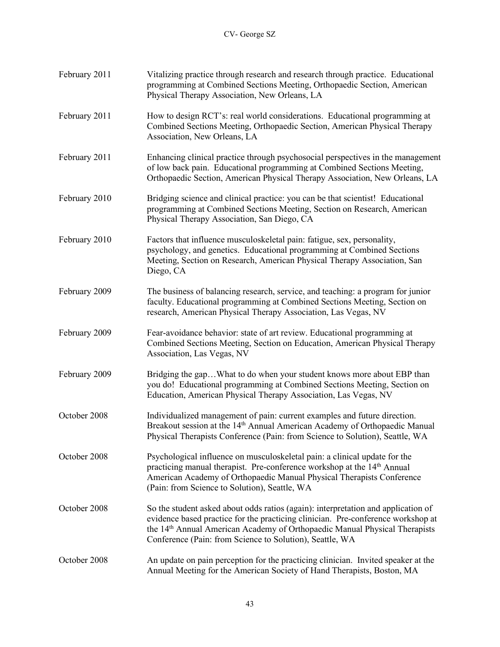| February 2011 | Vitalizing practice through research and research through practice. Educational<br>programming at Combined Sections Meeting, Orthopaedic Section, American<br>Physical Therapy Association, New Orleans, LA                                                                                                                 |
|---------------|-----------------------------------------------------------------------------------------------------------------------------------------------------------------------------------------------------------------------------------------------------------------------------------------------------------------------------|
| February 2011 | How to design RCT's: real world considerations. Educational programming at<br>Combined Sections Meeting, Orthopaedic Section, American Physical Therapy<br>Association, New Orleans, LA                                                                                                                                     |
| February 2011 | Enhancing clinical practice through psychosocial perspectives in the management<br>of low back pain. Educational programming at Combined Sections Meeting,<br>Orthopaedic Section, American Physical Therapy Association, New Orleans, LA                                                                                   |
| February 2010 | Bridging science and clinical practice: you can be that scientist! Educational<br>programming at Combined Sections Meeting, Section on Research, American<br>Physical Therapy Association, San Diego, CA                                                                                                                    |
| February 2010 | Factors that influence musculoskeletal pain: fatigue, sex, personality,<br>psychology, and genetics. Educational programming at Combined Sections<br>Meeting, Section on Research, American Physical Therapy Association, San<br>Diego, CA                                                                                  |
| February 2009 | The business of balancing research, service, and teaching: a program for junior<br>faculty. Educational programming at Combined Sections Meeting, Section on<br>research, American Physical Therapy Association, Las Vegas, NV                                                                                              |
| February 2009 | Fear-avoidance behavior: state of art review. Educational programming at<br>Combined Sections Meeting, Section on Education, American Physical Therapy<br>Association, Las Vegas, NV                                                                                                                                        |
| February 2009 | Bridging the gapWhat to do when your student knows more about EBP than<br>you do! Educational programming at Combined Sections Meeting, Section on<br>Education, American Physical Therapy Association, Las Vegas, NV                                                                                                       |
| October 2008  | Individualized management of pain: current examples and future direction.<br>Breakout session at the 14 <sup>th</sup> Annual American Academy of Orthopaedic Manual<br>Physical Therapists Conference (Pain: from Science to Solution), Seattle, WA                                                                         |
| October 2008  | Psychological influence on musculoskeletal pain: a clinical update for the<br>practicing manual therapist. Pre-conference workshop at the 14 <sup>th</sup> Annual<br>American Academy of Orthopaedic Manual Physical Therapists Conference<br>(Pain: from Science to Solution), Seattle, WA                                 |
| October 2008  | So the student asked about odds ratios (again): interpretation and application of<br>evidence based practice for the practicing clinician. Pre-conference workshop at<br>the 14 <sup>th</sup> Annual American Academy of Orthopaedic Manual Physical Therapists<br>Conference (Pain: from Science to Solution), Seattle, WA |
| October 2008  | An update on pain perception for the practicing clinician. Invited speaker at the<br>Annual Meeting for the American Society of Hand Therapists, Boston, MA                                                                                                                                                                 |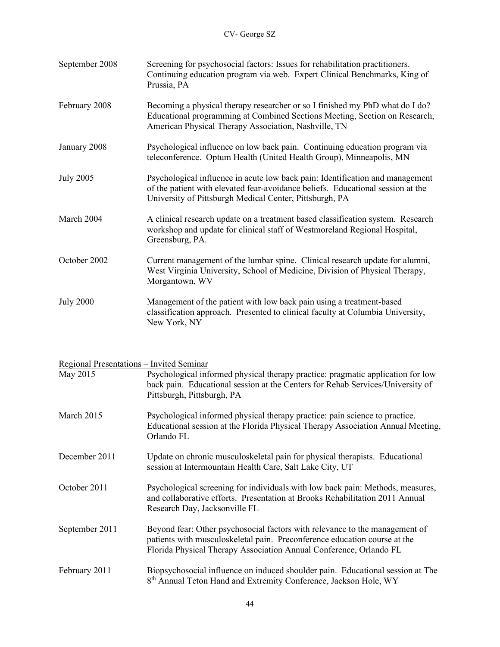| September 2008   | Screening for psychosocial factors: Issues for rehabilitation practitioners.<br>Continuing education program via web. Expert Clinical Benchmarks, King of<br>Prussia, PA                                                    |
|------------------|-----------------------------------------------------------------------------------------------------------------------------------------------------------------------------------------------------------------------------|
| February 2008    | Becoming a physical therapy researcher or so I finished my PhD what do I do?<br>Educational programming at Combined Sections Meeting, Section on Research,<br>American Physical Therapy Association, Nashville, TN          |
| January 2008     | Psychological influence on low back pain. Continuing education program via<br>teleconference. Optum Health (United Health Group), Minneapolis, MN                                                                           |
| <b>July 2005</b> | Psychological influence in acute low back pain: Identification and management<br>of the patient with elevated fear-avoidance beliefs. Educational session at the<br>University of Pittsburgh Medical Center, Pittsburgh, PA |
| March 2004       | A clinical research update on a treatment based classification system. Research<br>workshop and update for clinical staff of Westmoreland Regional Hospital,<br>Greensburg, PA.                                             |
| October 2002     | Current management of the lumbar spine. Clinical research update for alumni,<br>West Virginia University, School of Medicine, Division of Physical Therapy,<br>Morgantown, WV                                               |
| <b>July 2000</b> | Management of the patient with low back pain using a treatment-based<br>classification approach. Presented to clinical faculty at Columbia University,<br>New York, NY                                                      |

## Regional Presentations – Invited Seminar

| May 2015       | Psychological informed physical therapy practice: pragmatic application for low<br>back pain. Educational session at the Centers for Rehab Services/University of<br>Pittsburgh, Pittsburgh, PA                                |
|----------------|--------------------------------------------------------------------------------------------------------------------------------------------------------------------------------------------------------------------------------|
| March 2015     | Psychological informed physical therapy practice: pain science to practice.<br>Educational session at the Florida Physical Therapy Association Annual Meeting,<br>Orlando FL                                                   |
| December 2011  | Update on chronic musculoskeletal pain for physical therapists. Educational<br>session at Intermountain Health Care, Salt Lake City, UT                                                                                        |
| October 2011   | Psychological screening for individuals with low back pain: Methods, measures,<br>and collaborative efforts. Presentation at Brooks Rehabilitation 2011 Annual<br>Research Day, Jacksonville FL                                |
| September 2011 | Beyond fear: Other psychosocial factors with relevance to the management of<br>patients with musculoskeletal pain. Preconference education course at the<br>Florida Physical Therapy Association Annual Conference, Orlando FL |
| February 2011  | Biopsychosocial influence on induced shoulder pain. Educational session at The<br>8 <sup>th</sup> Annual Teton Hand and Extremity Conference, Jackson Hole, WY                                                                 |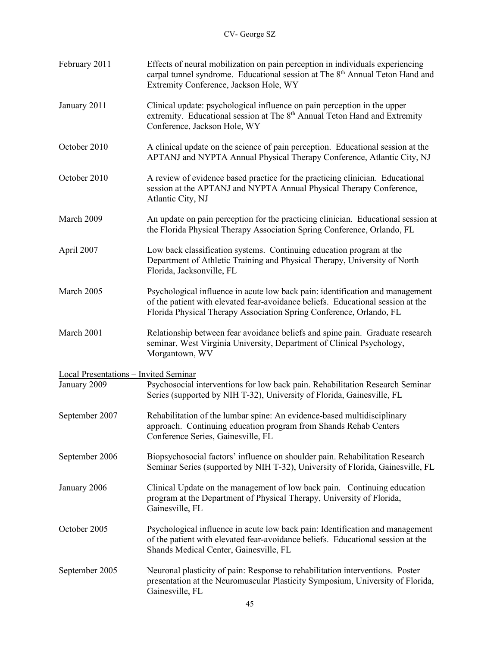| February 2011                                | Effects of neural mobilization on pain perception in individuals experiencing<br>carpal tunnel syndrome. Educational session at The 8 <sup>th</sup> Annual Teton Hand and<br>Extremity Conference, Jackson Hole, WY                     |
|----------------------------------------------|-----------------------------------------------------------------------------------------------------------------------------------------------------------------------------------------------------------------------------------------|
| January 2011                                 | Clinical update: psychological influence on pain perception in the upper<br>extremity. Educational session at The 8 <sup>th</sup> Annual Teton Hand and Extremity<br>Conference, Jackson Hole, WY                                       |
| October 2010                                 | A clinical update on the science of pain perception. Educational session at the<br>APTANJ and NYPTA Annual Physical Therapy Conference, Atlantic City, NJ                                                                               |
| October 2010                                 | A review of evidence based practice for the practicing clinician. Educational<br>session at the APTANJ and NYPTA Annual Physical Therapy Conference,<br>Atlantic City, NJ                                                               |
| March 2009                                   | An update on pain perception for the practicing clinician. Educational session at<br>the Florida Physical Therapy Association Spring Conference, Orlando, FL                                                                            |
| April 2007                                   | Low back classification systems. Continuing education program at the<br>Department of Athletic Training and Physical Therapy, University of North<br>Florida, Jacksonville, FL                                                          |
| March 2005                                   | Psychological influence in acute low back pain: identification and management<br>of the patient with elevated fear-avoidance beliefs. Educational session at the<br>Florida Physical Therapy Association Spring Conference, Orlando, FL |
| March 2001                                   | Relationship between fear avoidance beliefs and spine pain. Graduate research<br>seminar, West Virginia University, Department of Clinical Psychology,<br>Morgantown, WV                                                                |
| <b>Local Presentations - Invited Seminar</b> |                                                                                                                                                                                                                                         |
| January 2009                                 | Psychosocial interventions for low back pain. Rehabilitation Research Seminar<br>Series (supported by NIH T-32), University of Florida, Gainesville, FL                                                                                 |
| September 2007                               | Rehabilitation of the lumbar spine: An evidence-based multidisciplinary<br>approach. Continuing education program from Shands Rehab Centers<br>Conference Series, Gainesville, FL                                                       |
| September 2006                               | Biopsychosocial factors' influence on shoulder pain. Rehabilitation Research<br>Seminar Series (supported by NIH T-32), University of Florida, Gainesville, FL                                                                          |
| January 2006                                 | Clinical Update on the management of low back pain. Continuing education<br>program at the Department of Physical Therapy, University of Florida,<br>Gainesville, FL                                                                    |
| October 2005                                 | Psychological influence in acute low back pain: Identification and management<br>of the patient with elevated fear-avoidance beliefs. Educational session at the<br>Shands Medical Center, Gainesville, FL                              |
| September 2005                               | Neuronal plasticity of pain: Response to rehabilitation interventions. Poster<br>presentation at the Neuromuscular Plasticity Symposium, University of Florida,<br>Gainesville, FL                                                      |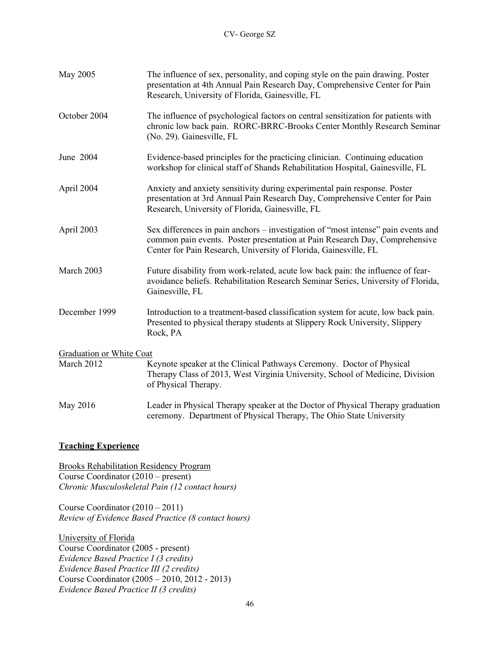| May 2005                 | The influence of sex, personality, and coping style on the pain drawing. Poster<br>presentation at 4th Annual Pain Research Day, Comprehensive Center for Pain<br>Research, University of Florida, Gainesville, FL                   |  |
|--------------------------|--------------------------------------------------------------------------------------------------------------------------------------------------------------------------------------------------------------------------------------|--|
| October 2004             | The influence of psychological factors on central sensitization for patients with<br>chronic low back pain. RORC-BRRC-Brooks Center Monthly Research Seminar<br>(No. 29). Gainesville, FL                                            |  |
| June 2004                | Evidence-based principles for the practicing clinician. Continuing education<br>workshop for clinical staff of Shands Rehabilitation Hospital, Gainesville, FL                                                                       |  |
| April 2004               | Anxiety and anxiety sensitivity during experimental pain response. Poster<br>presentation at 3rd Annual Pain Research Day, Comprehensive Center for Pain<br>Research, University of Florida, Gainesville, FL                         |  |
| April 2003               | Sex differences in pain anchors – investigation of "most intense" pain events and<br>common pain events. Poster presentation at Pain Research Day, Comprehensive<br>Center for Pain Research, University of Florida, Gainesville, FL |  |
| March 2003               | Future disability from work-related, acute low back pain: the influence of fear-<br>avoidance beliefs. Rehabilitation Research Seminar Series, University of Florida,<br>Gainesville, FL                                             |  |
| December 1999            | Introduction to a treatment-based classification system for acute, low back pain.<br>Presented to physical therapy students at Slippery Rock University, Slippery<br>Rock, PA                                                        |  |
| Graduation or White Coat |                                                                                                                                                                                                                                      |  |
| March 2012               | Keynote speaker at the Clinical Pathways Ceremony. Doctor of Physical<br>Therapy Class of 2013, West Virginia University, School of Medicine, Division<br>of Physical Therapy.                                                       |  |
| May 2016                 | Leader in Physical Therapy speaker at the Doctor of Physical Therapy graduation<br>ceremony. Department of Physical Therapy, The Ohio State University                                                                               |  |

## **Teaching Experience**

Brooks Rehabilitation Residency Program Course Coordinator (2010 – present) *Chronic Musculoskeletal Pain (12 contact hours)* 

Course Coordinator (2010 – 2011) *Review of Evidence Based Practice (8 contact hours)* 

University of Florida Course Coordinator (2005 - present) *Evidence Based Practice I (3 credits) Evidence Based Practice III (2 credits)*  Course Coordinator (2005 – 2010, 2012 - 2013) *Evidence Based Practice II (3 credits)*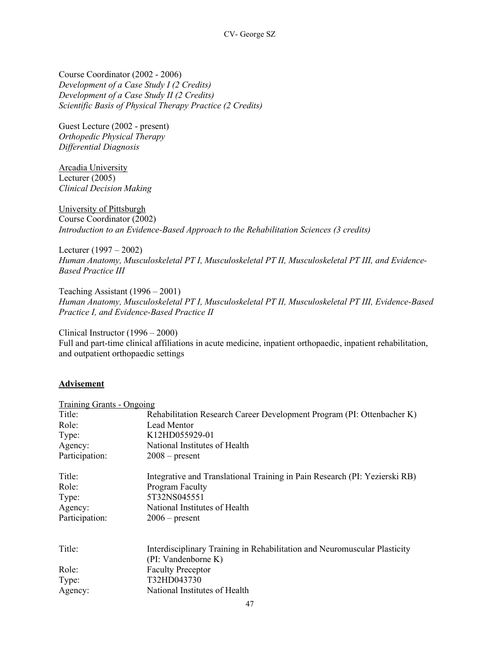Course Coordinator (2002 - 2006) *Development of a Case Study I (2 Credits) Development of a Case Study II (2 Credits) Scientific Basis of Physical Therapy Practice (2 Credits)* 

Guest Lecture (2002 - present) *Orthopedic Physical Therapy Differential Diagnosis* 

Arcadia University Lecturer (2005) *Clinical Decision Making* 

University of Pittsburgh Course Coordinator (2002) *Introduction to an Evidence-Based Approach to the Rehabilitation Sciences (3 credits)*

Lecturer (1997 – 2002) *Human Anatomy, Musculoskeletal PT I, Musculoskeletal PT II, Musculoskeletal PT III, and Evidence-Based Practice III*

Teaching Assistant (1996 – 2001) *Human Anatomy, Musculoskeletal PT I, Musculoskeletal PT II, Musculoskeletal PT III, Evidence-Based Practice I, and Evidence-Based Practice II*

Clinical Instructor (1996 – 2000) Full and part-time clinical affiliations in acute medicine, inpatient orthopaedic, inpatient rehabilitation, and outpatient orthopaedic settings

## **Advisement**

| Title:<br>Role:<br>Lead Mentor<br>K12HD055929-01<br>Type:<br>National Institutes of Health<br>Agency:<br>Participation:<br>$2008$ – present<br>Title:<br>Program Faculty<br>Role:<br>5T32NS045551<br>Type:<br>National Institutes of Health<br>Agency:<br>Participation:<br>$2006$ – present | Training Grants - Ongoing |                                                                            |
|----------------------------------------------------------------------------------------------------------------------------------------------------------------------------------------------------------------------------------------------------------------------------------------------|---------------------------|----------------------------------------------------------------------------|
|                                                                                                                                                                                                                                                                                              |                           | Rehabilitation Research Career Development Program (PI: Ottenbacher K)     |
|                                                                                                                                                                                                                                                                                              |                           |                                                                            |
|                                                                                                                                                                                                                                                                                              |                           |                                                                            |
|                                                                                                                                                                                                                                                                                              |                           |                                                                            |
|                                                                                                                                                                                                                                                                                              |                           |                                                                            |
|                                                                                                                                                                                                                                                                                              |                           | Integrative and Translational Training in Pain Research (PI: Yezierski RB) |
|                                                                                                                                                                                                                                                                                              |                           |                                                                            |
|                                                                                                                                                                                                                                                                                              |                           |                                                                            |
|                                                                                                                                                                                                                                                                                              |                           |                                                                            |
|                                                                                                                                                                                                                                                                                              |                           |                                                                            |
| Title:                                                                                                                                                                                                                                                                                       |                           |                                                                            |
| Interdisciplinary Training in Rehabilitation and Neuromuscular Plasticity<br>(PI: Vandenborne K)                                                                                                                                                                                             |                           |                                                                            |
| <b>Faculty Preceptor</b><br>Role:                                                                                                                                                                                                                                                            |                           |                                                                            |
| T32HD043730<br>Type:                                                                                                                                                                                                                                                                         |                           |                                                                            |
| National Institutes of Health<br>Agency:                                                                                                                                                                                                                                                     |                           |                                                                            |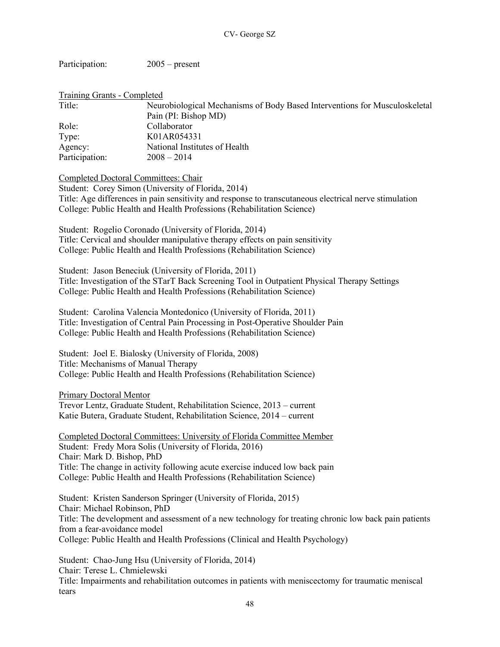Participation: 2005 – present

| Training Grants - Completed |                                                                            |
|-----------------------------|----------------------------------------------------------------------------|
| Title:                      | Neurobiological Mechanisms of Body Based Interventions for Musculoskeletal |
|                             | Pain (PI: Bishop MD)                                                       |
| Role:                       | Collaborator                                                               |
| Type:                       | K01AR054331                                                                |
| Agency:                     | National Institutes of Health                                              |
| Participation:              | $2008 - 2014$                                                              |

Completed Doctoral Committees: Chair

Student: Corey Simon (University of Florida, 2014) Title: Age differences in pain sensitivity and response to transcutaneous electrical nerve stimulation College: Public Health and Health Professions (Rehabilitation Science)

Student: Rogelio Coronado (University of Florida, 2014) Title: Cervical and shoulder manipulative therapy effects on pain sensitivity College: Public Health and Health Professions (Rehabilitation Science)

Student: Jason Beneciuk (University of Florida, 2011) Title: Investigation of the STarT Back Screening Tool in Outpatient Physical Therapy Settings College: Public Health and Health Professions (Rehabilitation Science)

Student: Carolina Valencia Montedonico (University of Florida, 2011) Title: Investigation of Central Pain Processing in Post-Operative Shoulder Pain College: Public Health and Health Professions (Rehabilitation Science)

Student: Joel E. Bialosky (University of Florida, 2008) Title: Mechanisms of Manual Therapy College: Public Health and Health Professions (Rehabilitation Science)

Primary Doctoral Mentor Trevor Lentz, Graduate Student, Rehabilitation Science, 2013 – current Katie Butera, Graduate Student, Rehabilitation Science, 2014 – current

Completed Doctoral Committees: University of Florida Committee Member Student: Fredy Mora Solis (University of Florida, 2016) Chair: Mark D. Bishop, PhD Title: The change in activity following acute exercise induced low back pain College: Public Health and Health Professions (Rehabilitation Science)

Student: Kristen Sanderson Springer (University of Florida, 2015) Chair: Michael Robinson, PhD Title: The development and assessment of a new technology for treating chronic low back pain patients from a fear-avoidance model College: Public Health and Health Professions (Clinical and Health Psychology)

Student: Chao-Jung Hsu (University of Florida, 2014) Chair: Terese L. Chmielewski Title: Impairments and rehabilitation outcomes in patients with meniscectomy for traumatic meniscal tears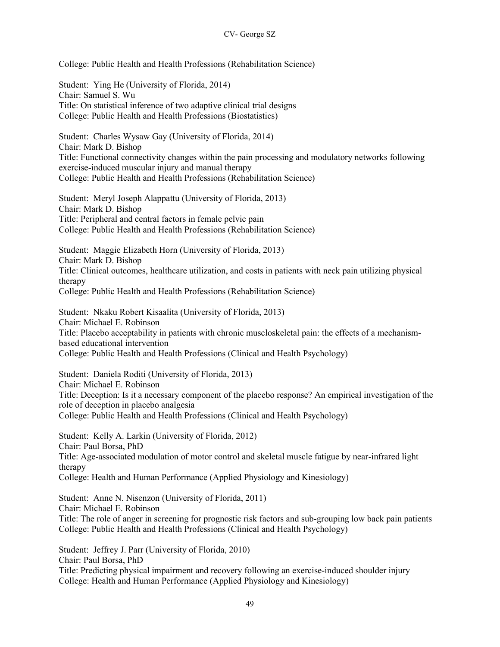College: Public Health and Health Professions (Rehabilitation Science)

Student: Ying He (University of Florida, 2014) Chair: Samuel S. Wu Title: On statistical inference of two adaptive clinical trial designs College: Public Health and Health Professions (Biostatistics) Student: Charles Wysaw Gay (University of Florida, 2014) Chair: Mark D. Bishop Title: Functional connectivity changes within the pain processing and modulatory networks following exercise-induced muscular injury and manual therapy College: Public Health and Health Professions (Rehabilitation Science) Student: Meryl Joseph Alappattu (University of Florida, 2013) Chair: Mark D. Bishop Title: Peripheral and central factors in female pelvic pain College: Public Health and Health Professions (Rehabilitation Science) Student: Maggie Elizabeth Horn (University of Florida, 2013) Chair: Mark D. Bishop Title: Clinical outcomes, healthcare utilization, and costs in patients with neck pain utilizing physical therapy College: Public Health and Health Professions (Rehabilitation Science) Student: Nkaku Robert Kisaalita (University of Florida, 2013) Chair: Michael E. Robinson Title: Placebo acceptability in patients with chronic muscloskeletal pain: the effects of a mechanismbased educational intervention College: Public Health and Health Professions (Clinical and Health Psychology) Student: Daniela Roditi (University of Florida, 2013) Chair: Michael E. Robinson Title: Deception: Is it a necessary component of the placebo response? An empirical investigation of the role of deception in placebo analgesia College: Public Health and Health Professions (Clinical and Health Psychology) Student: Kelly A. Larkin (University of Florida, 2012) Chair: Paul Borsa, PhD Title: Age-associated modulation of motor control and skeletal muscle fatigue by near-infrared light therapy College: Health and Human Performance (Applied Physiology and Kinesiology) Student: Anne N. Nisenzon (University of Florida, 2011) Chair: Michael E. Robinson Title: The role of anger in screening for prognostic risk factors and sub-grouping low back pain patients College: Public Health and Health Professions (Clinical and Health Psychology) Student: Jeffrey J. Parr (University of Florida, 2010) Chair: Paul Borsa, PhD Title: Predicting physical impairment and recovery following an exercise-induced shoulder injury

College: Health and Human Performance (Applied Physiology and Kinesiology)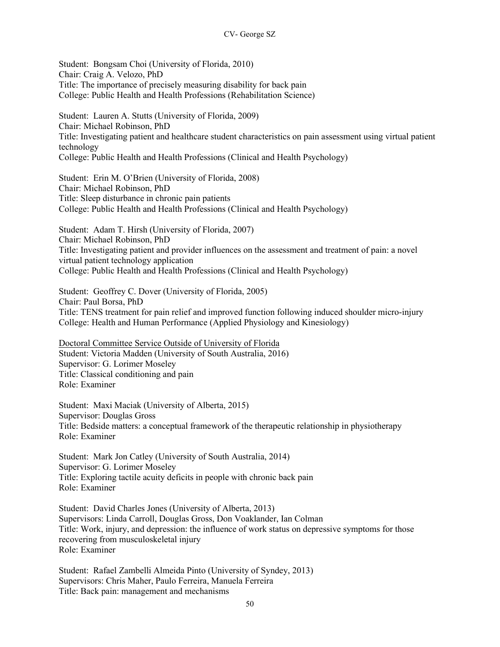Student: Bongsam Choi (University of Florida, 2010) Chair: Craig A. Velozo, PhD Title: The importance of precisely measuring disability for back pain College: Public Health and Health Professions (Rehabilitation Science)

Student: Lauren A. Stutts (University of Florida, 2009) Chair: Michael Robinson, PhD Title: Investigating patient and healthcare student characteristics on pain assessment using virtual patient technology College: Public Health and Health Professions (Clinical and Health Psychology)

Student: Erin M. O'Brien (University of Florida, 2008) Chair: Michael Robinson, PhD Title: Sleep disturbance in chronic pain patients College: Public Health and Health Professions (Clinical and Health Psychology)

Student: Adam T. Hirsh (University of Florida, 2007) Chair: Michael Robinson, PhD Title: Investigating patient and provider influences on the assessment and treatment of pain: a novel virtual patient technology application College: Public Health and Health Professions (Clinical and Health Psychology)

Student: Geoffrey C. Dover (University of Florida, 2005) Chair: Paul Borsa, PhD Title: TENS treatment for pain relief and improved function following induced shoulder micro-injury College: Health and Human Performance (Applied Physiology and Kinesiology)

Doctoral Committee Service Outside of University of Florida Student: Victoria Madden (University of South Australia, 2016) Supervisor: G. Lorimer Moseley Title: Classical conditioning and pain Role: Examiner

Student: Maxi Maciak (University of Alberta, 2015) Supervisor: Douglas Gross Title: Bedside matters: a conceptual framework of the therapeutic relationship in physiotherapy Role: Examiner

Student: Mark Jon Catley (University of South Australia, 2014) Supervisor: G. Lorimer Moseley Title: Exploring tactile acuity deficits in people with chronic back pain Role: Examiner

Student: David Charles Jones (University of Alberta, 2013) Supervisors: Linda Carroll, Douglas Gross, Don Voaklander, Ian Colman Title: Work, injury, and depression: the influence of work status on depressive symptoms for those recovering from musculoskeletal injury Role: Examiner

Student: Rafael Zambelli Almeida Pinto (University of Syndey, 2013) Supervisors: Chris Maher, Paulo Ferreira, Manuela Ferreira Title: Back pain: management and mechanisms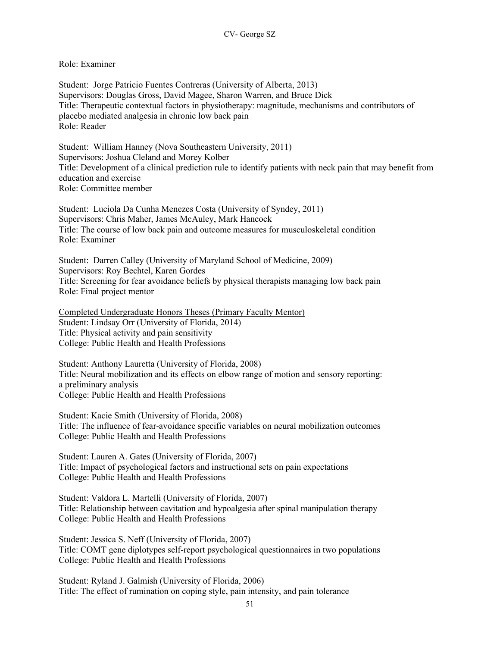## Role: Examiner

Student: Jorge Patricio Fuentes Contreras (University of Alberta, 2013) Supervisors: Douglas Gross, David Magee, Sharon Warren, and Bruce Dick Title: Therapeutic contextual factors in physiotherapy: magnitude, mechanisms and contributors of placebo mediated analgesia in chronic low back pain Role: Reader

Student: William Hanney (Nova Southeastern University, 2011) Supervisors: Joshua Cleland and Morey Kolber Title: Development of a clinical prediction rule to identify patients with neck pain that may benefit from education and exercise Role: Committee member

Student: Luciola Da Cunha Menezes Costa (University of Syndey, 2011) Supervisors: Chris Maher, James McAuley, Mark Hancock Title: The course of low back pain and outcome measures for musculoskeletal condition Role: Examiner

Student: Darren Calley (University of Maryland School of Medicine, 2009) Supervisors: Roy Bechtel, Karen Gordes Title: Screening for fear avoidance beliefs by physical therapists managing low back pain Role: Final project mentor

Completed Undergraduate Honors Theses (Primary Faculty Mentor) Student: Lindsay Orr (University of Florida, 2014) Title: Physical activity and pain sensitivity College: Public Health and Health Professions

Student: Anthony Lauretta (University of Florida, 2008) Title: Neural mobilization and its effects on elbow range of motion and sensory reporting: a preliminary analysis College: Public Health and Health Professions

Student: Kacie Smith (University of Florida, 2008) Title: The influence of fear-avoidance specific variables on neural mobilization outcomes College: Public Health and Health Professions

Student: Lauren A. Gates (University of Florida, 2007) Title: Impact of psychological factors and instructional sets on pain expectations College: Public Health and Health Professions

Student: Valdora L. Martelli (University of Florida, 2007) Title: Relationship between cavitation and hypoalgesia after spinal manipulation therapy College: Public Health and Health Professions

Student: Jessica S. Neff (University of Florida, 2007) Title: COMT gene diplotypes self-report psychological questionnaires in two populations College: Public Health and Health Professions

Student: Ryland J. Galmish (University of Florida, 2006) Title: The effect of rumination on coping style, pain intensity, and pain tolerance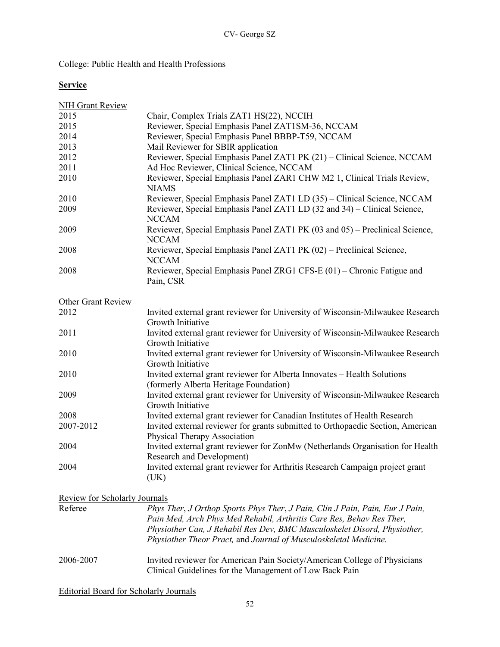College: Public Health and Health Professions

## **Service**

| <b>NIH Grant Review</b>       |                                                                                                                                                      |
|-------------------------------|------------------------------------------------------------------------------------------------------------------------------------------------------|
| 2015                          | Chair, Complex Trials ZAT1 HS(22), NCCIH                                                                                                             |
| 2015                          | Reviewer, Special Emphasis Panel ZAT1SM-36, NCCAM                                                                                                    |
| 2014                          | Reviewer, Special Emphasis Panel BBBP-T59, NCCAM                                                                                                     |
| 2013                          | Mail Reviewer for SBIR application                                                                                                                   |
| 2012                          | Reviewer, Special Emphasis Panel ZAT1 PK (21) - Clinical Science, NCCAM                                                                              |
| 2011                          | Ad Hoc Reviewer, Clinical Science, NCCAM                                                                                                             |
| 2010                          | Reviewer, Special Emphasis Panel ZAR1 CHW M2 1, Clinical Trials Review,<br><b>NIAMS</b>                                                              |
| 2010                          | Reviewer, Special Emphasis Panel ZAT1 LD (35) - Clinical Science, NCCAM                                                                              |
| 2009                          | Reviewer, Special Emphasis Panel ZAT1 LD (32 and 34) – Clinical Science,<br><b>NCCAM</b>                                                             |
| 2009                          | Reviewer, Special Emphasis Panel ZAT1 PK (03 and 05) – Preclinical Science,<br><b>NCCAM</b>                                                          |
| 2008                          | Reviewer, Special Emphasis Panel ZAT1 PK (02) - Preclinical Science,<br><b>NCCAM</b>                                                                 |
| 2008                          | Reviewer, Special Emphasis Panel ZRG1 CFS-E (01) – Chronic Fatigue and<br>Pain, CSR                                                                  |
| <b>Other Grant Review</b>     |                                                                                                                                                      |
| 2012                          | Invited external grant reviewer for University of Wisconsin-Milwaukee Research<br>Growth Initiative                                                  |
| 2011                          | Invited external grant reviewer for University of Wisconsin-Milwaukee Research<br>Growth Initiative                                                  |
| 2010                          | Invited external grant reviewer for University of Wisconsin-Milwaukee Research<br>Growth Initiative                                                  |
| 2010                          | Invited external grant reviewer for Alberta Innovates - Health Solutions<br>(formerly Alberta Heritage Foundation)                                   |
| 2009                          | Invited external grant reviewer for University of Wisconsin-Milwaukee Research<br>Growth Initiative                                                  |
| 2008                          | Invited external grant reviewer for Canadian Institutes of Health Research                                                                           |
| 2007-2012                     | Invited external reviewer for grants submitted to Orthopaedic Section, American<br>Physical Therapy Association                                      |
| 2004                          | Invited external grant reviewer for ZonMw (Netherlands Organisation for Health<br><b>Research and Development)</b>                                   |
| 2004                          | Invited external grant reviewer for Arthritis Research Campaign project grant<br>(UK)                                                                |
| Review for Scholarly Journals |                                                                                                                                                      |
| Referee                       | Phys Ther, J Orthop Sports Phys Ther, J Pain, Clin J Pain, Pain, Eur J Pain,<br>Pain Med, Arch Phys Med Rehabil, Arthritis Care Res, Behav Res Ther, |

# *Physiother Theor Pract,* and *Journal of Musculoskeletal Medicine.* 2006-2007 Invited reviewer for American Pain Society/American College of Physicians Clinical Guidelines for the Management of Low Back Pain

*Physiother Can, J Rehabil Res Dev, BMC Musculoskelet Disord, Physiother,* 

Editorial Board for Scholarly Journals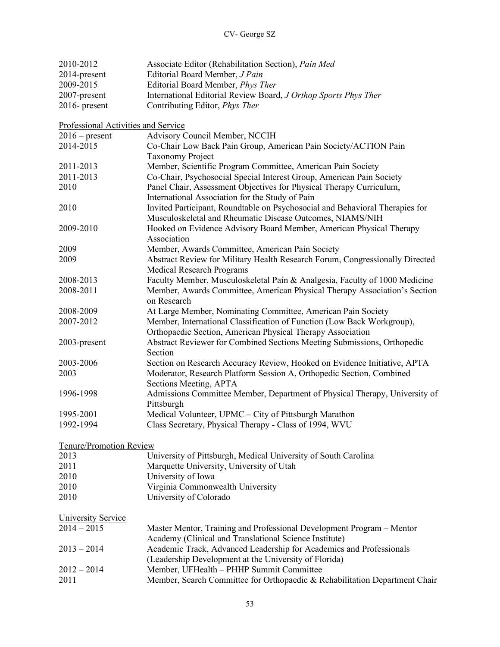| 2010-2012                           | Associate Editor (Rehabilitation Section), Pain Med                                                              |
|-------------------------------------|------------------------------------------------------------------------------------------------------------------|
| 2014-present                        | Editorial Board Member, J Pain                                                                                   |
| 2009-2015                           | Editorial Board Member, Phys Ther                                                                                |
| 2007-present                        | International Editorial Review Board, J Orthop Sports Phys Ther                                                  |
| $2016$ - present                    | Contributing Editor, <i>Phys Ther</i>                                                                            |
| Professional Activities and Service |                                                                                                                  |
| $2016$ – present                    | Advisory Council Member, NCCIH                                                                                   |
| 2014-2015                           | Co-Chair Low Back Pain Group, American Pain Society/ACTION Pain                                                  |
|                                     | <b>Taxonomy Project</b>                                                                                          |
| 2011-2013                           | Member, Scientific Program Committee, American Pain Society                                                      |
| 2011-2013                           | Co-Chair, Psychosocial Special Interest Group, American Pain Society                                             |
|                                     |                                                                                                                  |
| 2010                                | Panel Chair, Assessment Objectives for Physical Therapy Curriculum,                                              |
|                                     | International Association for the Study of Pain                                                                  |
| 2010                                | Invited Participant, Roundtable on Psychosocial and Behavioral Therapies for                                     |
|                                     | Musculoskeletal and Rheumatic Disease Outcomes, NIAMS/NIH                                                        |
| 2009-2010                           | Hooked on Evidence Advisory Board Member, American Physical Therapy<br>Association                               |
|                                     |                                                                                                                  |
| 2009                                | Member, Awards Committee, American Pain Society                                                                  |
| 2009                                | Abstract Review for Military Health Research Forum, Congressionally Directed<br><b>Medical Research Programs</b> |
| 2008-2013                           | Faculty Member, Musculoskeletal Pain & Analgesia, Faculty of 1000 Medicine                                       |
| 2008-2011                           | Member, Awards Committee, American Physical Therapy Association's Section                                        |
|                                     | on Research                                                                                                      |
| 2008-2009                           | At Large Member, Nominating Committee, American Pain Society                                                     |
| 2007-2012                           | Member, International Classification of Function (Low Back Workgroup),                                           |
|                                     | Orthopaedic Section, American Physical Therapy Association                                                       |
| 2003-present                        | Abstract Reviewer for Combined Sections Meeting Submissions, Orthopedic                                          |
|                                     | Section                                                                                                          |
| 2003-2006                           | Section on Research Accuracy Review, Hooked on Evidence Initiative, APTA                                         |
| 2003                                | Moderator, Research Platform Session A, Orthopedic Section, Combined                                             |
|                                     | Sections Meeting, APTA                                                                                           |
| 1996-1998                           | Admissions Committee Member, Department of Physical Therapy, University of                                       |
|                                     | Pittsburgh                                                                                                       |
| 1995-2001                           | Medical Volunteer, UPMC - City of Pittsburgh Marathon                                                            |
| 1992-1994                           | Class Secretary, Physical Therapy - Class of 1994, WVU                                                           |
|                                     |                                                                                                                  |
| Tenure/Promotion Review             |                                                                                                                  |
| 2013                                | University of Pittsburgh, Medical University of South Carolina                                                   |
| 2011                                | Marquette University, University of Utah                                                                         |
| 2010                                | University of Iowa                                                                                               |
| 2010                                | Virginia Commonwealth University                                                                                 |
| 2010                                | University of Colorado                                                                                           |
| <b>University Service</b>           |                                                                                                                  |
| $2014 - 2015$                       | Master Mentor, Training and Professional Development Program – Mentor                                            |
|                                     | Academy (Clinical and Translational Science Institute)                                                           |
| $2013 - 2014$                       | Academic Track, Advanced Leadership for Academics and Professionals                                              |
|                                     | (Leadership Development at the University of Florida)                                                            |
| $2012 - 2014$                       | Member, UFHealth - PHHP Summit Committee                                                                         |
| 2011                                | Member, Search Committee for Orthopaedic & Rehabilitation Department Chair                                       |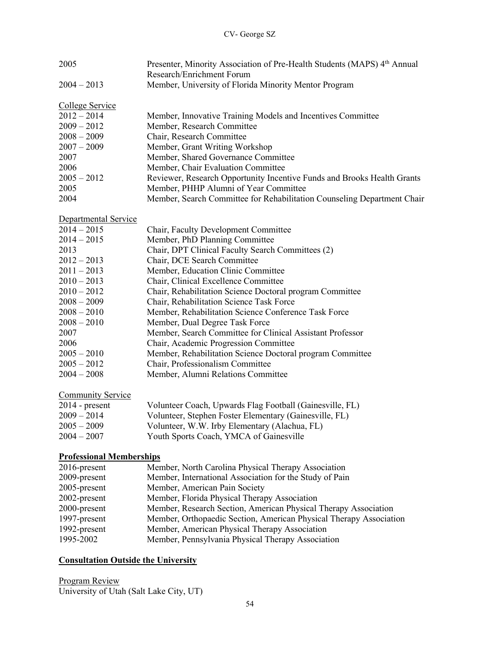| 2005                            | Presenter, Minority Association of Pre-Health Students (MAPS) 4th Annual<br>Research/Enrichment Forum |
|---------------------------------|-------------------------------------------------------------------------------------------------------|
| $2004 - 2013$                   | Member, University of Florida Minority Mentor Program                                                 |
| College Service                 |                                                                                                       |
| $2012 - 2014$                   | Member, Innovative Training Models and Incentives Committee                                           |
| $2009 - 2012$                   | Member, Research Committee                                                                            |
| $2008 - 2009$                   | Chair, Research Committee                                                                             |
| $2007 - 2009$                   | Member, Grant Writing Workshop                                                                        |
| 2007                            | Member, Shared Governance Committee                                                                   |
| 2006                            | Member, Chair Evaluation Committee                                                                    |
| $2005 - 2012$                   | Reviewer, Research Opportunity Incentive Funds and Brooks Health Grants                               |
| 2005                            | Member, PHHP Alumni of Year Committee                                                                 |
| 2004                            | Member, Search Committee for Rehabilitation Counseling Department Chair                               |
| Departmental Service            |                                                                                                       |
| $2014 - 2015$                   | Chair, Faculty Development Committee                                                                  |
| $2014 - 2015$                   | Member, PhD Planning Committee                                                                        |
| 2013                            | Chair, DPT Clinical Faculty Search Committees (2)                                                     |
| $2012 - 2013$                   | Chair, DCE Search Committee                                                                           |
| $2011 - 2013$                   | Member, Education Clinic Committee                                                                    |
| $2010 - 2013$                   | Chair, Clinical Excellence Committee                                                                  |
| $2010 - 2012$                   | Chair, Rehabilitation Science Doctoral program Committee                                              |
| $2008 - 2009$                   | Chair, Rehabilitation Science Task Force                                                              |
| $2008 - 2010$                   | Member, Rehabilitation Science Conference Task Force                                                  |
| $2008 - 2010$                   | Member, Dual Degree Task Force                                                                        |
| 2007                            | Member, Search Committee for Clinical Assistant Professor                                             |
| 2006                            | Chair, Academic Progression Committee                                                                 |
| $2005 - 2010$                   | Member, Rehabilitation Science Doctoral program Committee                                             |
| $2005 - 2012$                   | Chair, Professionalism Committee                                                                      |
| $2004 - 2008$                   | Member, Alumni Relations Committee                                                                    |
| <b>Community Service</b>        |                                                                                                       |
| $2014$ - present                | Volunteer Coach, Upwards Flag Football (Gainesville, FL)                                              |
| $2009 - 2014$                   | Volunteer, Stephen Foster Elementary (Gainesville, FL)                                                |
| $2005 - 2009$                   | Volunteer, W.W. Irby Elementary (Alachua, FL)                                                         |
| $2004 - 2007$                   | Youth Sports Coach, YMCA of Gainesville                                                               |
| <b>Professional Memberships</b> |                                                                                                       |
| 2016-present                    | Member, North Carolina Physical Therapy Association                                                   |
| 2009-present                    | Member, International Association for the Study of Pain                                               |
| 2005-present                    | Member, American Pain Society                                                                         |
| 2002-present                    | Member, Florida Physical Therapy Association                                                          |
| 2000-present                    | Member, Research Section, American Physical Therapy Association                                       |
| 1997-present                    | Member, Orthopaedic Section, American Physical Therapy Association                                    |
| 1992-present                    | Member, American Physical Therapy Association                                                         |
| 1995-2002                       | Member, Pennsylvania Physical Therapy Association                                                     |

# **Consultation Outside the University**

Program Review University of Utah (Salt Lake City, UT)